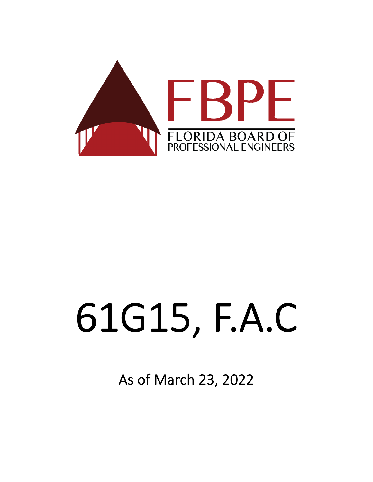

# 61G15, F.A.C

As of March 23, 2022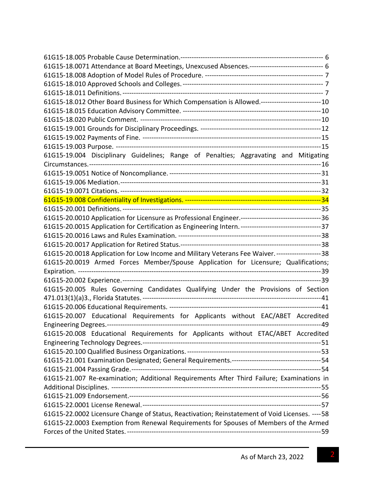| 61G15-18.0071 Attendance at Board Meetings, Unexcused Absences.-------------------------------- 6  |
|----------------------------------------------------------------------------------------------------|
|                                                                                                    |
|                                                                                                    |
|                                                                                                    |
| 61G15-18.012 Other Board Business for Which Compensation is Allowed.-------------------------- 10  |
|                                                                                                    |
|                                                                                                    |
|                                                                                                    |
|                                                                                                    |
|                                                                                                    |
| 61G15-19.004 Disciplinary Guidelines; Range of Penalties; Aggravating and Mitigating               |
|                                                                                                    |
|                                                                                                    |
|                                                                                                    |
|                                                                                                    |
|                                                                                                    |
|                                                                                                    |
|                                                                                                    |
|                                                                                                    |
|                                                                                                    |
|                                                                                                    |
| 61G15-20.0018 Application for Low Income and Military Veterans Fee Waiver. ---------------------38 |
| 61G15-20.0019 Armed Forces Member/Spouse Application for Licensure; Qualifications;                |
|                                                                                                    |
|                                                                                                    |
| 61G15-20.005 Rules Governing Candidates Qualifying Under the Provisions of Section                 |
|                                                                                                    |
|                                                                                                    |
| 61G15-20.007 Educational Requirements for Applicants without EAC/ABET Accredited                   |
|                                                                                                    |
| 61G15-20.008 Educational Requirements for Applicants without ETAC/ABET Accredited                  |
|                                                                                                    |
|                                                                                                    |
|                                                                                                    |
|                                                                                                    |
| 61G15-21.007 Re-examination; Additional Requirements After Third Failure; Examinations in          |
|                                                                                                    |
|                                                                                                    |
|                                                                                                    |
| 61G15-22.0002 Licensure Change of Status, Reactivation; Reinstatement of Void Licenses. ---- 58    |
| 61G15-22.0003 Exemption from Renewal Requirements for Spouses of Members of the Armed              |
|                                                                                                    |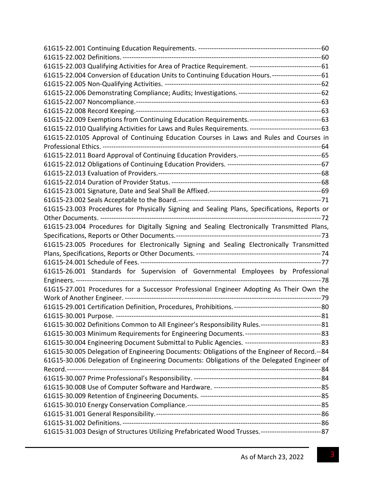| 61G15-22.003 Qualifying Activities for Area of Practice Requirement. ----------------------------------- 61 |  |
|-------------------------------------------------------------------------------------------------------------|--|
| 61G15-22.004 Conversion of Education Units to Continuing Education Hours.------------------------61         |  |
|                                                                                                             |  |
|                                                                                                             |  |
|                                                                                                             |  |
|                                                                                                             |  |
| 61G15-22.009 Exemptions from Continuing Education Requirements. ----------------------------------- 63      |  |
| 61G15-22.010 Qualifying Activities for Laws and Rules Requirements. ----------------------------------- 63  |  |
| 61G15-22.0105 Approval of Continuing Education Courses in Laws and Rules and Courses in                     |  |
|                                                                                                             |  |
|                                                                                                             |  |
|                                                                                                             |  |
|                                                                                                             |  |
|                                                                                                             |  |
|                                                                                                             |  |
|                                                                                                             |  |
| 61G15-23.003 Procedures for Physically Signing and Sealing Plans, Specifications, Reports or                |  |
|                                                                                                             |  |
| 61G15-23.004 Procedures for Digitally Signing and Sealing Electronically Transmitted Plans,                 |  |
|                                                                                                             |  |
| 61G15-23.005 Procedures for Electronically Signing and Sealing Electronically Transmitted                   |  |
|                                                                                                             |  |
|                                                                                                             |  |
|                                                                                                             |  |
|                                                                                                             |  |
| 61G15-27.001 Procedures for a Successor Professional Engineer Adopting As Their Own the                     |  |
|                                                                                                             |  |
|                                                                                                             |  |
|                                                                                                             |  |
| 61G15-30.002 Definitions Common to All Engineer's Responsibility Rules.----------------------------- 81     |  |
|                                                                                                             |  |
|                                                                                                             |  |
| 61G15-30.005 Delegation of Engineering Documents: Obligations of the Engineer of Record.--84                |  |
| 61G15-30.006 Delegation of Engineering Documents: Obligations of the Delegated Engineer of                  |  |
|                                                                                                             |  |
|                                                                                                             |  |
|                                                                                                             |  |
|                                                                                                             |  |
|                                                                                                             |  |
|                                                                                                             |  |
|                                                                                                             |  |
| 61G15-31.003 Design of Structures Utilizing Prefabricated Wood Trusses.--------------------------------- 87 |  |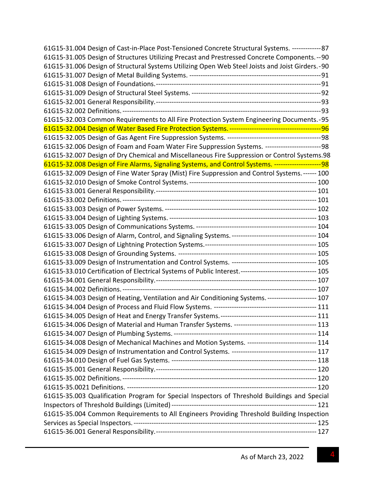| 61G15-31.004 Design of Cast-in-Place Post-Tensioned Concrete Structural Systems. --------------87        |  |
|----------------------------------------------------------------------------------------------------------|--|
| 61G15-31.005 Design of Structures Utilizing Precast and Prestressed Concrete Components. -- 90           |  |
| 61G15-31.006 Design of Structural Systems Utilizing Open Web Steel Joists and Joist Girders.-90          |  |
|                                                                                                          |  |
|                                                                                                          |  |
|                                                                                                          |  |
|                                                                                                          |  |
|                                                                                                          |  |
| 61G15-32.003 Common Requirements to All Fire Protection System Engineering Documents.-95                 |  |
|                                                                                                          |  |
|                                                                                                          |  |
| 61G15-32.006 Design of Foam and Foam Water Fire Suppression Systems. --------------------------98        |  |
| 61G15-32.007 Design of Dry Chemical and Miscellaneous Fire Suppression or Control Systems.98             |  |
| 61G15-32.008 Design of Fire Alarms, Signaling Systems, and Control Systems. ---------------------98      |  |
| 61G15-32.009 Design of Fine Water Spray (Mist) Fire Suppression and Control Systems. ------ 100          |  |
|                                                                                                          |  |
|                                                                                                          |  |
|                                                                                                          |  |
|                                                                                                          |  |
|                                                                                                          |  |
|                                                                                                          |  |
|                                                                                                          |  |
|                                                                                                          |  |
|                                                                                                          |  |
|                                                                                                          |  |
| 61G15-33.010 Certification of Electrical Systems of Public Interest.-------------------------------- 105 |  |
|                                                                                                          |  |
|                                                                                                          |  |
| 61G15-34.003 Design of Heating, Ventilation and Air Conditioning Systems. --------------------- 107      |  |
|                                                                                                          |  |
|                                                                                                          |  |
| 61G15-34.006 Design of Material and Human Transfer Systems. ----------------------------------- 113      |  |
|                                                                                                          |  |
| 61G15-34.008 Design of Mechanical Machines and Motion Systems. ------------------------------ 114        |  |
|                                                                                                          |  |
|                                                                                                          |  |
|                                                                                                          |  |
|                                                                                                          |  |
|                                                                                                          |  |
| 61G15-35.003 Qualification Program for Special Inspectors of Threshold Buildings and Special             |  |
|                                                                                                          |  |
| 61G15-35.004 Common Requirements to All Engineers Providing Threshold Building Inspection                |  |
|                                                                                                          |  |
|                                                                                                          |  |
|                                                                                                          |  |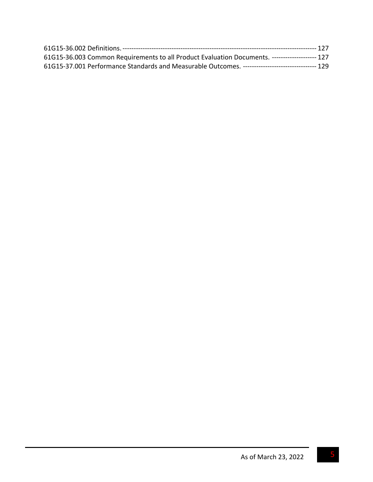| 61G15-36.003 Common Requirements to all Product Evaluation Documents. -------------------- 127     |  |
|----------------------------------------------------------------------------------------------------|--|
| 61G15-37.001 Performance Standards and Measurable Outcomes. ---------------------------------- 129 |  |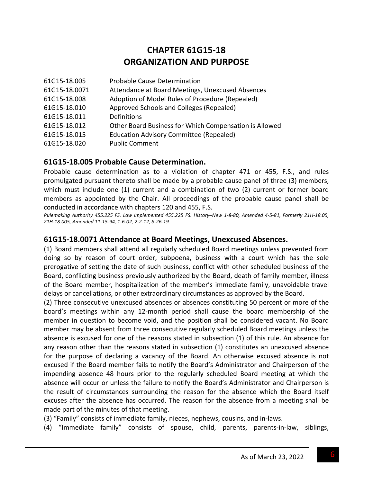# **CHAPTER 61G15‐18 ORGANIZATION AND PURPOSE**

| 61G15-18.005  | Probable Cause Determination                           |
|---------------|--------------------------------------------------------|
| 61G15-18.0071 | Attendance at Board Meetings, Unexcused Absences       |
| 61G15-18.008  | Adoption of Model Rules of Procedure (Repealed)        |
| 61G15-18.010  | Approved Schools and Colleges (Repealed)               |
| 61G15-18.011  | Definitions                                            |
| 61G15-18.012  | Other Board Business for Which Compensation is Allowed |
| 61G15-18.015  | <b>Education Advisory Committee (Repealed)</b>         |
| 61G15-18.020  | <b>Public Comment</b>                                  |

#### **61G15‐18.005 Probable Cause Determination.**

Probable cause determination as to a violation of chapter 471 or 455, F.S., and rules promulgated pursuant thereto shall be made by a probable cause panel of three (3) members, which must include one (1) current and a combination of two (2) current or former board members as appointed by the Chair. All proceedings of the probable cause panel shall be conducted in accordance with chapters 120 and 455, F.S.

Rulemaking Authority 455.225 FS. Law Implemented 455.225 FS. History-New 1-8-80, Amended 4-5-81, Formerly 21H-18.05, *21H‐18.005, Amended 11‐15‐94, 1‐6‐02, 2‐2‐12, 8‐26‐19.*

#### **61G15‐18.0071 Attendance at Board Meetings, Unexcused Absences.**

(1) Board members shall attend all regularly scheduled Board meetings unless prevented from doing so by reason of court order, subpoena, business with a court which has the sole prerogative of setting the date of such business, conflict with other scheduled business of the Board, conflicting business previously authorized by the Board, death of family member, illness of the Board member, hospitalization of the member's immediate family, unavoidable travel delays or cancellations, or other extraordinary circumstances as approved by the Board.

(2) Three consecutive unexcused absences or absences constituting 50 percent or more of the board's meetings within any 12‐month period shall cause the board membership of the member in question to become void, and the position shall be considered vacant. No Board member may be absent from three consecutive regularly scheduled Board meetings unless the absence is excused for one of the reasons stated in subsection (1) of this rule. An absence for any reason other than the reasons stated in subsection (1) constitutes an unexcused absence for the purpose of declaring a vacancy of the Board. An otherwise excused absence is not excused if the Board member fails to notify the Board's Administrator and Chairperson of the impending absence 48 hours prior to the regularly scheduled Board meeting at which the absence will occur or unless the failure to notify the Board's Administrator and Chairperson is the result of circumstances surrounding the reason for the absence which the Board itself excuses after the absence has occurred. The reason for the absence from a meeting shall be made part of the minutes of that meeting.

(3) "Family" consists of immediate family, nieces, nephews, cousins, and in‐laws.

(4) "Immediate family" consists of spouse, child, parents, parents‐in‐law, siblings,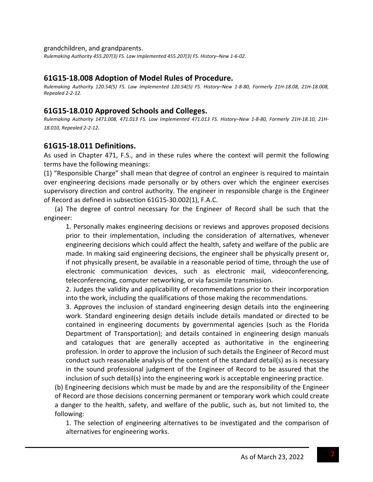#### grandchildren, and grandparents.

*Rulemaking Authority 455.207(3) FS. Law Implemented 455.207(3) FS. History–New 1‐6‐02.*

#### **61G15‐18.008 Adoption of Model Rules of Procedure.**

Rulemaking Authority 120.54(5) FS. Law Implemented 120.54(5) FS. History-New 1-8-80, Formerly 21H-18.08, 21H-18.008, *Repealed 2‐2‐12.*

#### **61G15‐18.010 Approved Schools and Colleges.**

Rulemaking Authority 1471.008, 471.013 FS. Law Implemented 471.013 FS. History-New 1-8-80, Formerly 21H-18.10, 21H-*18.010, Repealed 2‐2‐12.*

#### **61G15‐18.011 Definitions.**

As used in Chapter 471, F.S., and in these rules where the context will permit the following terms have the following meanings:

(1) "Responsible Charge" shall mean that degree of control an engineer is required to maintain over engineering decisions made personally or by others over which the engineer exercises supervisory direction and control authority. The engineer in responsible charge is the Engineer of Record as defined in subsection 61G15‐30.002(1), F.A.C.

(a) The degree of control necessary for the Engineer of Record shall be such that the engineer:

1. Personally makes engineering decisions or reviews and approves proposed decisions prior to their implementation, including the consideration of alternatives, whenever engineering decisions which could affect the health, safety and welfare of the public are made. In making said engineering decisions, the engineer shall be physically present or, if not physically present, be available in a reasonable period of time, through the use of electronic communication devices, such as electronic mail, videoconferencing, teleconferencing, computer networking, or via facsimile transmission.

2. Judges the validity and applicability of recommendations prior to their incorporation into the work, including the qualifications of those making the recommendations.

3. Approves the inclusion of standard engineering design details into the engineering work. Standard engineering design details include details mandated or directed to be contained in engineering documents by governmental agencies (such as the Florida Department of Transportation); and details contained in engineering design manuals and catalogues that are generally accepted as authoritative in the engineering profession. In order to approve the inclusion of such details the Engineer of Record must conduct such reasonable analysis of the content of the standard detail(s) as is necessary in the sound professional judgment of the Engineer of Record to be assured that the inclusion of such detail(s) into the engineering work is acceptable engineering practice.

(b) Engineering decisions which must be made by and are the responsibility of the Engineer of Record are those decisions concerning permanent or temporary work which could create a danger to the health, safety, and welfare of the public, such as, but not limited to, the following:

1. The selection of engineering alternatives to be investigated and the comparison of alternatives for engineering works.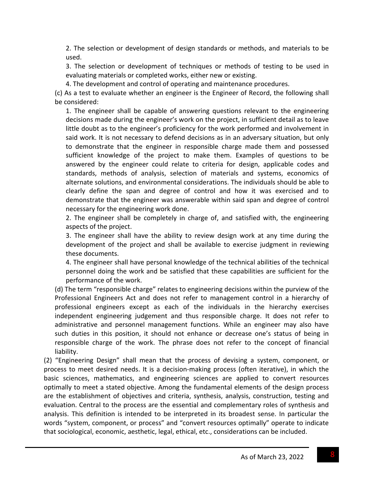2. The selection or development of design standards or methods, and materials to be used.

3. The selection or development of techniques or methods of testing to be used in evaluating materials or completed works, either new or existing.

4. The development and control of operating and maintenance procedures.

(c) As a test to evaluate whether an engineer is the Engineer of Record, the following shall be considered:

1. The engineer shall be capable of answering questions relevant to the engineering decisions made during the engineer's work on the project, in sufficient detail as to leave little doubt as to the engineer's proficiency for the work performed and involvement in said work. It is not necessary to defend decisions as in an adversary situation, but only to demonstrate that the engineer in responsible charge made them and possessed sufficient knowledge of the project to make them. Examples of questions to be answered by the engineer could relate to criteria for design, applicable codes and standards, methods of analysis, selection of materials and systems, economics of alternate solutions, and environmental considerations. The individuals should be able to clearly define the span and degree of control and how it was exercised and to demonstrate that the engineer was answerable within said span and degree of control necessary for the engineering work done.

2. The engineer shall be completely in charge of, and satisfied with, the engineering aspects of the project.

3. The engineer shall have the ability to review design work at any time during the development of the project and shall be available to exercise judgment in reviewing these documents.

4. The engineer shall have personal knowledge of the technical abilities of the technical personnel doing the work and be satisfied that these capabilities are sufficient for the performance of the work.

(d) The term "responsible charge" relates to engineering decisions within the purview of the Professional Engineers Act and does not refer to management control in a hierarchy of professional engineers except as each of the individuals in the hierarchy exercises independent engineering judgement and thus responsible charge. It does not refer to administrative and personnel management functions. While an engineer may also have such duties in this position, it should not enhance or decrease one's status of being in responsible charge of the work. The phrase does not refer to the concept of financial liability.

(2) "Engineering Design" shall mean that the process of devising a system, component, or process to meet desired needs. It is a decision‐making process (often iterative), in which the basic sciences, mathematics, and engineering sciences are applied to convert resources optimally to meet a stated objective. Among the fundamental elements of the design process are the establishment of objectives and criteria, synthesis, analysis, construction, testing and evaluation. Central to the process are the essential and complementary roles of synthesis and analysis. This definition is intended to be interpreted in its broadest sense. In particular the words "system, component, or process" and "convert resources optimally" operate to indicate that sociological, economic, aesthetic, legal, ethical, etc., considerations can be included.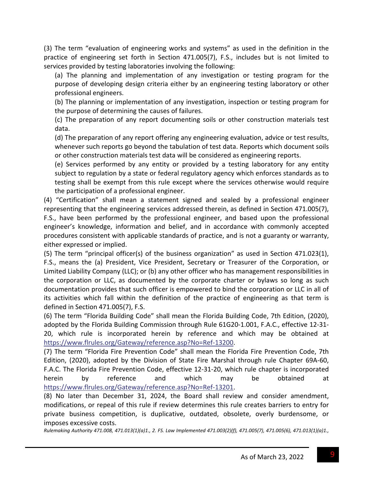(3) The term "evaluation of engineering works and systems" as used in the definition in the practice of engineering set forth in Section 471.005(7), F.S., includes but is not limited to services provided by testing laboratories involving the following:

(a) The planning and implementation of any investigation or testing program for the purpose of developing design criteria either by an engineering testing laboratory or other professional engineers.

(b) The planning or implementation of any investigation, inspection or testing program for the purpose of determining the causes of failures.

(c) The preparation of any report documenting soils or other construction materials test data.

(d) The preparation of any report offering any engineering evaluation, advice or test results, whenever such reports go beyond the tabulation of test data. Reports which document soils or other construction materials test data will be considered as engineering reports.

(e) Services performed by any entity or provided by a testing laboratory for any entity subject to regulation by a state or federal regulatory agency which enforces standards as to testing shall be exempt from this rule except where the services otherwise would require the participation of a professional engineer.

(4) "Certification" shall mean a statement signed and sealed by a professional engineer representing that the engineering services addressed therein, as defined in Section 471.005(7), F.S., have been performed by the professional engineer, and based upon the professional engineer's knowledge, information and belief, and in accordance with commonly accepted procedures consistent with applicable standards of practice, and is not a guaranty or warranty, either expressed or implied.

(5) The term "principal officer(s) of the business organization" as used in Section 471.023(1), F.S., means the (a) President, Vice President, Secretary or Treasurer of the Corporation, or Limited Liability Company (LLC); or (b) any other officer who has management responsibilities in the corporation or LLC, as documented by the corporate charter or bylaws so long as such documentation provides that such officer is empowered to bind the corporation or LLC in all of its activities which fall within the definition of the practice of engineering as that term is defined in Section 471.005(7), F.S.

(6) The term "Florida Building Code" shall mean the Florida Building Code, 7th Edition, (2020), adopted by the Florida Building Commission through Rule 61G20-1.001, F.A.C., effective 12-31-20, which rule is incorporated herein by reference and which may be obtained at https://www.flrules.org/Gateway/reference.asp?No=Ref‐13200.

(7) The term "Florida Fire Prevention Code" shall mean the Florida Fire Prevention Code, 7th Edition, (2020), adopted by the Division of State Fire Marshal through rule Chapter 69A‐60, F.A.C. The Florida Fire Prevention Code, effective 12‐31‐20, which rule chapter is incorporated herein by reference and which may be obtained at https://www.flrules.org/Gateway/reference.asp?No=Ref‐13201.

(8) No later than December 31, 2024, the Board shall review and consider amendment, modifications, or repeal of this rule if review determines this rule creates barriers to entry for private business competition, is duplicative, outdated, obsolete, overly burdensome, or imposes excessive costs.

*Rulemaking Authority 471.008, 471.013(1)(a)1., 2. FS. Law Implemented 471.003(2)(f), 471.005(7), 471.005(6), 471.013(1)(a)1.,*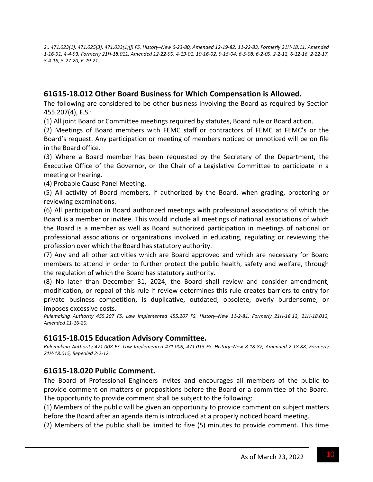2., 471.023(1), 471.025(3), 471.033(1)(j) FS. History-New 6-23-80, Amended 12-19-82, 11-22-83, Formerly 21H-18.11, Amended 1-16-91, 4-4-93, Formerly 21H-18.011, Amended 12-22-99, 4-19-01, 10-16-02, 9-15-04, 6-5-08, 6-2-09, 2-2-12, 6-12-16, 2-22-17, *3‐4‐18, 5‐27‐20, 6‐29‐21.*

## **61G15‐18.012 Other Board Business for Which Compensation is Allowed.**

The following are considered to be other business involving the Board as required by Section 455.207(4), F.S.:

(1) All joint Board or Committee meetings required by statutes, Board rule or Board action.

(2) Meetings of Board members with FEMC staff or contractors of FEMC at FEMC's or the Board's request. Any participation or meeting of members noticed or unnoticed will be on file in the Board office.

(3) Where a Board member has been requested by the Secretary of the Department, the Executive Office of the Governor, or the Chair of a Legislative Committee to participate in a meeting or hearing.

(4) Probable Cause Panel Meeting.

(5) All activity of Board members, if authorized by the Board, when grading, proctoring or reviewing examinations.

(6) All participation in Board authorized meetings with professional associations of which the Board is a member or invitee. This would include all meetings of national associations of which the Board is a member as well as Board authorized participation in meetings of national or professional associations or organizations involved in educating, regulating or reviewing the profession over which the Board has statutory authority.

(7) Any and all other activities which are Board approved and which are necessary for Board members to attend in order to further protect the public health, safety and welfare, through the regulation of which the Board has statutory authority.

(8) No later than December 31, 2024, the Board shall review and consider amendment, modification, or repeal of this rule if review determines this rule creates barriers to entry for private business competition, is duplicative, outdated, obsolete, overly burdensome, or imposes excessive costs.

Rulemaking Authority 455.207 FS. Law Implemented 455.207 FS. History-New 11-2-81, Formerly 21H-18.12, 21H-18.012, *Amended 11‐16‐20.*

#### **61G15‐18.015 Education Advisory Committee.**

Rulemaking Authority 471.008 FS. Law Implemented 471.008, 471.013 FS. History-New 8-18-87, Amended 2-18-88, Formerly *21H‐18.015, Repealed 2‐2‐12.*

#### **61G15‐18.020 Public Comment.**

The Board of Professional Engineers invites and encourages all members of the public to provide comment on matters or propositions before the Board or a committee of the Board. The opportunity to provide comment shall be subject to the following:

(1) Members of the public will be given an opportunity to provide comment on subject matters before the Board after an agenda item is introduced at a properly noticed board meeting.

(2) Members of the public shall be limited to five (5) minutes to provide comment. This time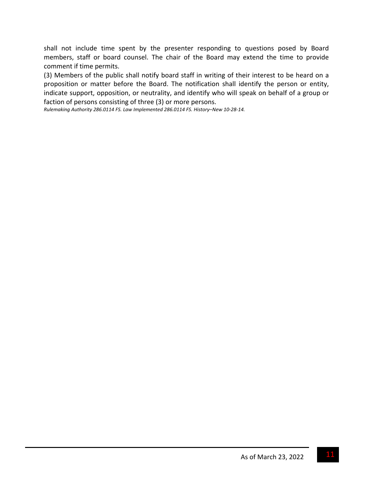shall not include time spent by the presenter responding to questions posed by Board members, staff or board counsel. The chair of the Board may extend the time to provide comment if time permits.

(3) Members of the public shall notify board staff in writing of their interest to be heard on a proposition or matter before the Board. The notification shall identify the person or entity, indicate support, opposition, or neutrality, and identify who will speak on behalf of a group or faction of persons consisting of three (3) or more persons.

*Rulemaking Authority 286.0114 FS. Law Implemented 286.0114 FS. History‒New 10‐28‐14.*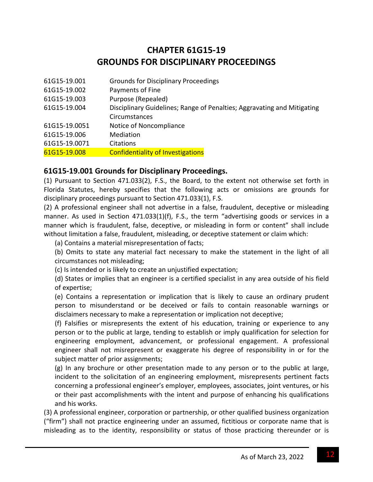# **CHAPTER 61G15‐19 GROUNDS FOR DISCIPLINARY PROCEEDINGS**

| 61G15-19.001  | <b>Grounds for Disciplinary Proceedings</b>                             |
|---------------|-------------------------------------------------------------------------|
| 61G15-19.002  | Payments of Fine                                                        |
| 61G15-19.003  | Purpose (Repealed)                                                      |
| 61G15-19.004  | Disciplinary Guidelines; Range of Penalties; Aggravating and Mitigating |
|               | Circumstances                                                           |
| 61G15-19.0051 | Notice of Noncompliance                                                 |
| 61G15-19.006  | Mediation                                                               |
| 61G15-19.0071 | Citations                                                               |
| 61G15-19.008  | <b>Confidentiality of Investigations</b>                                |
|               |                                                                         |

#### **61G15‐19.001 Grounds for Disciplinary Proceedings.**

(1) Pursuant to Section 471.033(2), F.S., the Board, to the extent not otherwise set forth in Florida Statutes, hereby specifies that the following acts or omissions are grounds for disciplinary proceedings pursuant to Section 471.033(1), F.S.

(2) A professional engineer shall not advertise in a false, fraudulent, deceptive or misleading manner. As used in Section 471.033(1)(f), F.S., the term "advertising goods or services in a manner which is fraudulent, false, deceptive, or misleading in form or content" shall include without limitation a false, fraudulent, misleading, or deceptive statement or claim which:

(a) Contains a material misrepresentation of facts;

(b) Omits to state any material fact necessary to make the statement in the light of all circumstances not misleading;

(c) Is intended or is likely to create an unjustified expectation;

(d) States or implies that an engineer is a certified specialist in any area outside of his field of expertise;

(e) Contains a representation or implication that is likely to cause an ordinary prudent person to misunderstand or be deceived or fails to contain reasonable warnings or disclaimers necessary to make a representation or implication not deceptive;

(f) Falsifies or misrepresents the extent of his education, training or experience to any person or to the public at large, tending to establish or imply qualification for selection for engineering employment, advancement, or professional engagement. A professional engineer shall not misrepresent or exaggerate his degree of responsibility in or for the subject matter of prior assignments;

(g) In any brochure or other presentation made to any person or to the public at large, incident to the solicitation of an engineering employment, misrepresents pertinent facts concerning a professional engineer's employer, employees, associates, joint ventures, or his or their past accomplishments with the intent and purpose of enhancing his qualifications and his works.

(3) A professional engineer, corporation or partnership, or other qualified business organization ("firm") shall not practice engineering under an assumed, fictitious or corporate name that is misleading as to the identity, responsibility or status of those practicing thereunder or is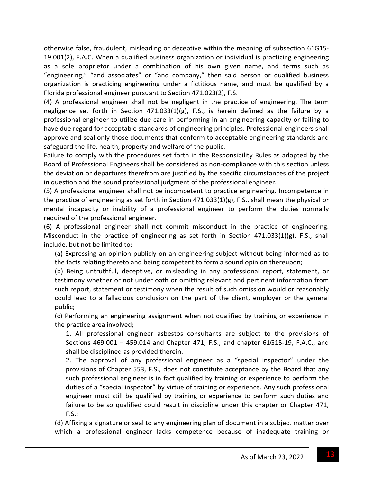otherwise false, fraudulent, misleading or deceptive within the meaning of subsection 61G15‐ 19.001(2), F.A.C. When a qualified business organization or individual is practicing engineering as a sole proprietor under a combination of his own given name, and terms such as "engineering," "and associates" or "and company," then said person or qualified business organization is practicing engineering under a fictitious name, and must be qualified by a Florida professional engineer pursuant to Section 471.023(2), F.S.

(4) A professional engineer shall not be negligent in the practice of engineering. The term negligence set forth in Section  $471.033(1)(g)$ , F.S., is herein defined as the failure by a professional engineer to utilize due care in performing in an engineering capacity or failing to have due regard for acceptable standards of engineering principles. Professional engineers shall approve and seal only those documents that conform to acceptable engineering standards and safeguard the life, health, property and welfare of the public.

Failure to comply with the procedures set forth in the Responsibility Rules as adopted by the Board of Professional Engineers shall be considered as non‐compliance with this section unless the deviation or departures therefrom are justified by the specific circumstances of the project in question and the sound professional judgment of the professional engineer.

(5) A professional engineer shall not be incompetent to practice engineering. Incompetence in the practice of engineering as set forth in Section 471.033(1)(g), F.S., shall mean the physical or mental incapacity or inability of a professional engineer to perform the duties normally required of the professional engineer.

(6) A professional engineer shall not commit misconduct in the practice of engineering. Misconduct in the practice of engineering as set forth in Section 471.033(1)(g), F.S., shall include, but not be limited to:

(a) Expressing an opinion publicly on an engineering subject without being informed as to the facts relating thereto and being competent to form a sound opinion thereupon;

(b) Being untruthful, deceptive, or misleading in any professional report, statement, or testimony whether or not under oath or omitting relevant and pertinent information from such report, statement or testimony when the result of such omission would or reasonably could lead to a fallacious conclusion on the part of the client, employer or the general public;

(c) Performing an engineering assignment when not qualified by training or experience in the practice area involved;

1. All professional engineer asbestos consultants are subject to the provisions of Sections 469.001 - 459.014 and Chapter 471, F.S., and chapter 61G15-19, F.A.C., and shall be disciplined as provided therein.

2. The approval of any professional engineer as a "special inspector" under the provisions of Chapter 553, F.S., does not constitute acceptance by the Board that any such professional engineer is in fact qualified by training or experience to perform the duties of a "special inspector" by virtue of training or experience. Any such professional engineer must still be qualified by training or experience to perform such duties and failure to be so qualified could result in discipline under this chapter or Chapter 471, F.S.;

(d) Affixing a signature or seal to any engineering plan of document in a subject matter over which a professional engineer lacks competence because of inadequate training or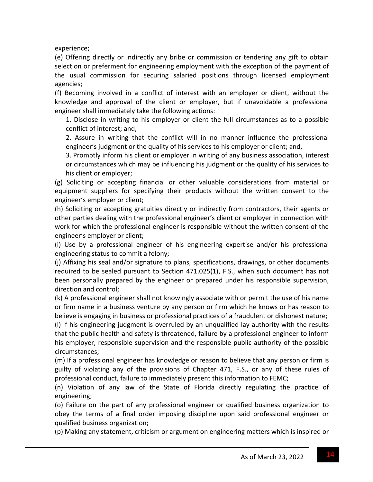experience;

(e) Offering directly or indirectly any bribe or commission or tendering any gift to obtain selection or preferment for engineering employment with the exception of the payment of the usual commission for securing salaried positions through licensed employment agencies;

(f) Becoming involved in a conflict of interest with an employer or client, without the knowledge and approval of the client or employer, but if unavoidable a professional engineer shall immediately take the following actions:

1. Disclose in writing to his employer or client the full circumstances as to a possible conflict of interest; and,

2. Assure in writing that the conflict will in no manner influence the professional engineer's judgment or the quality of his services to his employer or client; and,

3. Promptly inform his client or employer in writing of any business association, interest or circumstances which may be influencing his judgment or the quality of his services to his client or employer;

(g) Soliciting or accepting financial or other valuable considerations from material or equipment suppliers for specifying their products without the written consent to the engineer's employer or client;

(h) Soliciting or accepting gratuities directly or indirectly from contractors, their agents or other parties dealing with the professional engineer's client or employer in connection with work for which the professional engineer is responsible without the written consent of the engineer's employer or client;

(i) Use by a professional engineer of his engineering expertise and/or his professional engineering status to commit a felony;

(j) Affixing his seal and/or signature to plans, specifications, drawings, or other documents required to be sealed pursuant to Section 471.025(1), F.S., when such document has not been personally prepared by the engineer or prepared under his responsible supervision, direction and control;

(k) A professional engineer shall not knowingly associate with or permit the use of his name or firm name in a business venture by any person or firm which he knows or has reason to believe is engaging in business or professional practices of a fraudulent or dishonest nature; (l) If his engineering judgment is overruled by an unqualified lay authority with the results that the public health and safety is threatened, failure by a professional engineer to inform his employer, responsible supervision and the responsible public authority of the possible

circumstances;

(m) If a professional engineer has knowledge or reason to believe that any person or firm is guilty of violating any of the provisions of Chapter 471, F.S., or any of these rules of professional conduct, failure to immediately present this information to FEMC;

(n) Violation of any law of the State of Florida directly regulating the practice of engineering;

(o) Failure on the part of any professional engineer or qualified business organization to obey the terms of a final order imposing discipline upon said professional engineer or qualified business organization;

(p) Making any statement, criticism or argument on engineering matters which is inspired or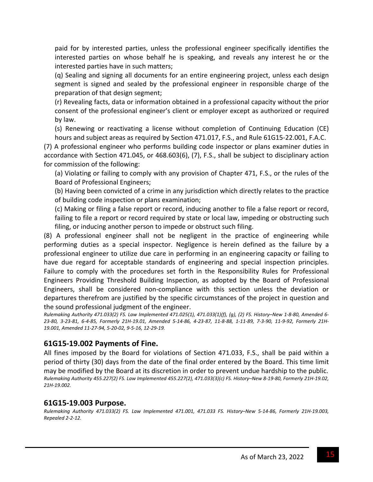paid for by interested parties, unless the professional engineer specifically identifies the interested parties on whose behalf he is speaking, and reveals any interest he or the interested parties have in such matters;

(q) Sealing and signing all documents for an entire engineering project, unless each design segment is signed and sealed by the professional engineer in responsible charge of the preparation of that design segment;

(r) Revealing facts, data or information obtained in a professional capacity without the prior consent of the professional engineer's client or employer except as authorized or required by law.

(s) Renewing or reactivating a license without completion of Continuing Education (CE) hours and subject areas as required by Section 471.017, F.S., and Rule 61G15‐22.001, F.A.C.

(7) A professional engineer who performs building code inspector or plans examiner duties in accordance with Section 471.045, or 468.603(6), (7), F.S., shall be subject to disciplinary action for commission of the following:

(a) Violating or failing to comply with any provision of Chapter 471, F.S., or the rules of the Board of Professional Engineers;

(b) Having been convicted of a crime in any jurisdiction which directly relates to the practice of building code inspection or plans examination;

(c) Making or filing a false report or record, inducing another to file a false report or record, failing to file a report or record required by state or local law, impeding or obstructing such filing, or inducing another person to impede or obstruct such filing.

(8) A professional engineer shall not be negligent in the practice of engineering while performing duties as a special inspector. Negligence is herein defined as the failure by a professional engineer to utilize due care in performing in an engineering capacity or failing to have due regard for acceptable standards of engineering and special inspection principles. Failure to comply with the procedures set forth in the Responsibility Rules for Professional Engineers Providing Threshold Building Inspection, as adopted by the Board of Professional Engineers, shall be considered non‐compliance with this section unless the deviation or departures therefrom are justified by the specific circumstances of the project in question and the sound professional judgment of the engineer.

Rulemaking Authority 471.033(2) FS. Law Implemented 471.025(1), 471.033(1)(f), (g), (2) FS. History-New 1-8-80, Amended 6-23-80, 3-23-81, 6-4-85, Formerly 21H-19.01, Amended 5-14-86, 4-23-87, 11-8-88, 1-11-89, 7-3-90, 11-9-92, Formerly 21H-*19.001, Amended 11‐27‐94, 5‐20‐02, 9‐5‐16, 12‐29‐19.*

#### **61G15‐19.002 Payments of Fine.**

All fines imposed by the Board for violations of Section 471.033, F.S., shall be paid within a period of thirty (30) days from the date of the final order entered by the Board. This time limit may be modified by the Board at its discretion in order to prevent undue hardship to the public. Rulemaking Authority 455.227(2) FS. Law Implemented 455.227(2), 471.033(3)(c) FS. History-New 8-19-80, Formerly 21H-19.02, *21H‐19.002.*

#### **61G15‐19.003 Purpose.**

Rulemaking Authority 471.033(2) FS. Law Implemented 471.001, 471.033 FS. History-New 5-14-86, Formerly 21H-19.003, *Repealed 2‐2‐12.*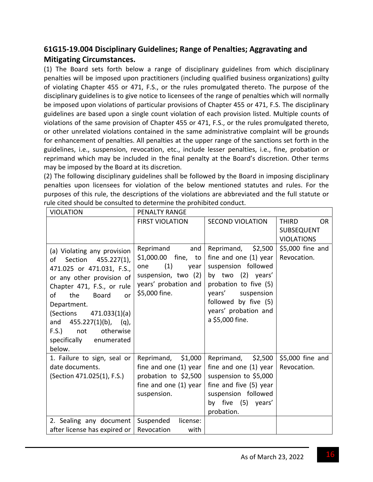# **61G15‐19.004 Disciplinary Guidelines; Range of Penalties; Aggravating and Mitigating Circumstances.**

(1) The Board sets forth below a range of disciplinary guidelines from which disciplinary penalties will be imposed upon practitioners (including qualified business organizations) guilty of violating Chapter 455 or 471, F.S., or the rules promulgated thereto. The purpose of the disciplinary guidelines is to give notice to licensees of the range of penalties which will normally be imposed upon violations of particular provisions of Chapter 455 or 471, F.S. The disciplinary guidelines are based upon a single count violation of each provision listed. Multiple counts of violations of the same provision of Chapter 455 or 471, F.S., or the rules promulgated thereto, or other unrelated violations contained in the same administrative complaint will be grounds for enhancement of penalties. All penalties at the upper range of the sanctions set forth in the guidelines, i.e., suspension, revocation, etc., include lesser penalties, i.e., fine, probation or reprimand which may be included in the final penalty at the Board's discretion. Other terms may be imposed by the Board at its discretion.

(2) The following disciplinary guidelines shall be followed by the Board in imposing disciplinary penalties upon licensees for violation of the below mentioned statutes and rules. For the purposes of this rule, the descriptions of the violations are abbreviated and the full statute or rule cited should be consulted to determine the prohibited conduct.

| <b>VIOLATION</b>                                                                                                                                                                                                                                                                                                         | PENALTY RANGE                                                                                                                 |                                                                                                                                                                                                          |                                  |
|--------------------------------------------------------------------------------------------------------------------------------------------------------------------------------------------------------------------------------------------------------------------------------------------------------------------------|-------------------------------------------------------------------------------------------------------------------------------|----------------------------------------------------------------------------------------------------------------------------------------------------------------------------------------------------------|----------------------------------|
|                                                                                                                                                                                                                                                                                                                          | <b>FIRST VIOLATION</b>                                                                                                        | <b>SECOND VIOLATION</b>                                                                                                                                                                                  | <b>THIRD</b><br><b>OR</b>        |
|                                                                                                                                                                                                                                                                                                                          |                                                                                                                               |                                                                                                                                                                                                          | <b>SUBSEQUENT</b>                |
|                                                                                                                                                                                                                                                                                                                          |                                                                                                                               |                                                                                                                                                                                                          | <b>VIOLATIONS</b>                |
| (a) Violating any provision<br>Section 455.227(1),<br>of<br>471.025 or 471.031, F.S.,<br>or any other provision of<br>Chapter 471, F.S., or rule<br>of<br>the<br>Board<br>or<br>Department.<br>(Sections<br>471.033(1)(a)<br>and 455.227(1)(b), (q),<br>F.S.<br>not<br>otherwise<br>specifically<br>enumerated<br>below. | Reprimand<br>and<br>\$1,000.00 fine, to<br>(1)<br>one<br>year<br>suspension, two (2)<br>years' probation and<br>\$5,000 fine. | Reprimand, \$2,500<br>fine and one (1) year<br>suspension followed<br>by two (2) years'<br>probation to five (5)<br>years' suspension<br>followed by five (5)<br>years' probation and<br>a \$5,000 fine. | $$5,000$ fine and<br>Revocation. |
| 1. Failure to sign, seal or<br>date documents.                                                                                                                                                                                                                                                                           | Reprimand, \$1,000<br>fine and one (1) year                                                                                   | Reprimand, \$2,500<br>fine and one (1) year                                                                                                                                                              | \$5,000 fine and<br>Revocation.  |
| (Section 471.025(1), F.S.)                                                                                                                                                                                                                                                                                               | probation to \$2,500                                                                                                          | suspension to \$5,000                                                                                                                                                                                    |                                  |
|                                                                                                                                                                                                                                                                                                                          | fine and one (1) year                                                                                                         | fine and five (5) year                                                                                                                                                                                   |                                  |
|                                                                                                                                                                                                                                                                                                                          | suspension.                                                                                                                   | suspension followed                                                                                                                                                                                      |                                  |
|                                                                                                                                                                                                                                                                                                                          |                                                                                                                               | by five (5) years'                                                                                                                                                                                       |                                  |
|                                                                                                                                                                                                                                                                                                                          |                                                                                                                               | probation.                                                                                                                                                                                               |                                  |
| 2. Sealing any document                                                                                                                                                                                                                                                                                                  | Suspended<br>license:                                                                                                         |                                                                                                                                                                                                          |                                  |
| after license has expired or                                                                                                                                                                                                                                                                                             | Revocation<br>with                                                                                                            |                                                                                                                                                                                                          |                                  |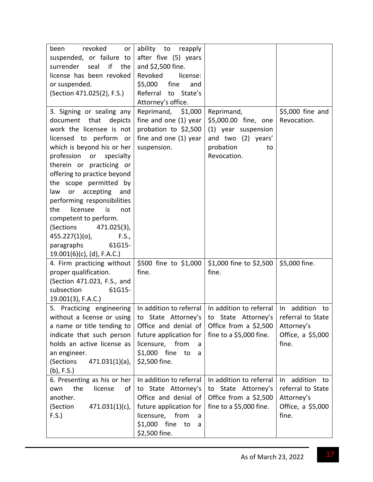| been<br>revoked<br>or                                                                                          | ability to<br>reapply                                                                        |                                                                                 |                                 |
|----------------------------------------------------------------------------------------------------------------|----------------------------------------------------------------------------------------------|---------------------------------------------------------------------------------|---------------------------------|
| suspended, or failure to                                                                                       | after five (5) years                                                                         |                                                                                 |                                 |
| if<br>surrender<br>seal<br>the                                                                                 | and \$2,500 fine.                                                                            |                                                                                 |                                 |
| license has been revoked                                                                                       | Revoked<br>license:                                                                          |                                                                                 |                                 |
| or suspended.                                                                                                  | \$5,000<br>fine<br>and                                                                       |                                                                                 |                                 |
| (Section 471.025(2), F.S.)                                                                                     | Referral to<br>State's                                                                       |                                                                                 |                                 |
|                                                                                                                | Attorney's office.                                                                           |                                                                                 |                                 |
| 3. Signing or sealing any<br>document<br>that<br>depicts<br>work the licensee is not<br>licensed to perform or | Reprimand, \$1,000<br>fine and one (1) year<br>probation to \$2,500<br>fine and one (1) year | Reprimand,<br>\$5,000.00 fine, one<br>(1) year suspension<br>and two (2) years' | \$5,000 fine and<br>Revocation. |
| which is beyond his or her                                                                                     | suspension.                                                                                  | probation<br>to                                                                 |                                 |
| profession<br>specialty<br>or                                                                                  |                                                                                              | Revocation.                                                                     |                                 |
| therein or practicing or                                                                                       |                                                                                              |                                                                                 |                                 |
| offering to practice beyond                                                                                    |                                                                                              |                                                                                 |                                 |
| the scope permitted by                                                                                         |                                                                                              |                                                                                 |                                 |
| law or accepting<br>and                                                                                        |                                                                                              |                                                                                 |                                 |
| performing responsibilities                                                                                    |                                                                                              |                                                                                 |                                 |
| the<br>licensee<br>is<br>not                                                                                   |                                                                                              |                                                                                 |                                 |
| competent to perform.                                                                                          |                                                                                              |                                                                                 |                                 |
| (Sections<br>471.025(3),                                                                                       |                                                                                              |                                                                                 |                                 |
| 455.227(1)(o),<br>F.S.,                                                                                        |                                                                                              |                                                                                 |                                 |
| 61G15-<br>paragraphs                                                                                           |                                                                                              |                                                                                 |                                 |
| $19.001(6)(c)$ , (d), F.A.C.)                                                                                  |                                                                                              |                                                                                 |                                 |
| 4. Firm practicing without   \$500 fine to \$1,000                                                             |                                                                                              | \$1,000 fine to \$2,500                                                         | \$5,000 fine.                   |
| proper qualification.                                                                                          | fine.                                                                                        | fine.                                                                           |                                 |
| (Section 471.023, F.S., and                                                                                    |                                                                                              |                                                                                 |                                 |
| subsection<br>61G15-                                                                                           |                                                                                              |                                                                                 |                                 |
| 19.001(3), F.A.C.)                                                                                             |                                                                                              |                                                                                 |                                 |
| 5. Practicing engineering                                                                                      |                                                                                              | In addition to referral   In addition to referral                               | In<br>addition<br>to            |
| without a license or using   to State Attorney's   to State Attorney's                                         |                                                                                              |                                                                                 | referral to State               |
| a name or title tending to                                                                                     | Office and denial of                                                                         | Office from a $$2,500$                                                          | Attorney's                      |
| indicate that such person<br>holds an active license as                                                        | future application for<br>licensure, from                                                    | fine to a $$5,000$ fine.                                                        | Office, a \$5,000<br>fine.      |
| an engineer.                                                                                                   | a<br>\$1,000 fine to<br>a                                                                    |                                                                                 |                                 |
| (Sections<br>$471.031(1)(a)$ ,                                                                                 | \$2,500 fine.                                                                                |                                                                                 |                                 |
| $(b)$ , F.S.)                                                                                                  |                                                                                              |                                                                                 |                                 |
| 6. Presenting as his or her                                                                                    | In addition to referral                                                                      | In addition to referral                                                         | addition to<br>In               |
| the<br>license<br>own<br>of                                                                                    | to State Attorney's                                                                          | to State Attorney's                                                             | referral to State               |
| another.                                                                                                       | Office and denial of                                                                         | Office from a $$2,500$                                                          | Attorney's                      |
| (Section<br>$471.031(1)(c)$ ,                                                                                  | future application for                                                                       | fine to a \$5,000 fine.                                                         | Office, a \$5,000               |
| F.S.                                                                                                           | licensure, from<br>a                                                                         |                                                                                 | fine.                           |
|                                                                                                                | \$1,000 fine<br>to<br>a                                                                      |                                                                                 |                                 |
|                                                                                                                | \$2,500 fine.                                                                                |                                                                                 |                                 |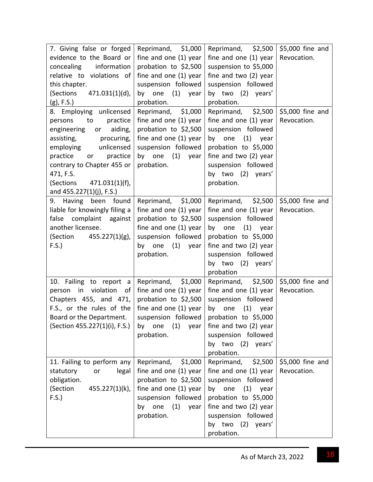| 7. Giving false or forged     | Reprimand, \$1,000       | Reprimand, $$2,500$                                                     | \$5,000 fine and |
|-------------------------------|--------------------------|-------------------------------------------------------------------------|------------------|
| evidence to the Board or      | fine and one (1) year    | fine and one (1) year                                                   | Revocation.      |
| information<br>concealing     | probation to \$2,500     | suspension to \$5,000                                                   |                  |
| relative to violations of     | fine and one (1) year    | fine and two (2) year                                                   |                  |
| this chapter.                 | suspension followed      | suspension followed                                                     |                  |
| (Sections 471.031(1)(d),      | by one (1) year          | by two (2) years'                                                       |                  |
| $(g)$ , F.S.)                 | probation.               | probation.                                                              |                  |
| 8. Employing unlicensed       | Reprimand, \$1,000       | Reprimand, \$2,500                                                      | \$5,000 fine and |
| practice<br>persons<br>to to  | fine and one (1) year    | fine and one (1) year                                                   | Revocation.      |
| engineering<br>aiding,<br>or  | probation to \$2,500     | suspension followed                                                     |                  |
| assisting,<br>procuring,      | fine and one (1) year    | by one (1) year                                                         |                  |
| employing unlicensed          | suspension followed      | probation to \$5,000                                                    |                  |
| practice<br>practice<br>or    | by one (1) year          | fine and two (2) year                                                   |                  |
| contrary to Chapter 455 or    | probation.               | suspension followed                                                     |                  |
| 471, F.S.                     |                          | by two (2) years'                                                       |                  |
| (Sections 471.031(1)(f),      |                          | probation.                                                              |                  |
| and 455.227(1)(j), F.S.)      |                          |                                                                         |                  |
| 9. Having been found          | Reprimand, \$1,000       | Reprimand, \$2,500                                                      | \$5,000 fine and |
| liable for knowingly filing a | fine and one (1) year    | fine and one $(1)$ year                                                 | Revocation.      |
| false complaint against       | probation to \$2,500     | suspension followed                                                     |                  |
| another licensee.             | fine and one (1) year    | $(1)$ year<br>by one                                                    |                  |
| (Section<br>$455.227(1)(g)$ , | suspension followed      | probation to \$5,000                                                    |                  |
| F.S.                          | (1)<br>by one<br>year    | fine and two (2) year                                                   |                  |
|                               | probation.               | suspension followed                                                     |                  |
|                               |                          | by two (2) years'                                                       |                  |
|                               |                          |                                                                         |                  |
|                               | Reprimand, \$1,000       | probation<br>Reprimand, $\frac{1}{2}$ ,500 $\frac{1}{2}$ ,5000 fine and |                  |
| 10. Failing to report a       |                          |                                                                         |                  |
| person in violation<br>of I   | fine and one (1) year    | fine and one $(1)$ year                                                 | Revocation.      |
| Chapters 455, and 471,        | probation to \$2,500     | suspension followed                                                     |                  |
| F.S., or the rules of the     | fine and one (1) year    | by one<br>$(1)$ year                                                    |                  |
| Board or the Department.      | suspension followed      | probation to \$5,000                                                    |                  |
| (Section 455.227(1)(i), F.S.) | (1)<br>one<br>year<br>by | fine and two (2) year                                                   |                  |
|                               | probation.               | suspension followed                                                     |                  |
|                               |                          | by two<br>(2) years'                                                    |                  |
|                               |                          | probation.                                                              |                  |
| 11. Failing to perform any    | Reprimand,<br>\$1,000    | Reprimand,<br>\$2,500                                                   | \$5,000 fine and |
| legal<br>statutory<br>or      | fine and one (1) year    | fine and one (1) year                                                   | Revocation.      |
| obligation.                   | probation to \$2,500     | suspension followed                                                     |                  |
| (Section<br>455.227(1)(k),    | fine and one (1) year    | $(1)$ year<br>by one                                                    |                  |
| F.S.                          | suspension followed      | probation to \$5,000                                                    |                  |
|                               | (1)<br>by one<br>year    | fine and two (2) year                                                   |                  |
|                               | probation.               | suspension followed                                                     |                  |
|                               |                          | by two<br>(2) years'                                                    |                  |
|                               |                          | probation.                                                              |                  |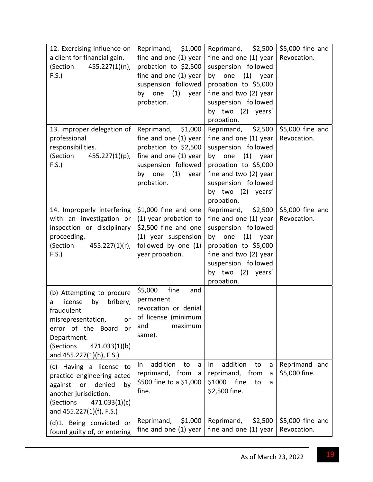| 12. Exercising influence on<br>a client for financial gain.<br>(Section<br>$455.227(1)(n)$ ,<br>F.S.                                                                                                       | Reprimand, \$1,000<br>fine and one (1) year<br>probation to \$2,500<br>fine and one (1) year<br>suspension followed<br>(1)<br>by one<br>year<br>probation.    | Reprimand, \$2,500<br>fine and one (1) year<br>suspension followed<br>$(1)$ year<br>by one<br>probation to \$5,000<br>fine and two (2) year<br>suspension followed<br>by two (2) years'<br>probation.    | \$5,000 fine and<br>Revocation. |
|------------------------------------------------------------------------------------------------------------------------------------------------------------------------------------------------------------|---------------------------------------------------------------------------------------------------------------------------------------------------------------|----------------------------------------------------------------------------------------------------------------------------------------------------------------------------------------------------------|---------------------------------|
| 13. Improper delegation of<br>professional<br>responsibilities.<br>(Section<br>455.227(1)(p),<br>F.S.                                                                                                      | \$1,000<br>Reprimand,<br>fine and one (1) year<br>probation to \$2,500<br>fine and one (1) year<br>suspension followed<br>(1)<br>by one<br>year<br>probation. | \$2,500<br>Reprimand,<br>fine and one (1) year<br>suspension followed<br>$(1)$ year<br>by one<br>probation to \$5,000<br>fine and two (2) year<br>suspension followed<br>by two (2) years'<br>probation. | \$5,000 fine and<br>Revocation. |
| 14. Improperly interfering<br>with an investigation or<br>inspection or disciplinary<br>proceeding.<br>(Section<br>$455.227(1)(r)$ ,<br>F.S.                                                               | $$1,000$ fine and one<br>(1) year probation to<br>\$2,500 fine and one<br>(1) year suspension<br>followed by one (1)<br>year probation.                       | Reprimand, \$2,500<br>fine and one (1) year<br>suspension followed<br>$(1)$ year<br>by one<br>probation to \$5,000<br>fine and two (2) year<br>suspension followed<br>by two (2) years'<br>probation.    | \$5,000 fine and<br>Revocation. |
| (b) Attempting to procure<br>license<br>bribery,<br>by<br>a<br>fraudulent<br>misrepresentation,<br>or<br>error of the Board<br>or<br>Department.<br>(Sections<br>471.033(1)(b)<br>and 455.227(1)(h), F.S.) | \$5,000<br>fine<br>and<br>permanent<br>revocation or denial<br>of license (minimum<br>and<br>maximum<br>same).                                                |                                                                                                                                                                                                          |                                 |
| (c) Having a license to<br>practice engineering acted<br>denied<br>against<br>or<br>by<br>another jurisdiction.<br>(Sections<br>471.033(1)(c)<br>and 455.227(1)(f), F.S.)                                  | addition<br>to<br>In.<br>a<br>reprimand, from<br>a<br>\$500 fine to a \$1,000<br>fine.                                                                        | addition<br>to<br>In<br>a<br>reprimand, from<br>a<br>\$1000 fine<br>to<br>a<br>\$2,500 fine.                                                                                                             | Reprimand and<br>\$5,000 fine.  |
| (d)1. Being convicted or<br>found guilty of, or entering                                                                                                                                                   | \$1,000<br>Reprimand,<br>fine and one (1) year                                                                                                                | Reprimand,<br>\$2,500<br>fine and one (1) year                                                                                                                                                           | \$5,000 fine and<br>Revocation. |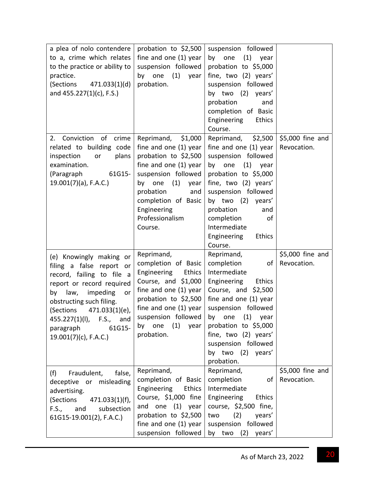| a plea of nolo contendere<br>to a, crime which relates<br>to the practice or ability to<br>practice.<br>(Sections<br>471.033(1)(d)<br>and 455.227(1)(c), F.S.)                                                                                                                             | probation to \$2,500<br>fine and one (1) year<br>suspension followed<br>$(1)$ year<br>by one<br>probation.                                                                                                                              | suspension followed<br>$(1)$ year<br>by one<br>probation to \$5,000<br>fine, two (2) years'<br>suspension followed<br>by two (2) years'<br>probation<br>and<br>completion of Basic<br>Engineering<br>Ethics<br>Course.                                                                      |                                 |
|--------------------------------------------------------------------------------------------------------------------------------------------------------------------------------------------------------------------------------------------------------------------------------------------|-----------------------------------------------------------------------------------------------------------------------------------------------------------------------------------------------------------------------------------------|---------------------------------------------------------------------------------------------------------------------------------------------------------------------------------------------------------------------------------------------------------------------------------------------|---------------------------------|
| 2. Conviction of<br>crime<br>related to building code<br>plans<br>inspection<br>or<br>examination.<br>(Paragraph<br>61G15-<br>$19.001(7)(a)$ , F.A.C.)                                                                                                                                     | Reprimand, \$1,000<br>fine and one (1) year<br>probation to \$2,500<br>fine and one (1) year<br>suspension followed<br>(1)<br>by<br>one<br>year<br>probation<br>and<br>completion of Basic<br>Engineering<br>Professionalism<br>Course. | Reprimand, \$2,500<br>fine and one $(1)$ year<br>suspension followed<br>$(1)$ year<br>by one<br>probation to \$5,000<br>fine, two (2) years'<br>suspension followed<br>by two (2) years'<br>probation<br>and<br>completion<br>of<br>Intermediate<br>Engineering<br><b>Ethics</b><br>Course. | \$5,000 fine and<br>Revocation. |
| (e) Knowingly making or<br>filing a false report<br>or<br>record, failing to file a<br>report or record required<br>law,<br>impeding<br>by<br>or<br>obstructing such filing.<br>(Sections<br>471.033(1)(e),<br>455.227(1)(I), F.S.,<br>and<br>paragraph<br>61G15-<br>19.001(7)(c), F.A.C.) | Reprimand,<br>completion of Basic<br>Ethics<br>Engineering<br>Course, and $$1,000$<br>fine and one (1) year<br>probation to \$2,500<br>fine and one (1) year<br>suspension followed<br>(1)<br>by one<br>year<br>probation.              | Reprimand,<br>completion<br>of<br>Intermediate<br>Engineering<br><b>Ethics</b><br>Course, and \$2,500<br>fine and one (1) year<br>suspension followed<br>by one (1) year<br>probation to \$5,000<br>fine, two (2) years'<br>suspension followed<br>by two (2) years'<br>probation.          | \$5,000 fine and<br>Revocation. |
| (f)<br>Fraudulent,<br>false,<br>deceptive or misleading<br>advertising.<br>471.033(1)(f),<br>(Sections<br>subsection<br>F.S., and<br>61G15-19.001(2), F.A.C.)                                                                                                                              | Reprimand,<br>completion of Basic<br>Engineering<br>Ethics<br>Course, \$1,000 fine<br>and one (1) year<br>probation to \$2,500<br>fine and one (1) year<br>suspension followed                                                          | Reprimand,<br>completion<br>of<br>Intermediate<br>Engineering<br>Ethics<br>course, \$2,500 fine,<br>(2)<br>years'<br>two<br>suspension followed<br>by two (2) years'                                                                                                                        | \$5,000 fine and<br>Revocation. |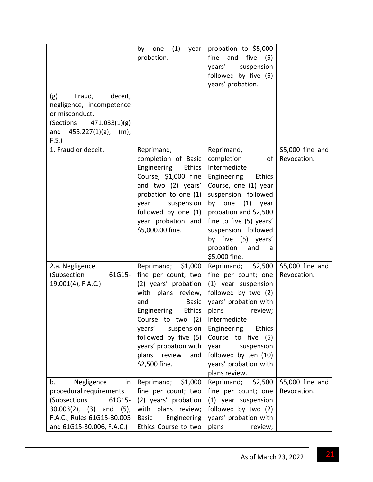| (g)<br>Fraud,<br>deceit,<br>negligence, incompetence<br>or misconduct.<br>(Sections 471.033(1)(g)           | (1)<br>year<br>by<br>one<br>probation.                                                                                                                                                                                                                                                     | probation to \$5,000<br>fine<br>and five (5)<br>suspension<br>years'<br>followed by five (5)<br>years' probation.                                                                                                                                                                                     |                                 |
|-------------------------------------------------------------------------------------------------------------|--------------------------------------------------------------------------------------------------------------------------------------------------------------------------------------------------------------------------------------------------------------------------------------------|-------------------------------------------------------------------------------------------------------------------------------------------------------------------------------------------------------------------------------------------------------------------------------------------------------|---------------------------------|
| $455.227(1)(a)$ ,<br>and<br>$(m)$ ,<br>F.S.                                                                 |                                                                                                                                                                                                                                                                                            |                                                                                                                                                                                                                                                                                                       |                                 |
| 1. Fraud or deceit.                                                                                         | Reprimand,<br>completion of Basic<br>Engineering<br>Ethics<br>Course, \$1,000 fine<br>and two (2) years'<br>probation to one (1)<br>suspension<br>year<br>followed by one (1)<br>year probation and<br>\$5,000.00 fine.                                                                    | Reprimand,<br>completion<br>οf<br>Intermediate<br>Engineering<br><b>Ethics</b><br>Course, one (1) year<br>suspension followed<br>$(1)$ year<br>by one<br>probation and \$2,500<br>fine to five (5) years'<br>suspension followed<br>by five (5) years'<br>probation<br>and<br>a<br>\$5,000 fine.      | \$5,000 fine and<br>Revocation. |
| 2.a. Negligence.<br>(Subsection<br>61G15-<br>$19.001(4)$ , F.A.C.)                                          | \$1,000<br>Reprimand;<br>fine per count; two<br>(2) years' probation<br>with plans review,<br>and<br><b>Basic</b><br>Engineering<br><b>Ethics</b><br>Course to two (2)<br>suspension<br>years'<br>followed by five (5)<br>years' probation with<br>plans<br>review<br>and<br>\$2,500 fine. | \$2,500<br>Reprimand;<br>fine per count; one<br>(1) year suspension<br>followed by two (2)<br>years' probation with<br>plans<br>review;<br>Intermediate<br>Engineering<br><b>Ethics</b><br>Course to five (5)<br>year<br>suspension<br>followed by ten (10)<br>years' probation with<br>plans review. | \$5,000 fine and<br>Revocation. |
| Negligence<br>b.<br>in<br>procedural requirements.<br>61G15-                                                | Reprimand;<br>\$1,000<br>fine per count; two<br>(2) years' probation                                                                                                                                                                                                                       | Reprimand;<br>\$2,500<br>fine per count; one<br>(1) year suspension                                                                                                                                                                                                                                   | \$5,000 fine and<br>Revocation. |
| (Subsections<br>$30.003(2)$ , (3)<br>and $(5)$ ,<br>F.A.C.; Rules 61G15-30.005<br>and 61G15-30.006, F.A.C.) | with plans review;<br>Engineering<br><b>Basic</b><br>Ethics Course to two                                                                                                                                                                                                                  | followed by two (2)<br>years' probation with<br>plans<br>review;                                                                                                                                                                                                                                      |                                 |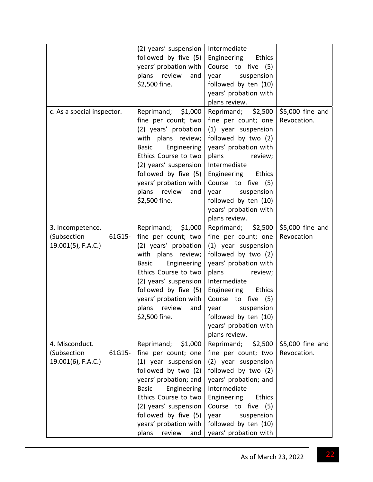|                            | (2) years' suspension   Intermediate |                              |                  |
|----------------------------|--------------------------------------|------------------------------|------------------|
|                            | followed by five (5)                 | Engineering<br>Ethics        |                  |
|                            | years' probation with                | Course to five (5)           |                  |
|                            | plans review<br>and                  | year suspension              |                  |
|                            | \$2,500 fine.                        | followed by ten (10)         |                  |
|                            |                                      | years' probation with        |                  |
|                            |                                      | plans review.                |                  |
| c. As a special inspector. | Reprimand; \$1,000                   | Reprimand; \$2,500           | \$5,000 fine and |
|                            | fine per count; two                  | fine per count; one          | Revocation.      |
|                            | (2) years' probation                 | (1) year suspension          |                  |
|                            | with plans review;                   | followed by two (2)          |                  |
|                            | Basic Engineering                    | years' probation with        |                  |
|                            | Ethics Course to two                 | plans<br>review;             |                  |
|                            | (2) years' suspension                | Intermediate                 |                  |
|                            | followed by five (5)                 | Engineering Ethics           |                  |
|                            | years' probation with                | Course to five (5)           |                  |
|                            | plans review<br>and                  | year suspension              |                  |
|                            | \$2,500 fine.                        | followed by ten (10)         |                  |
|                            |                                      | years' probation with        |                  |
|                            |                                      |                              |                  |
|                            |                                      | plans review.                |                  |
| 3. Incompetence.           | Reprimand; \$1,000                   | Reprimand; \$2,500           | \$5,000 fine and |
| (Subsection<br>61G15-      | fine per count; two                  | fine per count; one          | Revocation       |
| 19.001(5), F.A.C.)         | (2) years' probation                 | (1) year suspension          |                  |
|                            | with plans review;                   | followed by two (2)          |                  |
|                            | <b>Basic</b><br>Engineering          | years' probation with        |                  |
|                            | Ethics Course to two                 | plans<br>review;             |                  |
|                            | (2) years' suspension                | Intermediate                 |                  |
|                            | followed by five (5)                 | Engineering Ethics           |                  |
|                            | years' probation with                | Course to five (5)           |                  |
|                            | plans review<br>and                  | suspension<br>year           |                  |
|                            | \$2,500 fine.                        | followed by ten (10)         |                  |
|                            |                                      | years' probation with        |                  |
|                            |                                      | plans review.                |                  |
| 4. Misconduct.             | Reprimand;<br>\$1,000                | Reprimand;<br>\$2,500        | \$5,000 fine and |
| (Subsection<br>61G15-      | fine per count; one                  | fine per count; two          | Revocation.      |
| 19.001(6), F.A.C.)         | (1) year suspension                  | (2) year suspension          |                  |
|                            | followed by two (2)                  | followed by two (2)          |                  |
|                            | years' probation; and                | years' probation; and        |                  |
|                            | <b>Basic</b><br>Engineering          | Intermediate                 |                  |
|                            | Ethics Course to two                 | Engineering<br><b>Ethics</b> |                  |
|                            | (2) years' suspension                | Course to five (5)           |                  |
|                            | followed by five (5)                 | suspension<br>year           |                  |
|                            | years' probation with                | followed by ten (10)         |                  |
|                            | plans<br>review<br>and               | years' probation with        |                  |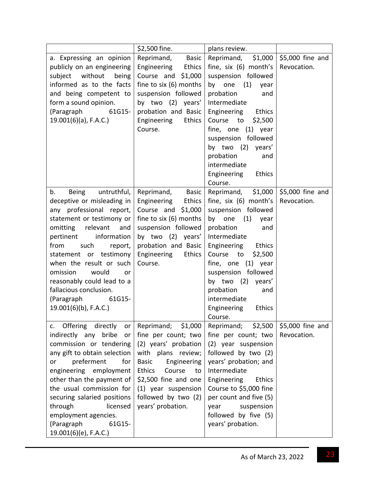|                                                                                                                                                                                                                                                                                                                                                                                                            | \$2,500 fine.                                                                                                                                                                                                                               | plans review.                                                                                                                                                                                                                                                                                                                        |                                 |
|------------------------------------------------------------------------------------------------------------------------------------------------------------------------------------------------------------------------------------------------------------------------------------------------------------------------------------------------------------------------------------------------------------|---------------------------------------------------------------------------------------------------------------------------------------------------------------------------------------------------------------------------------------------|--------------------------------------------------------------------------------------------------------------------------------------------------------------------------------------------------------------------------------------------------------------------------------------------------------------------------------------|---------------------------------|
| a. Expressing an opinion<br>publicly on an engineering<br>subject without<br>being<br>informed as to the facts<br>and being competent to<br>form a sound opinion.<br>(Paragraph<br>61G15-<br>$19.001(6)(a)$ , F.A.C.)                                                                                                                                                                                      | Basic<br>Reprimand,<br>Engineering<br>Ethics<br>Course and \$1,000<br>fine to six (6) months<br>suspension followed<br>by two (2) years'<br>probation and Basic<br>Ethics<br>Engineering<br>Course.                                         | \$1,000<br>Reprimand,<br>fine, six (6) month's<br>suspension followed<br>by one<br>(1)<br>year<br>probation<br>and<br>Intermediate<br>Engineering Ethics<br>Course<br>to<br>\$2,500<br>fine, one (1) year<br>suspension followed<br>by two (2) years'<br>probation<br>and<br>intermediate<br>Engineering<br><b>Ethics</b><br>Course. | \$5,000 fine and<br>Revocation. |
| untruthful,<br>b.<br><b>Being</b><br>deceptive or misleading in<br>any professional report,<br>statement or testimony or<br>relevant<br>omitting<br>and<br>information<br>pertinent<br>from<br>such<br>report,<br>statement or testimony<br>when the result or such<br>omission<br>would<br>or<br>reasonably could lead to a<br>fallacious conclusion.<br>61G15-<br>(Paragraph<br>$19.001(6)(b)$ , F.A.C.) | Reprimand,<br><b>Basic</b><br>Engineering<br>Ethics<br>Course and $$1,000$<br>fine to six (6) months<br>suspension followed<br>by two (2) years'<br>probation and Basic<br>Engineering<br>Ethics<br>Course.                                 | Reprimand, \$1,000<br>fine, six (6) month's<br>suspension followed<br>(1)<br>by one<br>year<br>probation<br>and<br>Intermediate<br>Engineering<br>Ethics<br>Course<br>to<br>\$2,500<br>fine, one (1) year<br>suspension followed<br>by two (2) years'<br>probation<br>and<br>intermediate<br>Engineering<br><b>Ethics</b><br>Course. | \$5,000 fine and<br>Revocation. |
| Offering<br>directly<br>or<br>c.<br>indirectly any bribe<br>or<br>commission or tendering<br>any gift to obtain selection<br>preferment<br>for<br>or<br>engineering employment<br>other than the payment of<br>the usual commission for<br>securing salaried positions<br>through<br>licensed<br>employment agencies.<br>(Paragraph<br>61G15-<br>19.001(6)(e), F.A.C.)                                     | Reprimand; \$1,000<br>fine per count; two<br>(2) years' probation<br>with plans review;<br><b>Basic</b><br>Engineering<br>Ethics<br>Course<br>to<br>\$2,500 fine and one<br>(1) year suspension<br>followed by two (2)<br>years' probation. | Reprimand; \$2,500<br>fine per count; two<br>(2) year suspension<br>followed by two (2)<br>years' probation; and<br>Intermediate<br>Engineering<br><b>Ethics</b><br>Course to \$5,000 fine<br>per count and five (5)<br>year<br>suspension<br>followed by five (5)<br>years' probation.                                              | \$5,000 fine and<br>Revocation. |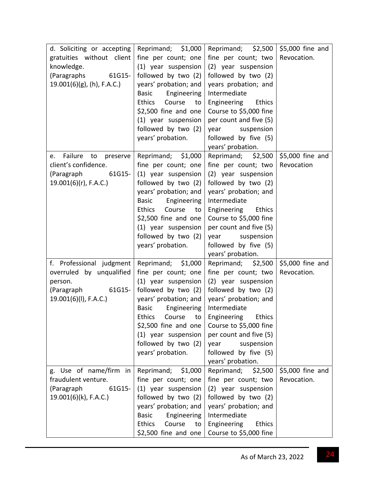| d. Soliciting or accepting<br>gratuities without client<br>knowledge.<br>(Paragraphs<br>61G15-<br>$19.001(6)(g)$ , (h), F.A.C.) | Reprimand; \$1,000<br>fine per count; one<br>(1) year suspension<br>followed by two (2)<br>years' probation; and<br>Basic<br>Engineering<br><b>Ethics</b><br>Course<br>to<br>\$2,500 fine and one<br>(1) year suspension<br>followed by two (2)<br>years' probation.        | Reprimand; \$2,500<br>fine per count; two<br>(2) year suspension<br>followed by two (2)<br>years probation; and<br>Intermediate<br>Engineering Ethics<br>Course to \$5,000 fine<br>per count and five (5)<br>year<br>suspension<br>followed by five (5)                                            | \$5,000 fine and<br>Revocation. |
|---------------------------------------------------------------------------------------------------------------------------------|-----------------------------------------------------------------------------------------------------------------------------------------------------------------------------------------------------------------------------------------------------------------------------|----------------------------------------------------------------------------------------------------------------------------------------------------------------------------------------------------------------------------------------------------------------------------------------------------|---------------------------------|
| Failure<br>to<br>preserve<br>e.<br>client's confidence.<br>(Paragraph<br>61G15-<br>19.001(6)(r), F.A.C.)                        | Reprimand; \$1,000<br>fine per count; one<br>(1) year suspension<br>followed by two (2)<br>years' probation; and<br>Engineering<br><b>Basic</b><br>Course<br><b>Ethics</b><br>to<br>\$2,500 fine and one<br>(1) year suspension<br>followed by two (2)<br>years' probation. | years' probation.<br>Reprimand; \$2,500<br>fine per count; two<br>(2) year suspension<br>followed by two (2)<br>years' probation; and<br>Intermediate<br>Engineering Ethics<br>Course to \$5,000 fine<br>per count and five (5)<br>suspension<br>year<br>followed by five (5)<br>years' probation. | \$5,000 fine and<br>Revocation  |
| f. Professional judgment<br>overruled by unqualified<br>person.<br>(Paragraph<br>61G15-<br>$19.001(6)(I)$ , F.A.C.)             | Reprimand; \$1,000<br>fine per count; one<br>(1) year suspension<br>followed by two (2)<br>years' probation; and<br>Engineering<br><b>Basic</b><br>$$2,500$ fine and one<br>(1) year suspension<br>followed by two (2)<br>years' probation.                                 | Reprimand; \$2,500<br>fine per count; two<br>(2) year suspension<br>followed by two (2)<br>years' probation; and<br>Intermediate<br>Ethics Course to Engineering Ethics<br>Course to \$5,000 fine<br>per count and five (5)<br>suspension<br>year<br>followed by five (5)<br>years' probation.     | \$5,000 fine and<br>Revocation. |
| g. Use of name/firm in<br>fraudulent venture.<br>61G15-<br>(Paragraph<br>$19.001(6)(k)$ , F.A.C.)                               | Reprimand; \$1,000<br>fine per count; one<br>(1) year suspension<br>followed by two (2)<br>years' probation; and<br><b>Basic</b><br>Engineering<br><b>Ethics</b><br>Course<br>to<br>$$2,500$ fine and one                                                                   | Reprimand; \$2,500<br>fine per count; two<br>(2) year suspension<br>followed by two (2)<br>years' probation; and<br>Intermediate<br>Engineering<br><b>Ethics</b><br>Course to \$5,000 fine                                                                                                         | \$5,000 fine and<br>Revocation. |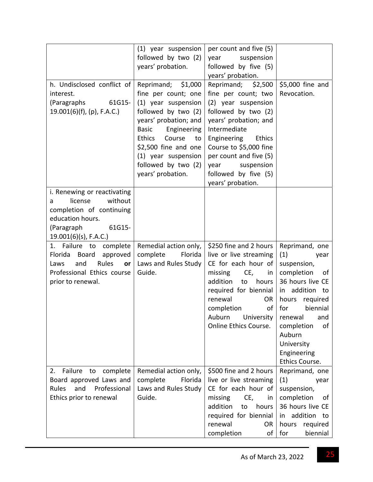| h. Undisclosed conflict of<br>interest.<br>61G15-<br>(Paragraphs<br>$19.001(6)(f)$ , (p), F.A.C.)                                                          | (1) year suspension<br>followed by two (2)<br>years' probation.<br>Reprimand; \$1,000<br>fine per count; one<br>(1) year suspension<br>followed by two (2)<br>years' probation; and<br>Engineering<br><b>Basic</b><br>Ethics<br>Course<br>to<br>\$2,500 fine and one | per count and five (5)<br>suspension<br>year<br>followed by five (5)<br>years' probation.<br>Reprimand;<br>\$2,500<br>fine per count; two<br>(2) year suspension<br>followed by two (2)<br>years' probation; and<br>Intermediate<br>Engineering<br>Ethics<br>Course to \$5,000 fine | \$5,000 fine and<br>Revocation.                                                                                                                                                                                                            |
|------------------------------------------------------------------------------------------------------------------------------------------------------------|----------------------------------------------------------------------------------------------------------------------------------------------------------------------------------------------------------------------------------------------------------------------|-------------------------------------------------------------------------------------------------------------------------------------------------------------------------------------------------------------------------------------------------------------------------------------|--------------------------------------------------------------------------------------------------------------------------------------------------------------------------------------------------------------------------------------------|
|                                                                                                                                                            | (1) year suspension<br>followed by two (2)<br>years' probation.                                                                                                                                                                                                      | per count and five (5)<br>suspension<br>year<br>followed by five (5)<br>years' probation.                                                                                                                                                                                           |                                                                                                                                                                                                                                            |
| i. Renewing or reactivating<br>without<br>license<br>a<br>completion of continuing<br>education hours.<br>(Paragraph<br>61G15-<br>$19.001(6)(s)$ , F.A.C.) |                                                                                                                                                                                                                                                                      |                                                                                                                                                                                                                                                                                     |                                                                                                                                                                                                                                            |
| Failure<br>complete<br>to<br>1.<br>Florida<br>Board<br>approved<br>Rules<br>and<br>Laws<br>or<br>Professional Ethics course<br>prior to renewal.           | Remedial action only,<br>complete<br>Florida<br>Laws and Rules Study<br>Guide.                                                                                                                                                                                       | \$250 fine and 2 hours<br>live or live streaming<br>CE for each hour of<br>missing<br>CE,<br>in<br>addition<br>hours<br>to<br>required for biennial<br>renewal<br><b>OR</b><br>of<br>completion<br>Auburn University<br>Online Ethics Course.                                       | Reprimand, one<br>(1)<br>year<br>suspension,<br>completion<br>of<br>36 hours live CE<br>in addition to<br>required<br>hours<br>biennial<br>for<br>renewal and<br>of<br>completion<br>Auburn<br>University<br>Engineering<br>Ethics Course. |
| Failure<br>2.<br>to<br>complete<br>Board approved Laws and                                                                                                 | Remedial action only,<br>complete<br>Florida                                                                                                                                                                                                                         | \$500 fine and 2 hours<br>live or live streaming                                                                                                                                                                                                                                    | Reprimand, one<br>(1)<br>year                                                                                                                                                                                                              |
| Professional<br>and<br><b>Rules</b>                                                                                                                        | Laws and Rules Study                                                                                                                                                                                                                                                 | CE for each hour of                                                                                                                                                                                                                                                                 | suspension,                                                                                                                                                                                                                                |
| Ethics prior to renewal                                                                                                                                    | Guide.                                                                                                                                                                                                                                                               | missing<br>CE,<br>in                                                                                                                                                                                                                                                                | completion<br>0f                                                                                                                                                                                                                           |
|                                                                                                                                                            |                                                                                                                                                                                                                                                                      | addition<br>to<br>hours                                                                                                                                                                                                                                                             | 36 hours live CE                                                                                                                                                                                                                           |
|                                                                                                                                                            |                                                                                                                                                                                                                                                                      | required for biennial<br>renewal<br>0R                                                                                                                                                                                                                                              | addition to<br>in<br>hours<br>required                                                                                                                                                                                                     |
|                                                                                                                                                            |                                                                                                                                                                                                                                                                      | completion<br>оf                                                                                                                                                                                                                                                                    | for<br>biennial                                                                                                                                                                                                                            |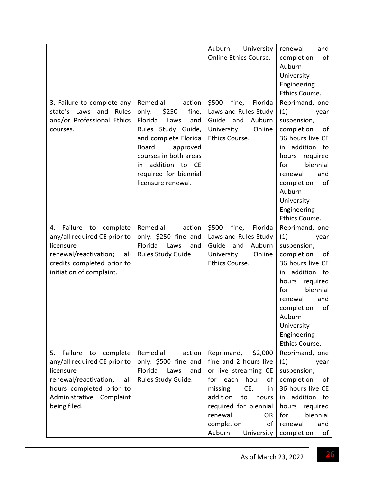|                                                                                                                                                                                      |                                                                                                                                                                                                                                                    | University<br>Auburn<br>Online Ethics Course.                                                                                                                                                                                             | renewal<br>and<br>completion<br>of<br>Auburn<br>University<br>Engineering                                                                                                                                                                                       |
|--------------------------------------------------------------------------------------------------------------------------------------------------------------------------------------|----------------------------------------------------------------------------------------------------------------------------------------------------------------------------------------------------------------------------------------------------|-------------------------------------------------------------------------------------------------------------------------------------------------------------------------------------------------------------------------------------------|-----------------------------------------------------------------------------------------------------------------------------------------------------------------------------------------------------------------------------------------------------------------|
| 3. Failure to complete any<br>state's Laws and Rules<br>and/or Professional Ethics<br>courses.                                                                                       | Remedial<br>action<br>only:<br>\$250<br>fine,<br>Florida<br>Laws<br>and<br>Rules Study Guide,<br>and complete Florida<br><b>Board</b><br>approved<br>courses in both areas<br>addition to CE<br>in.<br>required for biennial<br>licensure renewal. | \$500<br>fine,<br>Florida<br>Laws and Rules Study<br>Guide<br>and<br>Auburn<br>Online<br>University<br>Ethics Course.                                                                                                                     | Ethics Course.<br>Reprimand, one<br>(1)<br>year<br>suspension,<br>completion<br>of<br>36 hours live CE<br>addition to<br>in<br>hours required<br>biennial<br>for<br>renewal<br>and<br>completion<br>of<br>Auburn<br>University<br>Engineering<br>Ethics Course. |
| Failure<br>4.<br>to<br>complete<br>any/all required CE prior to<br>licensure<br>renewal/reactivation;<br>all<br>credits completed prior to<br>initiation of complaint.               | Remedial<br>action<br>only: \$250 fine and<br>Florida<br>Laws<br>and<br>Rules Study Guide.                                                                                                                                                         | \$500<br>fine,<br>Florida<br>Laws and Rules Study<br>Guide<br>Auburn<br>and<br>Online<br>University<br>Ethics Course.                                                                                                                     | Reprimand, one<br>(1)<br>year<br>suspension,<br>completion<br>of<br>36 hours live CE<br>addition to<br>in<br>required<br>hours<br>biennial<br>for<br>renewal<br>and<br>completion<br>of<br>Auburn<br>University<br>Engineering<br>Ethics Course.                |
| 5.<br>Failure<br>to<br>complete<br>any/all required CE prior to<br>licensure<br>renewal/reactivation,<br>all<br>hours completed prior to<br>Administrative Complaint<br>being filed. | Remedial<br>action<br>only: \$500 fine and<br>Florida<br>Laws<br>and<br>Rules Study Guide.                                                                                                                                                         | Reprimand,<br>\$2,000<br>fine and 2 hours live<br>or live streaming CE<br>for each<br>hour<br>of<br>CE,<br>missing<br>in<br>addition<br>hours<br>to<br>required for biennial<br>renewal<br>0R<br>completion<br>of<br>Auburn<br>University | Reprimand, one<br>(1)<br>year<br>suspension,<br>completion<br>οf<br>36 hours live CE<br>addition to<br>in<br>required<br>hours<br>biennial<br>for<br>renewal<br>and<br>completion<br>of                                                                         |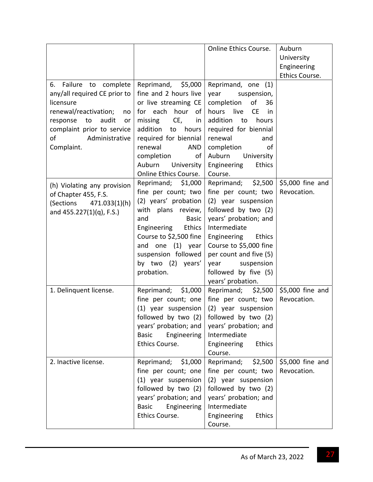|                                                                                                                                                                                                         |                                                                                                                                                                                                                                                      | Online Ethics Course.                                                                                                                                                                                                                                                         | Auburn<br>University<br>Engineering<br>Ethics Course. |
|---------------------------------------------------------------------------------------------------------------------------------------------------------------------------------------------------------|------------------------------------------------------------------------------------------------------------------------------------------------------------------------------------------------------------------------------------------------------|-------------------------------------------------------------------------------------------------------------------------------------------------------------------------------------------------------------------------------------------------------------------------------|-------------------------------------------------------|
| 6. Failure to complete<br>any/all required CE prior to<br>licensure<br>renewal/reactivation;<br>no<br>response<br>to<br>audit<br>or<br>complaint prior to service<br>Administrative<br>of<br>Complaint. | Reprimand, \$5,000<br>fine and 2 hours live<br>or live streaming CE<br>for each hour of<br>CE,<br>missing<br>in<br>addition to hours<br>required for biennial<br>renewal<br>AND<br>completion<br>of<br>Auburn<br>University<br>Online Ethics Course. | Reprimand, one (1)<br>year suspension,<br>completion<br>of<br>36<br>hours live<br><b>CE</b><br>in<br>addition<br>hours<br>to<br>required for biennial<br>renewal<br>and<br>completion<br>of<br>Auburn<br>University<br>Engineering<br>Ethics<br>Course.                       |                                                       |
| (h) Violating any provision<br>of Chapter 455, F.S.<br>(Sections 471.033(1)(h)<br>and 455.227(1)(q), F.S.)                                                                                              | Reprimand; \$1,000<br>fine per count; two<br>(2) years' probation<br>with plans review,<br>and<br><b>Basic</b><br>Engineering<br>Ethics<br>Course to \$2,500 fine<br>and one (1) year<br>suspension followed<br>by two (2) years'<br>probation.      | Reprimand; \$2,500<br>fine per count; two<br>(2) year suspension<br>followed by two (2)<br>years' probation; and<br>Intermediate<br>Engineering Ethics<br>Course to \$5,000 fine<br>per count and five (5)<br>suspension<br>year<br>followed by five (5)<br>years' probation. | \$5,000 fine and<br>Revocation.                       |
| 1. Delinquent license.                                                                                                                                                                                  | Reprimand; \$1,000<br>fine per count; one<br>(1) year suspension<br>years' probation; and<br><b>Basic</b><br>Engineering<br>Ethics Course.                                                                                                           | Reprimand; \$2,500<br>fine per count; two<br>(2) year suspension<br>followed by two $(2)$ followed by two $(2)$<br>years' probation; and<br>Intermediate<br>Engineering<br><b>Ethics</b><br>Course.                                                                           | \$5,000 fine and<br>Revocation.                       |
| 2. Inactive license.                                                                                                                                                                                    | Reprimand; \$1,000<br>fine per count; one<br>(1) year suspension<br>followed by two (2)<br>years' probation; and<br><b>Basic</b><br>Engineering<br>Ethics Course.                                                                                    | Reprimand;<br>\$2,500<br>fine per count; two<br>(2) year suspension<br>followed by two (2)<br>years' probation; and<br>Intermediate<br>Engineering<br><b>Ethics</b><br>Course.                                                                                                | \$5,000 fine and<br>Revocation.                       |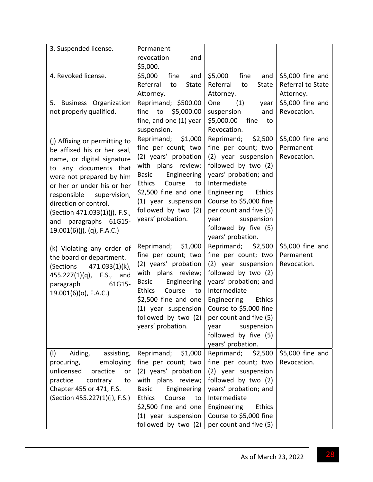| 3. Suspended license.                                                                                                                                                                                                                                                                                                         | Permanent<br>revocation<br>and<br>\$5,000.                                                                                                                                                                                                         |                                                                                                                                                                                                                                                                                      |                                                    |
|-------------------------------------------------------------------------------------------------------------------------------------------------------------------------------------------------------------------------------------------------------------------------------------------------------------------------------|----------------------------------------------------------------------------------------------------------------------------------------------------------------------------------------------------------------------------------------------------|--------------------------------------------------------------------------------------------------------------------------------------------------------------------------------------------------------------------------------------------------------------------------------------|----------------------------------------------------|
| 4. Revoked license.                                                                                                                                                                                                                                                                                                           | fine<br>\$5,000<br>and<br>Referral<br>to<br>State<br>Attorney.                                                                                                                                                                                     | \$5,000<br>fine<br>and<br>Referral<br>to<br>State<br>Attorney.                                                                                                                                                                                                                       | \$5,000 fine and<br>Referral to State<br>Attorney. |
| 5. Business Organization<br>not properly qualified.                                                                                                                                                                                                                                                                           | Reprimand; \$500.00<br>fine to \$5,000.00<br>fine, and one (1) year<br>suspension.                                                                                                                                                                 | (1)<br>One<br>year<br>suspension<br>and<br>\$5,000.00<br>fine<br>to<br>Revocation.                                                                                                                                                                                                   | \$5,000 fine and<br>Revocation.                    |
| (j) Affixing or permitting to<br>be affixed his or her seal,<br>name, or digital signature<br>to any documents that<br>were not prepared by him<br>or her or under his or her<br>responsible supervision,<br>direction or control.<br>(Section 471.033(1)(j), F.S.,<br>and paragraphs 61G15-<br>$19.001(6)(j)$ , (q), F.A.C.) | Reprimand; \$1,000<br>fine per count; two<br>(2) years' probation<br>with plans review;<br>Engineering<br>Basic<br>Ethics<br>Course<br>to<br>\$2,500 fine and one<br>(1) year suspension<br>followed by two (2)<br>years' probation.               | Reprimand; \$2,500<br>fine per count; two<br>(2) year suspension<br>followed by two (2)<br>years' probation; and<br>Intermediate<br><b>Ethics</b><br>Engineering<br>Course to \$5,000 fine<br>per count and five (5)<br>year suspension<br>followed by five (5)<br>years' probation. | \$5,000 fine and<br>Permanent<br>Revocation.       |
| (k) Violating any order of<br>the board or department.<br>(Sections 471.033(1)(k),<br>$455.227(1)(q)$ , F.S., and<br>paragraph<br>61G15-<br>$19.001(6)(o)$ , F.A.C.)                                                                                                                                                          | Reprimand; \$1,000<br>fine per count; two<br>(2) years' probation<br>with plans review;<br>Engineering<br><b>Basic</b><br><b>Ethics</b><br>Course<br>to<br>\$2,500 fine and one<br>(1) year suspension<br>followed by two (2)<br>years' probation. | Reprimand; \$2,500<br>fine per count; two<br>(2) year suspension<br>followed by two (2)<br>years' probation; and<br>Intermediate<br>Engineering<br>Ethics<br>Course to \$5,000 fine<br>per count and five (5)<br>suspension<br>year<br>followed by five (5)<br>years' probation.     | \$5,000 fine and<br>Permanent<br>Revocation.       |
| (1)<br>Aiding,<br>assisting,<br>procuring,<br>employing<br>unlicensed<br>practice<br>or<br>practice<br>contrary<br>to<br>Chapter 455 or 471, F.S.<br>(Section 455.227(1)(j), F.S.)                                                                                                                                            | Reprimand;<br>\$1,000<br>fine per count; two<br>(2) years' probation<br>with plans review;<br><b>Basic</b><br>Engineering<br><b>Ethics</b><br>Course<br>to<br>\$2,500 fine and one<br>(1) year suspension<br>followed by two (2)                   | Reprimand;<br>\$2,500<br>fine per count; two<br>(2) year suspension<br>followed by two (2)<br>years' probation; and<br>Intermediate<br>Engineering<br>Ethics<br>Course to \$5,000 fine<br>per count and five (5)                                                                     | \$5,000 fine and<br>Revocation.                    |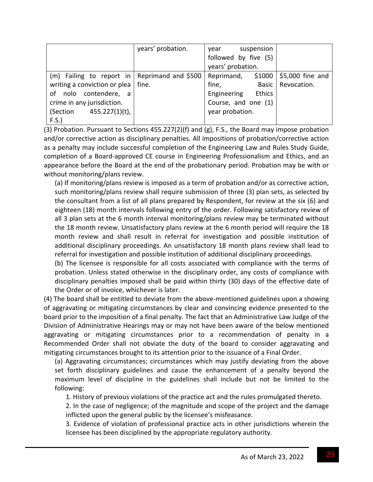|                                              | years' probation. | suspension<br>vear    |                                |
|----------------------------------------------|-------------------|-----------------------|--------------------------------|
|                                              |                   | followed by five (5)  |                                |
|                                              |                   | years' probation.     |                                |
| (m) Failing to report in Reprimand and \$500 |                   | \$1000<br>Reprimand,  | $\frac{1}{2}$ \$5,000 fine and |
| writing a conviction or plea $\vert$ fine.   |                   | fine,<br><b>Basic</b> | Revocation.                    |
| of nolo contendere, a                        |                   | Ethics<br>Engineering |                                |
| crime in any jurisdiction.                   |                   | Course, and one (1)   |                                |
| (Section $455.227(1)(t)$ ,                   |                   | year probation.       |                                |
| F.S.                                         |                   |                       |                                |

(3) Probation. Pursuant to Sections 455.227(2)(f) and (g), F.S., the Board may impose probation and/or corrective action as disciplinary penalties. All impositions of probation/corrective action as a penalty may include successful completion of the Engineering Law and Rules Study Guide, completion of a Board‐approved CE course in Engineering Professionalism and Ethics, and an appearance before the Board at the end of the probationary period. Probation may be with or without monitoring/plans review.

(a) If monitoring/plans review is imposed as a term of probation and/or as corrective action, such monitoring/plans review shall require submission of three (3) plan sets, as selected by the consultant from a list of all plans prepared by Respondent, for review at the six (6) and eighteen (18) month intervals following entry of the order. Following satisfactory review of all 3 plan sets at the 6 month interval monitoring/plans review may be terminated without the 18 month review. Unsatisfactory plans review at the 6 month period will require the 18 month review and shall result in referral for investigation and possible institution of additional disciplinary proceedings. An unsatisfactory 18 month plans review shall lead to referral for investigation and possible institution of additional disciplinary proceedings.

(b) The licensee is responsible for all costs associated with compliance with the terms of probation. Unless stated otherwise in the disciplinary order, any costs of compliance with disciplinary penalties imposed shall be paid within thirty (30) days of the effective date of the Order or of invoice, whichever is later.

(4) The board shall be entitled to deviate from the above‐mentioned guidelines upon a showing of aggravating or mitigating circumstances by clear and convincing evidence presented to the board prior to the imposition of a final penalty. The fact that an Administrative Law Judge of the Division of Administrative Hearings may or may not have been aware of the below mentioned aggravating or mitigating circumstances prior to a recommendation of penalty in a Recommended Order shall not obviate the duty of the board to consider aggravating and mitigating circumstances brought to its attention prior to the issuance of a Final Order.

(a) Aggravating circumstances; circumstances which may justify deviating from the above set forth disciplinary guidelines and cause the enhancement of a penalty beyond the maximum level of discipline in the guidelines shall include but not be limited to the following:

1. History of previous violations of the practice act and the rules promulgated thereto.

2. In the case of negligence; of the magnitude and scope of the project and the damage inflicted upon the general public by the licensee's misfeasance.

3. Evidence of violation of professional practice acts in other jurisdictions wherein the licensee has been disciplined by the appropriate regulatory authority.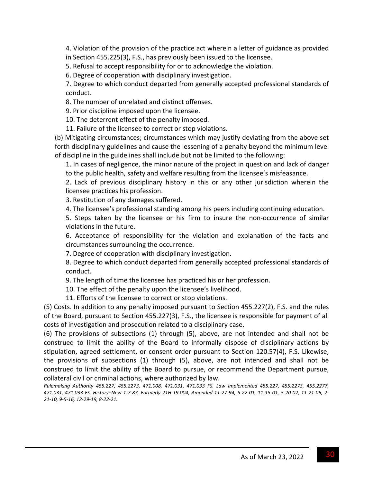4. Violation of the provision of the practice act wherein a letter of guidance as provided in Section 455.225(3), F.S., has previously been issued to the licensee.

5. Refusal to accept responsibility for or to acknowledge the violation.

6. Degree of cooperation with disciplinary investigation.

7. Degree to which conduct departed from generally accepted professional standards of conduct.

8. The number of unrelated and distinct offenses.

9. Prior discipline imposed upon the licensee.

10. The deterrent effect of the penalty imposed.

11. Failure of the licensee to correct or stop violations.

(b) Mitigating circumstances; circumstances which may justify deviating from the above set forth disciplinary guidelines and cause the lessening of a penalty beyond the minimum level of discipline in the guidelines shall include but not be limited to the following:

1. In cases of negligence, the minor nature of the project in question and lack of danger to the public health, safety and welfare resulting from the licensee's misfeasance.

2. Lack of previous disciplinary history in this or any other jurisdiction wherein the licensee practices his profession.

3. Restitution of any damages suffered.

4. The licensee's professional standing among his peers including continuing education.

5. Steps taken by the licensee or his firm to insure the non-occurrence of similar violations in the future.

6. Acceptance of responsibility for the violation and explanation of the facts and circumstances surrounding the occurrence.

7. Degree of cooperation with disciplinary investigation.

8. Degree to which conduct departed from generally accepted professional standards of conduct.

9. The length of time the licensee has practiced his or her profession.

10. The effect of the penalty upon the licensee's livelihood.

11. Efforts of the licensee to correct or stop violations.

(5) Costs. In addition to any penalty imposed pursuant to Section 455.227(2), F.S. and the rules of the Board, pursuant to Section 455.227(3), F.S., the licensee is responsible for payment of all costs of investigation and prosecution related to a disciplinary case.

(6) The provisions of subsections (1) through (5), above, are not intended and shall not be construed to limit the ability of the Board to informally dispose of disciplinary actions by stipulation, agreed settlement, or consent order pursuant to Section 120.57(4), F.S. Likewise, the provisions of subsections (1) through (5), above, are not intended and shall not be construed to limit the ability of the Board to pursue, or recommend the Department pursue, collateral civil or criminal actions, where authorized by law.

*Rulemaking Authority 455.227, 455.2273, 471.008, 471.031, 471.033 FS. Law Implemented 455.227, 455.2273, 455.2277,* 471.031, 471.033 FS. History-New 1-7-87, Formerly 21H-19.004, Amended 11-27-94, 5-22-01, 11-15-01, 5-20-02, 11-21-06, 2-*21‐10, 9‐5‐16, 12‐29‐19, 8‐22‐21.*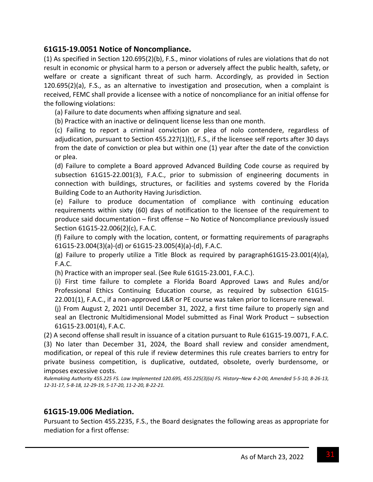## **61G15‐19.0051 Notice of Noncompliance.**

(1) As specified in Section 120.695(2)(b), F.S., minor violations of rules are violations that do not result in economic or physical harm to a person or adversely affect the public health, safety, or welfare or create a significant threat of such harm. Accordingly, as provided in Section 120.695(2)(a), F.S., as an alternative to investigation and prosecution, when a complaint is received, FEMC shall provide a licensee with a notice of noncompliance for an initial offense for the following violations:

(a) Failure to date documents when affixing signature and seal.

(b) Practice with an inactive or delinquent license less than one month.

(c) Failing to report a criminal conviction or plea of nolo contendere, regardless of adjudication, pursuant to Section 455.227(1)(t), F.S., if the licensee self reports after 30 days from the date of conviction or plea but within one (1) year after the date of the conviction or plea.

(d) Failure to complete a Board approved Advanced Building Code course as required by subsection 61G15‐22.001(3), F.A.C., prior to submission of engineering documents in connection with buildings, structures, or facilities and systems covered by the Florida Building Code to an Authority Having Jurisdiction.

(e) Failure to produce documentation of compliance with continuing education requirements within sixty (60) days of notification to the licensee of the requirement to produce said documentation – first offense – No Notice of Noncompliance previously issued Section 61G15‐22.006(2)(c), F.A.C.

(f) Failure to comply with the location, content, or formatting requirements of paragraphs 61G15‐23.004(3)(a)‐(d) or 61G15‐23.005(4)(a)‐(d), F.A.C.

(g) Failure to properly utilize a Title Block as required by paragraph61G15-23.001(4)(a), F.A.C.

(h) Practice with an improper seal. (See Rule 61G15‐23.001, F.A.C.).

(i) First time failure to complete a Florida Board Approved Laws and Rules and/or Professional Ethics Continuing Education course, as required by subsection 61G15‐ 22.001(1), F.A.C., if a non‐approved L&R or PE course was taken prior to licensure renewal.

(j) From August 2, 2021 until December 31, 2022, a first time failure to properly sign and seal an Electronic Multidimensional Model submitted as Final Work Product – subsection 61G15‐23.001(4), F.A.C.

(2) A second offense shall result in issuance of a citation pursuant to Rule 61G15‐19.0071, F.A.C. (3) No later than December 31, 2024, the Board shall review and consider amendment, modification, or repeal of this rule if review determines this rule creates barriers to entry for private business competition, is duplicative, outdated, obsolete, overly burdensome, or imposes excessive costs.

Rulemaking Authority 455.225 FS. Law Implemented 120.695, 455.225(3)(a) FS. History-New 4-2-00, Amended 5-5-10, 8-26-13, 12-31-17, 5-8-18, 12-29-19, 5-17-20, 11-2-20, 8-22-21.

#### **61G15‐19.006 Mediation.**

Pursuant to Section 455.2235, F.S., the Board designates the following areas as appropriate for mediation for a first offense: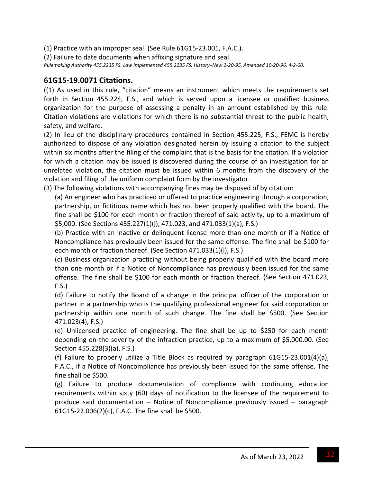(1) Practice with an improper seal. (See Rule 61G15‐23.001, F.A.C.).

(2) Failure to date documents when affixing signature and seal.

Rulemaking Authority 455.2235 FS. Law Implemented 455.2235 FS. History-New 2-20-95, Amended 10-20-96, 4-2-00.

#### **61G15‐19.0071 Citations.**

((1) As used in this rule, "citation" means an instrument which meets the requirements set forth in Section 455.224, F.S., and which is served upon a licensee or qualified business organization for the purpose of assessing a penalty in an amount established by this rule. Citation violations are violations for which there is no substantial threat to the public health, safety, and welfare.

(2) In lieu of the disciplinary procedures contained in Section 455.225, F.S., FEMC is hereby authorized to dispose of any violation designated herein by issuing a citation to the subject within six months after the filing of the complaint that is the basis for the citation. If a violation for which a citation may be issued is discovered during the course of an investigation for an unrelated violation, the citation must be issued within 6 months from the discovery of the violation and filing of the uniform complaint form by the investigator.

(3) The following violations with accompanying fines may be disposed of by citation:

(a) An engineer who has practiced or offered to practice engineering through a corporation, partnership, or fictitious name which has not been properly qualified with the board. The fine shall be \$100 for each month or fraction thereof of said activity, up to a maximum of \$5,000. (See Sections 455.227(1)(j), 471.023, and 471.033(1)(a), F.S.)

(b) Practice with an inactive or delinquent license more than one month or if a Notice of Noncompliance has previously been issued for the same offense. The fine shall be \$100 for each month or fraction thereof. (See Section 471.033(1)(i), F.S.)

(c) Business organization practicing without being properly qualified with the board more than one month or if a Notice of Noncompliance has previously been issued for the same offense. The fine shall be \$100 for each month or fraction thereof. (See Section 471.023, F.S.)

(d) Failure to notify the Board of a change in the principal officer of the corporation or partner in a partnership who is the qualifying professional engineer for said corporation or partnership within one month of such change. The fine shall be \$500. (See Section 471.023(4), F.S.)

(e) Unlicensed practice of engineering. The fine shall be up to \$250 for each month depending on the severity of the infraction practice, up to a maximum of \$5,000.00. (See Section 455.228(3)(a), F.S.)

(f) Failure to properly utilize a Title Block as required by paragraph 61G15‐23.001(4)(a), F.A.C., if a Notice of Noncompliance has previously been issued for the same offense. The fine shall be \$500.

(g) Failure to produce documentation of compliance with continuing education requirements within sixty (60) days of notification to the licensee of the requirement to produce said documentation – Notice of Noncompliance previously issued – paragraph 61G15‐22.006(2)(c), F.A.C. The fine shall be \$500.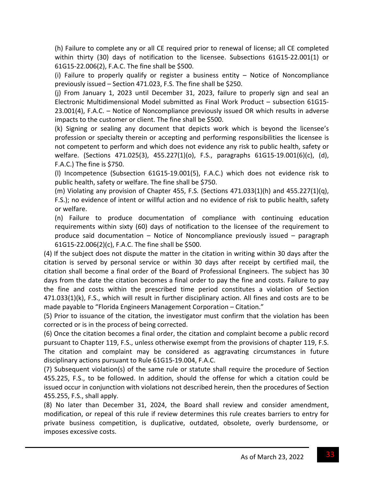(h) Failure to complete any or all CE required prior to renewal of license; all CE completed within thirty (30) days of notification to the licensee. Subsections 61G15‐22.001(1) or 61G15‐22.006(2), F.A.C. The fine shall be \$500.

(i) Failure to properly qualify or register a business entity – Notice of Noncompliance previously issued – Section 471.023, F.S. The fine shall be \$250.

(j) From January 1, 2023 until December 31, 2023, failure to properly sign and seal an Electronic Multidimensional Model submitted as Final Work Product – subsection 61G15‐ 23.001(4), F.A.C. – Notice of Noncompliance previously issued OR which results in adverse impacts to the customer or client. The fine shall be \$500.

(k) Signing or sealing any document that depicts work which is beyond the licensee's profession or specialty therein or accepting and performing responsibilities the licensee is not competent to perform and which does not evidence any risk to public health, safety or welfare. (Sections 471.025(3), 455.227(1)(o), F.S., paragraphs 61G15‐19.001(6)(c), (d), F.A.C.) The fine is \$750.

(l) Incompetence (Subsection 61G15‐19.001(5), F.A.C.) which does not evidence risk to public health, safety or welfare. The fine shall be \$750.

(m) Violating any provision of Chapter 455, F.S. (Sections  $471.033(1)(h)$  and  $455.227(1)(q)$ , F.S.); no evidence of intent or willful action and no evidence of risk to public health, safety or welfare.

(n) Failure to produce documentation of compliance with continuing education requirements within sixty (60) days of notification to the licensee of the requirement to produce said documentation – Notice of Noncompliance previously issued – paragraph 61G15‐22.006(2)(c), F.A.C. The fine shall be \$500.

(4) If the subject does not dispute the matter in the citation in writing within 30 days after the citation is served by personal service or within 30 days after receipt by certified mail, the citation shall become a final order of the Board of Professional Engineers. The subject has 30 days from the date the citation becomes a final order to pay the fine and costs. Failure to pay the fine and costs within the prescribed time period constitutes a violation of Section 471.033(1)(k), F.S., which will result in further disciplinary action. All fines and costs are to be made payable to "Florida Engineers Management Corporation – Citation."

(5) Prior to issuance of the citation, the investigator must confirm that the violation has been corrected or is in the process of being corrected.

(6) Once the citation becomes a final order, the citation and complaint become a public record pursuant to Chapter 119, F.S., unless otherwise exempt from the provisions of chapter 119, F.S. The citation and complaint may be considered as aggravating circumstances in future disciplinary actions pursuant to Rule 61G15‐19.004, F.A.C.

(7) Subsequent violation(s) of the same rule or statute shall require the procedure of Section 455.225, F.S., to be followed. In addition, should the offense for which a citation could be issued occur in conjunction with violations not described herein, then the procedures of Section 455.255, F.S., shall apply.

(8) No later than December 31, 2024, the Board shall review and consider amendment, modification, or repeal of this rule if review determines this rule creates barriers to entry for private business competition, is duplicative, outdated, obsolete, overly burdensome, or imposes excessive costs.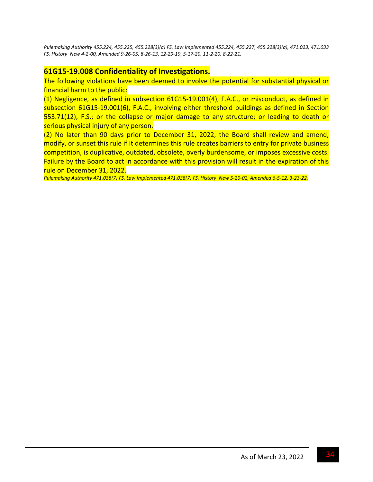*Rulemaking Authority 455.224, 455.225, 455.228(3)(a) FS. Law Implemented 455.224, 455.227, 455.228(3)(a), 471.023, 471.033* FS. History-New 4-2-00, Amended 9-26-05, 8-26-13, 12-29-19, 5-17-20, 11-2-20, 8-22-21.

## **61G15‐19.008 Confidentiality of Investigations.**

The following violations have been deemed to involve the potential for substantial physical or financial harm to the public:

(1) Negligence, as defined in subsection 61G15‐19.001(4), F.A.C., or misconduct, as defined in subsection 61G15‐19.001(6), F.A.C., involving either threshold buildings as defined in Section 553.71(12), F.S.; or the collapse or major damage to any structure; or leading to death or serious physical injury of any person.

(2) No later than 90 days prior to December 31, 2022, the Board shall review and amend, modify, or sunset this rule if it determines this rule creates barriers to entry for private business competition, is duplicative, outdated, obsolete, overly burdensome, or imposes excessive costs. Failure by the Board to act in accordance with this provision will result in the expiration of this rule on December 31, 2022.

Rulemaking Authority 471.038(7) FS. Law Implemented 471.038(7) FS. History-New 5-20-02, Amended 6-5-12, 3-23-22.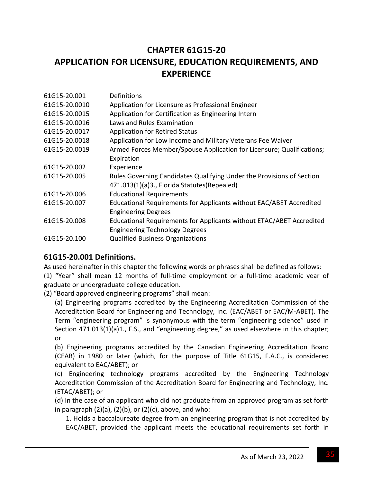# **CHAPTER 61G15‐20 APPLICATION FOR LICENSURE, EDUCATION REQUIREMENTS, AND EXPERIENCE**

| 61G15-20.001  | Definitions                                                           |
|---------------|-----------------------------------------------------------------------|
| 61G15-20.0010 | Application for Licensure as Professional Engineer                    |
| 61G15-20.0015 | Application for Certification as Engineering Intern                   |
| 61G15-20.0016 | Laws and Rules Examination                                            |
| 61G15-20.0017 | <b>Application for Retired Status</b>                                 |
| 61G15-20.0018 | Application for Low Income and Military Veterans Fee Waiver           |
| 61G15-20.0019 | Armed Forces Member/Spouse Application for Licensure; Qualifications; |
|               | Expiration                                                            |
| 61G15-20.002  | Experience                                                            |
| 61G15-20.005  | Rules Governing Candidates Qualifying Under the Provisions of Section |
|               | 471.013(1)(a)3., Florida Statutes(Repealed)                           |
| 61G15-20.006  | <b>Educational Requirements</b>                                       |
| 61G15-20.007  | Educational Requirements for Applicants without EAC/ABET Accredited   |
|               | <b>Engineering Degrees</b>                                            |
| 61G15-20.008  | Educational Requirements for Applicants without ETAC/ABET Accredited  |
|               | <b>Engineering Technology Degrees</b>                                 |
| 61G15-20.100  | <b>Qualified Business Organizations</b>                               |

# **61G15‐20.001 Definitions.**

As used hereinafter in this chapter the following words or phrases shall be defined as follows:

(1) "Year" shall mean 12 months of full‐time employment or a full‐time academic year of graduate or undergraduate college education.

(2) "Board approved engineering programs" shall mean:

(a) Engineering programs accredited by the Engineering Accreditation Commission of the Accreditation Board for Engineering and Technology, Inc. (EAC/ABET or EAC/M‐ABET). The Term "engineering program" is synonymous with the term "engineering science" used in Section 471.013(1)(a)1., F.S., and "engineering degree," as used elsewhere in this chapter; or

(b) Engineering programs accredited by the Canadian Engineering Accreditation Board (CEAB) in 1980 or later (which, for the purpose of Title 61G15, F.A.C., is considered equivalent to EAC/ABET); or

(c) Engineering technology programs accredited by the Engineering Technology Accreditation Commission of the Accreditation Board for Engineering and Technology, Inc. (ETAC/ABET); or

(d) In the case of an applicant who did not graduate from an approved program as set forth in paragraph  $(2)(a)$ ,  $(2)(b)$ , or  $(2)(c)$ , above, and who:

1. Holds a baccalaureate degree from an engineering program that is not accredited by EAC/ABET, provided the applicant meets the educational requirements set forth in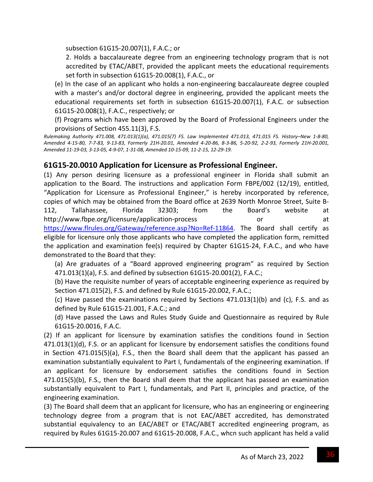subsection 61G15‐20.007(1), F.A.C.; or

2. Holds a baccalaureate degree from an engineering technology program that is not accredited by ETAC/ABET, provided the applicant meets the educational requirements set forth in subsection 61G15‐20.008(1), F.A.C., or

(e) In the case of an applicant who holds a non‐engineering baccalaureate degree coupled with a master's and/or doctoral degree in engineering, provided the applicant meets the educational requirements set forth in subsection 61G15‐20.007(1), F.A.C. or subsection 61G15‐20.008(1), F.A.C., respectively; or

(f) Programs which have been approved by the Board of Professional Engineers under the provisions of Section 455.11(3), F.S.

Rulemaking Authority 471.008, 471.013(1)(a), 471.015(7) FS. Law Implemented 471.013, 471.015 FS. History-New 1-8-80, Amended 4-15-80, 7-7-83, 9-13-83, Formerly 21H-20.01, Amended 4-20-86, 8-3-86, 5-20-92, 2-2-93, Formerly 21H-20.001, Amended 11-19-03, 3-13-05, 4-9-07, 1-31-08, Amended 10-15-09, 11-2-15, 12-29-19.

# **61G15‐20.0010 Application for Licensure as Professional Engineer.**

(1) Any person desiring licensure as a professional engineer in Florida shall submit an application to the Board. The instructions and application Form FBPE/002 (12/19), entitled, "Application for Licensure as Professional Engineer," is hereby incorporated by reference, copies of which may be obtained from the Board office at 2639 North Monroe Street, Suite B‐ 112, Tallahassee, Florida 32303; from the Board's website at http://www.fbpe.org/licensure/application-process or or at https://www.flrules.org/Gateway/reference.asp?No=Ref-11864. The Board shall certify as eligible for licensure only those applicants who have completed the application form, remitted the application and examination fee(s) required by Chapter 61G15‐24, F.A.C., and who have demonstrated to the Board that they:

(a) Are graduates of a "Board approved engineering program" as required by Section 471.013(1)(a), F.S. and defined by subsection 61G15‐20.001(2), F.A.C.;

(b) Have the requisite number of years of acceptable engineering experience as required by Section 471.015(2), F.S. and defined by Rule 61G15‐20.002, F.A.C.;

(c) Have passed the examinations required by Sections 471.013(1)(b) and (c), F.S. and as defined by Rule 61G15‐21.001, F.A.C.; and

(d) Have passed the Laws and Rules Study Guide and Questionnaire as required by Rule 61G15‐20.0016, F.A.C.

(2) If an applicant for licensure by examination satisfies the conditions found in Section 471.013(1)(d), F.S. or an applicant for licensure by endorsement satisfies the conditions found in Section 471.015(5)(a), F.S., then the Board shall deem that the applicant has passed an examination substantially equivalent to Part I, fundamentals of the engineering examination. If an applicant for licensure by endorsement satisfies the conditions found in Section 471.015(5)(b), F.S., then the Board shall deem that the applicant has passed an examination substantially equivalent to Part I, fundamentals, and Part II, principles and practice, of the engineering examination.

(3) The Board shall deem that an applicant for licensure, who has an engineering or engineering technology degree from a program that is not EAC/ABET accredited, has demonstrated substantial equivalency to an EAC/ABET or ETAC/ABET accredited engineering program, as required by Rules 61G15‐20.007 and 61G15‐20.008, F.A.C., whcn such applicant has held a valid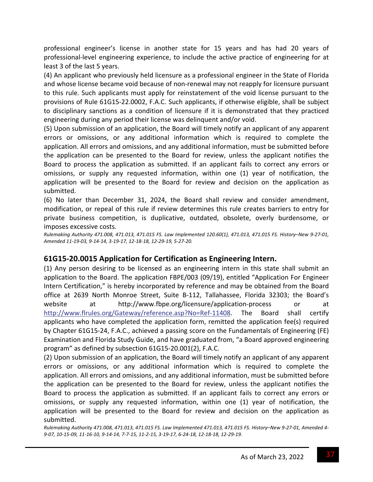professional engineer's license in another state for 15 years and has had 20 years of professional‐level engineering experience, to include the active practice of engineering for at least 3 of the last 5 years.

(4) An applicant who previously held licensure as a professional engineer in the State of Florida and whose license became void because of non-renewal may not reapply for licensure pursuant to this rule. Such applicants must apply for reinstatement of the void license pursuant to the provisions of Rule 61G15‐22.0002, F.A.C. Such applicants, if otherwise eligible, shall be subject to disciplinary sanctions as a condition of licensure if it is demonstrated that they practiced engineering during any period their license was delinquent and/or void.

(5) Upon submission of an application, the Board will timely notify an applicant of any apparent errors or omissions, or any additional information which is required to complete the application. All errors and omissions, and any additional information, must be submitted before the application can be presented to the Board for review, unless the applicant notifies the Board to process the application as submitted. If an applicant fails to correct any errors or omissions, or supply any requested information, within one (1) year of notification, the application will be presented to the Board for review and decision on the application as submitted.

(6) No later than December 31, 2024, the Board shall review and consider amendment, modification, or repeal of this rule if review determines this rule creates barriers to entry for private business competition, is duplicative, outdated, obsolete, overly burdensome, or imposes excessive costs.

Rulemaking Authority 471.008, 471.013, 471.015 FS. Law Implemented 120.60(1), 471.013, 471.015 FS. History-New 9-27-01, Amended 11-19-03, 9-14-14, 3-19-17, 12-18-18, 12-29-19, 5-27-20.

### **61G15‐20.0015 Application for Certification as Engineering Intern.**

(1) Any person desiring to be licensed as an engineering intern in this state shall submit an application to the Board. The application FBPE/003 (09/19), entitled "Application For Engineer Intern Certification," is hereby incorporated by reference and may be obtained from the Board office at 2639 North Monroe Street, Suite B‐112, Tallahassee, Florida 32303; the Board's website at http://www.fbpe.org/licensure/application-process or at http://www.flrules.org/Gateway/reference.asp?No=Ref-11408. The Board shall certify applicants who have completed the application form, remitted the application fee(s) required by Chapter 61G15‐24, F.A.C., achieved a passing score on the Fundamentals of Engineering (FE) Examination and Florida Study Guide, and have graduated from, "a Board approved engineering program" as defined by subsection 61G15‐20.001(2), F.A.C.

(2) Upon submission of an application, the Board will timely notify an applicant of any apparent errors or omissions, or any additional information which is required to complete the application. All errors and omissions, and any additional information, must be submitted before the application can be presented to the Board for review, unless the applicant notifies the Board to process the application as submitted. If an applicant fails to correct any errors or omissions, or supply any requested information, within one (1) year of notification, the application will be presented to the Board for review and decision on the application as submitted.

Rulemaking Authority 471.008, 471.013, 471.015 FS. Law Implemented 471.013, 471.015 FS. History-New 9-27-01, Amended 4-9-07, 10-15-09, 11-16-10, 9-14-14, 7-7-15, 11-2-15, 3-19-17, 6-24-18, 12-18-18, 12-29-19.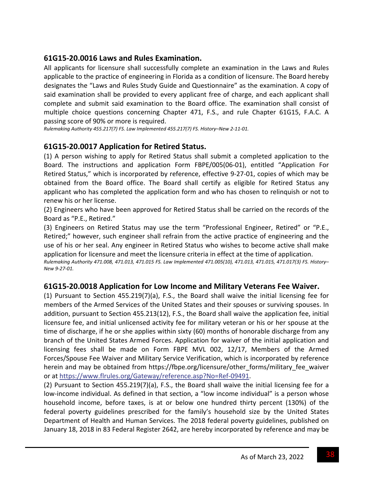## **61G15‐20.0016 Laws and Rules Examination.**

All applicants for licensure shall successfully complete an examination in the Laws and Rules applicable to the practice of engineering in Florida as a condition of licensure. The Board hereby designates the "Laws and Rules Study Guide and Questionnaire" as the examination. A copy of said examination shall be provided to every applicant free of charge, and each applicant shall complete and submit said examination to the Board office. The examination shall consist of multiple choice questions concerning Chapter 471, F.S., and rule Chapter 61G15, F.A.C. A passing score of 90% or more is required.

*Rulemaking Authority 455.217(7) FS. Law Implemented 455.217(7) FS. History–New 2‐11‐01.*

# **61G15‐20.0017 Application for Retired Status.**

(1) A person wishing to apply for Retired Status shall submit a completed application to the Board. The instructions and application Form FBPE/005(06‐01), entitled "Application For Retired Status," which is incorporated by reference, effective 9‐27‐01, copies of which may be obtained from the Board office. The Board shall certify as eligible for Retired Status any applicant who has completed the application form and who has chosen to relinquish or not to renew his or her license.

(2) Engineers who have been approved for Retired Status shall be carried on the records of the Board as "P.E., Retired."

(3) Engineers on Retired Status may use the term "Professional Engineer, Retired" or "P.E., Retired;" however, such engineer shall refrain from the active practice of engineering and the use of his or her seal. Any engineer in Retired Status who wishes to become active shall make application for licensure and meet the licensure criteria in effect at the time of application.

*Rulemaking Authority 471.008, 471.013, 471.015 FS. Law Implemented 471.005(10), 471.013, 471.015, 471.017(3) FS. History– New 9‐27‐01.*

## **61G15‐20.0018 Application for Low Income and Military Veterans Fee Waiver.**

(1) Pursuant to Section 455.219(7)(a), F.S., the Board shall waive the initial licensing fee for members of the Armed Services of the United States and their spouses or surviving spouses. In addition, pursuant to Section 455.213(12), F.S., the Board shall waive the application fee, initial licensure fee, and initial unlicensed activity fee for military veteran or his or her spouse at the time of discharge, if he or she applies within sixty (60) months of honorable discharge from any branch of the United States Armed Forces. Application for waiver of the initial application and licensing fees shall be made on Form FBPE MVL 002, 12/17, Members of the Armed Forces/Spouse Fee Waiver and Military Service Verification, which is incorporated by reference herein and may be obtained from https://fbpe.org/licensure/other forms/military fee waiver or at https://www.flrules.org/Gateway/reference.asp?No=Ref‐09491.

(2) Pursuant to Section 455.219(7)(a), F.S., the Board shall waive the initial licensing fee for a low-income individual. As defined in that section, a "low income individual" is a person whose household income, before taxes, is at or below one hundred thirty percent (130%) of the federal poverty guidelines prescribed for the family's household size by the United States Department of Health and Human Services. The 2018 federal poverty guidelines, published on January 18, 2018 in 83 Federal Register 2642, are hereby incorporated by reference and may be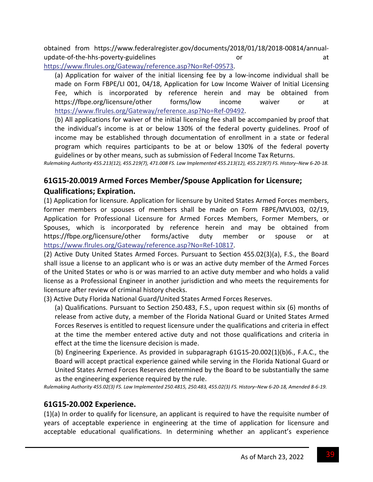obtained from https://www.federalregister.gov/documents/2018/01/18/2018‐00814/annual‐ update-of-the-hhs-poverty-guidelines and a series or at at a series or at a series at at a series or at a seri

https://www.flrules.org/Gateway/reference.asp?No=Ref‐09573.

(a) Application for waiver of the initial licensing fee by a low‐income individual shall be made on Form FBPE/LI 001, 04/18, Application for Low Income Waiver of Initial Licensing Fee, which is incorporated by reference herein and may be obtained from https://fbpe.org/licensure/other forms/low income waiver or at https://www.flrules.org/Gateway/reference.asp?No=Ref‐09492.

(b) All applications for waiver of the initial licensing fee shall be accompanied by proof that the individual's income is at or below 130% of the federal poverty guidelines. Proof of income may be established through documentation of enrollment in a state or federal program which requires participants to be at or below 130% of the federal poverty guidelines or by other means, such as submission of Federal Income Tax Returns.

Rulemaking Authority 455.213(12), 455.219(7), 471.008 FS. Law Implemented 455.213(12), 455.219(7) FS. History-New 6-20-18.

# **61G15‐20.0019 Armed Forces Member/Spouse Application for Licensure; Qualifications; Expiration.**

(1) Application for licensure. Application for licensure by United States Armed Forces members, former members or spouses of members shall be made on Form FBPE/MVL003, 02/19, Application for Professional Licensure for Armed Forces Members, Former Members, or Spouses, which is incorporated by reference herein and may be obtained from https://fbpe.org/licensure/other forms/active duty member or spouse or at https://www.flrules.org/Gateway/reference.asp?No=Ref‐10817.

(2) Active Duty United States Armed Forces. Pursuant to Section 455.02(3)(a), F.S., the Board shall issue a license to an applicant who is or was an active duty member of the Armed Forces of the United States or who is or was married to an active duty member and who holds a valid license as a Professional Engineer in another jurisdiction and who meets the requirements for licensure after review of criminal history checks.

(3) Active Duty Florida National Guard/United States Armed Forces Reserves.

(a) Qualifications. Pursuant to Section 250.483, F.S., upon request within six (6) months of release from active duty, a member of the Florida National Guard or United States Armed Forces Reserves is entitled to request licensure under the qualifications and criteria in effect at the time the member entered active duty and not those qualifications and criteria in effect at the time the licensure decision is made.

(b) Engineering Experience. As provided in subparagraph 61G15‐20.002(1)(b)6., F.A.C., the Board will accept practical experience gained while serving in the Florida National Guard or United States Armed Forces Reserves determined by the Board to be substantially the same as the engineering experience required by the rule.

Rulemaking Authority 455.02(3) FS. Law Implemented 250.4815, 250.483, 455.02(3) FS. History-New 6-20-18, Amended 8-6-19.

## **61G15‐20.002 Experience.**

(1)(a) In order to qualify for licensure, an applicant is required to have the requisite number of years of acceptable experience in engineering at the time of application for licensure and acceptable educational qualifications. In determining whether an applicant's experience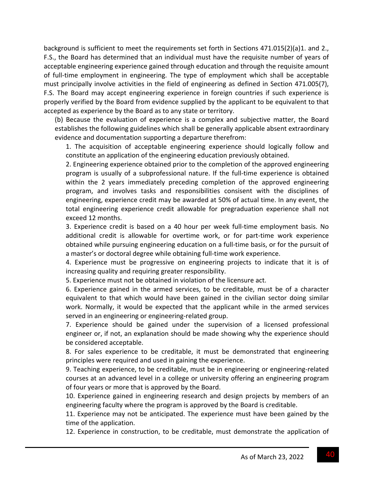background is sufficient to meet the requirements set forth in Sections 471.015(2)(a)1. and 2., F.S., the Board has determined that an individual must have the requisite number of years of acceptable engineering experience gained through education and through the requisite amount of full-time employment in engineering. The type of employment which shall be acceptable must principally involve activities in the field of engineering as defined in Section 471.005(7), F.S. The Board may accept engineering experience in foreign countries if such experience is properly verified by the Board from evidence supplied by the applicant to be equivalent to that accepted as experience by the Board as to any state or territory.

(b) Because the evaluation of experience is a complex and subjective matter, the Board establishes the following guidelines which shall be generally applicable absent extraordinary evidence and documentation supporting a departure therefrom:

1. The acquisition of acceptable engineering experience should logically follow and constitute an application of the engineering education previously obtained.

2. Engineering experience obtained prior to the completion of the approved engineering program is usually of a subprofessional nature. If the full‐time experience is obtained within the 2 years immediately preceding completion of the approved engineering program, and involves tasks and responsibilities consisent with the disciplines of engineering, experience credit may be awarded at 50% of actual time. In any event, the total engineering experience credit allowable for pregraduation experience shall not exceed 12 months.

3. Experience credit is based on a 40 hour per week full‐time employment basis. No additional credit is allowable for overtime work, or for part‐time work experience obtained while pursuing engineering education on a full‐time basis, or for the pursuit of a master's or doctoral degree while obtaining full‐time work experience.

4. Experience must be progressive on engineering projects to indicate that it is of increasing quality and requiring greater responsibility.

5. Experience must not be obtained in violation of the licensure act.

6. Experience gained in the armed services, to be creditable, must be of a character equivalent to that which would have been gained in the civilian sector doing similar work. Normally, it would be expected that the applicant while in the armed services served in an engineering or engineering‐related group.

7. Experience should be gained under the supervision of a licensed professional engineer or, if not, an explanation should be made showing why the experience should be considered acceptable.

8. For sales experience to be creditable, it must be demonstrated that engineering principles were required and used in gaining the experience.

9. Teaching experience, to be creditable, must be in engineering or engineering-related courses at an advanced level in a college or university offering an engineering program of four years or more that is approved by the Board.

10. Experience gained in engineering research and design projects by members of an engineering faculty where the program is approved by the Board is creditable.

11. Experience may not be anticipated. The experience must have been gained by the time of the application.

12. Experience in construction, to be creditable, must demonstrate the application of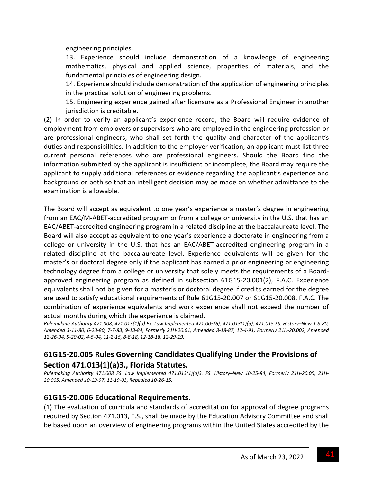engineering principles.

13. Experience should include demonstration of a knowledge of engineering mathematics, physical and applied science, properties of materials, and the fundamental principles of engineering design.

14. Experience should include demonstration of the application of engineering principles in the practical solution of engineering problems.

15. Engineering experience gained after licensure as a Professional Engineer in another jurisdiction is creditable.

(2) In order to verify an applicant's experience record, the Board will require evidence of employment from employers or supervisors who are employed in the engineering profession or are professional engineers, who shall set forth the quality and character of the applicant's duties and responsibilities. In addition to the employer verification, an applicant must list three current personal references who are professional engineers. Should the Board find the information submitted by the applicant is insufficient or incomplete, the Board may require the applicant to supply additional references or evidence regarding the applicant's experience and background or both so that an intelligent decision may be made on whether admittance to the examination is allowable.

The Board will accept as equivalent to one year's experience a master's degree in engineering from an EAC/M-ABET-accredited program or from a college or university in the U.S. that has an EAC/ABET‐accredited engineering program in a related discipline at the baccalaureate level. The Board will also accept as equivalent to one year's experience a doctorate in engineering from a college or university in the U.S. that has an EAC/ABET‐accredited engineering program in a related discipline at the baccalaureate level. Experience equivalents will be given for the master's or doctoral degree only if the applicant has earned a prior engineering or engineering technology degree from a college or university that solely meets the requirements of a Board‐ approved engineering program as defined in subsection 61G15‐20.001(2), F.A.C. Experience equivalents shall not be given for a master's or doctoral degree if credits earned for the degree are used to satisfy educational requirements of Rule 61G15‐20.007 or 61G15‐20.008, F.A.C. The combination of experience equivalents and work experience shall not exceed the number of actual months during which the experience is claimed.

Rulemaking Authority 471.008, 471.013(1)(a) FS. Law Implemented 471.005(6), 471.013(1)(a), 471.015 FS. History-New 1-8-80, Amended 3-11-80, 6-23-80, 7-7-83, 9-13-84, Formerly 21H-20.01, Amended 8-18-87, 12-4-91, Formerly 21H-20.002, Amended 12-26-94, 5-20-02, 4-5-04, 11-2-15, 8-8-18, 12-18-18, 12-29-19.

## **61G15‐20.005 Rules Governing Candidates Qualifying Under the Provisions of Section 471.013(1)(a)3., Florida Statutes.**

Rulemaking Authority 471.008 FS. Law Implemented 471.013(1)(a)3. FS. History-New 10-25-84, Formerly 21H-20.05, 21H-*20.005, Amended 10‐19‐97, 11‐19‐03, Repealed 10‐26‐15.*

# **61G15‐20.006 Educational Requirements.**

(1) The evaluation of curricula and standards of accreditation for approval of degree programs required by Section 471.013, F.S., shall be made by the Education Advisory Committee and shall be based upon an overview of engineering programs within the United States accredited by the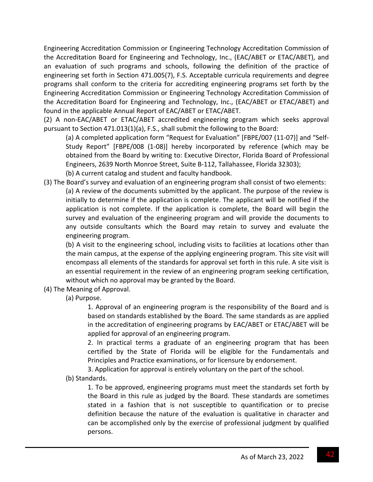Engineering Accreditation Commission or Engineering Technology Accreditation Commission of the Accreditation Board for Engineering and Technology, Inc., (EAC/ABET or ETAC/ABET), and an evaluation of such programs and schools, following the definition of the practice of engineering set forth in Section 471.005(7), F.S. Acceptable curricula requirements and degree programs shall conform to the criteria for accrediting engineering programs set forth by the Engineering Accreditation Commission or Engineering Technology Accreditation Commission of the Accreditation Board for Engineering and Technology, Inc., (EAC/ABET or ETAC/ABET) and found in the applicable Annual Report of EAC/ABET or ETAC/ABET.

(2) A non‐EAC/ABET or ETAC/ABET accredited engineering program which seeks approval pursuant to Section 471.013(1)(a), F.S., shall submit the following to the Board:

(a) A completed application form "Request for Evaluation" [FBPE/007 (11‐07)] and "Self‐ Study Report" [FBPE/008 (1‐08)] hereby incorporated by reference (which may be obtained from the Board by writing to: Executive Director, Florida Board of Professional Engineers, 2639 North Monroe Street, Suite B‐112, Tallahassee, Florida 32303);

- (b) A current catalog and student and faculty handbook.
- (3) The Board's survey and evaluation of an engineering program shall consist of two elements: (a) A review of the documents submitted by the applicant. The purpose of the review is initially to determine if the application is complete. The applicant will be notified if the application is not complete. If the application is complete, the Board will begin the survey and evaluation of the engineering program and will provide the documents to any outside consultants which the Board may retain to survey and evaluate the engineering program.

(b) A visit to the engineering school, including visits to facilities at locations other than the main campus, at the expense of the applying engineering program. This site visit will encompass all elements of the standards for approval set forth in this rule. A site visit is an essential requirement in the review of an engineering program seeking certification, without which no approval may be granted by the Board.

(4) The Meaning of Approval.

(a) Purpose.

1. Approval of an engineering program is the responsibility of the Board and is based on standards established by the Board. The same standards as are applied in the accreditation of engineering programs by EAC/ABET or ETAC/ABET will be applied for approval of an engineering program.

2. In practical terms a graduate of an engineering program that has been certified by the State of Florida will be eligible for the Fundamentals and Principles and Practice examinations, or for licensure by endorsement.

3. Application for approval is entirely voluntary on the part of the school.

(b) Standards.

1. To be approved, engineering programs must meet the standards set forth by the Board in this rule as judged by the Board. These standards are sometimes stated in a fashion that is not susceptible to quantification or to precise definition because the nature of the evaluation is qualitative in character and can be accomplished only by the exercise of professional judgment by qualified persons.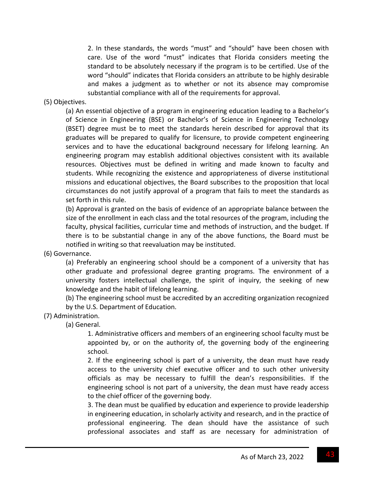2. In these standards, the words "must" and "should" have been chosen with care. Use of the word "must" indicates that Florida considers meeting the standard to be absolutely necessary if the program is to be certified. Use of the word "should" indicates that Florida considers an attribute to be highly desirable and makes a judgment as to whether or not its absence may compromise substantial compliance with all of the requirements for approval.

#### (5) Objectives.

(a) An essential objective of a program in engineering education leading to a Bachelor's of Science in Engineering (BSE) or Bachelor's of Science in Engineering Technology (BSET) degree must be to meet the standards herein described for approval that its graduates will be prepared to qualify for licensure, to provide competent engineering services and to have the educational background necessary for lifelong learning. An engineering program may establish additional objectives consistent with its available resources. Objectives must be defined in writing and made known to faculty and students. While recognizing the existence and appropriateness of diverse institutional missions and educational objectives, the Board subscribes to the proposition that local circumstances do not justify approval of a program that fails to meet the standards as set forth in this rule.

(b) Approval is granted on the basis of evidence of an appropriate balance between the size of the enrollment in each class and the total resources of the program, including the faculty, physical facilities, curricular time and methods of instruction, and the budget. If there is to be substantial change in any of the above functions, the Board must be notified in writing so that reevaluation may be instituted.

(6) Governance.

(a) Preferably an engineering school should be a component of a university that has other graduate and professional degree granting programs. The environment of a university fosters intellectual challenge, the spirit of inquiry, the seeking of new knowledge and the habit of lifelong learning.

(b) The engineering school must be accredited by an accrediting organization recognized by the U.S. Department of Education.

(7) Administration.

(a) General.

1. Administrative officers and members of an engineering school faculty must be appointed by, or on the authority of, the governing body of the engineering school.

2. If the engineering school is part of a university, the dean must have ready access to the university chief executive officer and to such other university officials as may be necessary to fulfill the dean's responsibilities. If the engineering school is not part of a university, the dean must have ready access to the chief officer of the governing body.

3. The dean must be qualified by education and experience to provide leadership in engineering education, in scholarly activity and research, and in the practice of professional engineering. The dean should have the assistance of such professional associates and staff as are necessary for administration of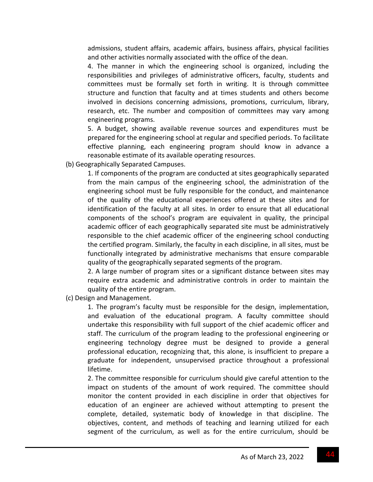admissions, student affairs, academic affairs, business affairs, physical facilities and other activities normally associated with the office of the dean.

4. The manner in which the engineering school is organized, including the responsibilities and privileges of administrative officers, faculty, students and committees must be formally set forth in writing. It is through committee structure and function that faculty and at times students and others become involved in decisions concerning admissions, promotions, curriculum, library, research, etc. The number and composition of committees may vary among engineering programs.

5. A budget, showing available revenue sources and expenditures must be prepared for the engineering school at regular and specified periods. To facilitate effective planning, each engineering program should know in advance a reasonable estimate of its available operating resources.

(b) Geographically Separated Campuses.

1. If components of the program are conducted at sites geographically separated from the main campus of the engineering school, the administration of the engineering school must be fully responsible for the conduct, and maintenance of the quality of the educational experiences offered at these sites and for identification of the faculty at all sites. In order to ensure that all educational components of the school's program are equivalent in quality, the principal academic officer of each geographically separated site must be administratively responsible to the chief academic officer of the engineering school conducting the certified program. Similarly, the faculty in each discipline, in all sites, must be functionally integrated by administrative mechanisms that ensure comparable quality of the geographically separated segments of the program.

2. A large number of program sites or a significant distance between sites may require extra academic and administrative controls in order to maintain the quality of the entire program.

(c) Design and Management.

1. The program's faculty must be responsible for the design, implementation, and evaluation of the educational program. A faculty committee should undertake this responsibility with full support of the chief academic officer and staff. The curriculum of the program leading to the professional engineering or engineering technology degree must be designed to provide a general professional education, recognizing that, this alone, is insufficient to prepare a graduate for independent, unsupervised practice throughout a professional lifetime.

2. The committee responsible for curriculum should give careful attention to the impact on students of the amount of work required. The committee should monitor the content provided in each discipline in order that objectives for education of an engineer are achieved without attempting to present the complete, detailed, systematic body of knowledge in that discipline. The objectives, content, and methods of teaching and learning utilized for each segment of the curriculum, as well as for the entire curriculum, should be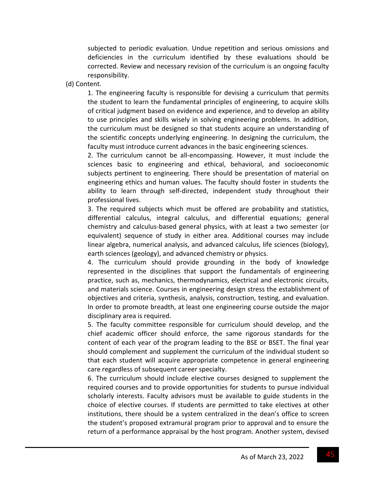subjected to periodic evaluation. Undue repetition and serious omissions and deficiencies in the curriculum identified by these evaluations should be corrected. Review and necessary revision of the curriculum is an ongoing faculty responsibility.

(d) Content.

1. The engineering faculty is responsible for devising a curriculum that permits the student to learn the fundamental principles of engineering, to acquire skills of critical judgment based on evidence and experience, and to develop an ability to use principles and skills wisely in solving engineering problems. In addition, the curriculum must be designed so that students acquire an understanding of the scientific concepts underlying engineering. In designing the curriculum, the faculty must introduce current advances in the basic engineering sciences.

2. The curriculum cannot be all‐encompassing. However, it must include the sciences basic to engineering and ethical, behavioral, and socioeconomic subjects pertinent to engineering. There should be presentation of material on engineering ethics and human values. The faculty should foster in students the ability to learn through self‐directed, independent study throughout their professional lives.

3. The required subjects which must be offered are probability and statistics, differential calculus, integral calculus, and differential equations; general chemistry and calculus‐based general physics, with at least a two semester (or equivalent) sequence of study in either area. Additional courses may include linear algebra, numerical analysis, and advanced calculus, life sciences (biology), earth sciences (geology), and advanced chemistry or physics.

4. The curriculum should provide grounding in the body of knowledge represented in the disciplines that support the fundamentals of engineering practice, such as, mechanics, thermodynamics, electrical and electronic circuits, and materials science. Courses in engineering design stress the establishment of objectives and criteria, synthesis, analysis, construction, testing, and evaluation. In order to promote breadth, at least one engineering course outside the major disciplinary area is required.

5. The faculty committee responsible for curriculum should develop, and the chief academic officer should enforce, the same rigorous standards for the content of each year of the program leading to the BSE or BSET. The final year should complement and supplement the curriculum of the individual student so that each student will acquire appropriate competence in general engineering care regardless of subsequent career specialty.

6. The curriculum should include elective courses designed to supplement the required courses and to provide opportunities for students to pursue individual scholarly interests. Faculty advisors must be available to guide students in the choice of elective courses. If students are permitted to take electives at other institutions, there should be a system centralized in the dean's office to screen the student's proposed extramural program prior to approval and to ensure the return of a performance appraisal by the host program. Another system, devised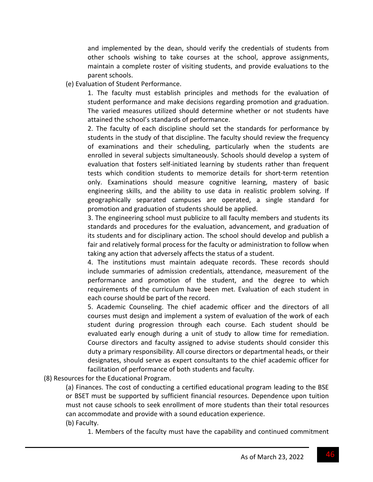and implemented by the dean, should verify the credentials of students from other schools wishing to take courses at the school, approve assignments, maintain a complete roster of visiting students, and provide evaluations to the parent schools.

(e) Evaluation of Student Performance.

1. The faculty must establish principles and methods for the evaluation of student performance and make decisions regarding promotion and graduation. The varied measures utilized should determine whether or not students have attained the school's standards of performance.

2. The faculty of each discipline should set the standards for performance by students in the study of that discipline. The faculty should review the frequency of examinations and their scheduling, particularly when the students are enrolled in several subjects simultaneously. Schools should develop a system of evaluation that fosters self-initiated learning by students rather than frequent tests which condition students to memorize details for short-term retention only. Examinations should measure cognitive learning, mastery of basic engineering skills, and the ability to use data in realistic problem solving. If geographically separated campuses are operated, a single standard for promotion and graduation of students should be applied.

3. The engineering school must publicize to all faculty members and students its standards and procedures for the evaluation, advancement, and graduation of its students and for disciplinary action. The school should develop and publish a fair and relatively formal process for the faculty or administration to follow when taking any action that adversely affects the status of a student.

4. The institutions must maintain adequate records. These records should include summaries of admission credentials, attendance, measurement of the performance and promotion of the student, and the degree to which requirements of the curriculum have been met. Evaluation of each student in each course should be part of the record.

5. Academic Counseling. The chief academic officer and the directors of all courses must design and implement a system of evaluation of the work of each student during progression through each course. Each student should be evaluated early enough during a unit of study to allow time for remediation. Course directors and faculty assigned to advise students should consider this duty a primary responsibility. All course directors or departmental heads, or their designates, should serve as expert consultants to the chief academic officer for facilitation of performance of both students and faculty.

(8) Resources for the Educational Program.

(a) Finances. The cost of conducting a certified educational program leading to the BSE or BSET must be supported by sufficient financial resources. Dependence upon tuition must not cause schools to seek enrollment of more students than their total resources can accommodate and provide with a sound education experience.

(b) Faculty.

1. Members of the faculty must have the capability and continued commitment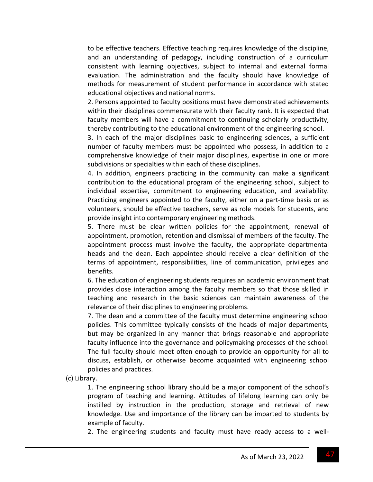to be effective teachers. Effective teaching requires knowledge of the discipline, and an understanding of pedagogy, including construction of a curriculum consistent with learning objectives, subject to internal and external formal evaluation. The administration and the faculty should have knowledge of methods for measurement of student performance in accordance with stated educational objectives and national norms.

2. Persons appointed to faculty positions must have demonstrated achievements within their disciplines commensurate with their faculty rank. It is expected that faculty members will have a commitment to continuing scholarly productivity, thereby contributing to the educational environment of the engineering school.

3. In each of the major disciplines basic to engineering sciences, a sufficient number of faculty members must be appointed who possess, in addition to a comprehensive knowledge of their major disciplines, expertise in one or more subdivisions or specialties within each of these disciplines.

4. In addition, engineers practicing in the community can make a significant contribution to the educational program of the engineering school, subject to individual expertise, commitment to engineering education, and availability. Practicing engineers appointed to the faculty, either on a part‐time basis or as volunteers, should be effective teachers, serve as role models for students, and provide insight into contemporary engineering methods.

5. There must be clear written policies for the appointment, renewal of appointment, promotion, retention and dismissal of members of the faculty. The appointment process must involve the faculty, the appropriate departmental heads and the dean. Each appointee should receive a clear definition of the terms of appointment, responsibilities, line of communication, privileges and benefits.

6. The education of engineering students requires an academic environment that provides close interaction among the faculty members so that those skilled in teaching and research in the basic sciences can maintain awareness of the relevance of their disciplines to engineering problems.

7. The dean and a committee of the faculty must determine engineering school policies. This committee typically consists of the heads of major departments, but may be organized in any manner that brings reasonable and appropriate faculty influence into the governance and policymaking processes of the school. The full faculty should meet often enough to provide an opportunity for all to discuss, establish, or otherwise become acquainted with engineering school policies and practices.

(c) Library.

1. The engineering school library should be a major component of the school's program of teaching and learning. Attitudes of lifelong learning can only be instilled by instruction in the production, storage and retrieval of new knowledge. Use and importance of the library can be imparted to students by example of faculty.

2. The engineering students and faculty must have ready access to a well‐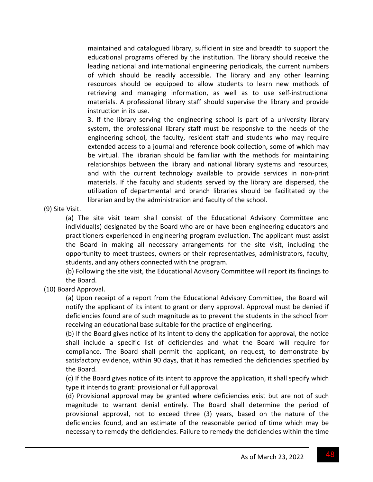maintained and catalogued library, sufficient in size and breadth to support the educational programs offered by the institution. The library should receive the leading national and international engineering periodicals, the current numbers of which should be readily accessible. The library and any other learning resources should be equipped to allow students to learn new methods of retrieving and managing information, as well as to use self‐instructional materials. A professional library staff should supervise the library and provide instruction in its use.

3. If the library serving the engineering school is part of a university library system, the professional library staff must be responsive to the needs of the engineering school, the faculty, resident staff and students who may require extended access to a journal and reference book collection, some of which may be virtual. The librarian should be familiar with the methods for maintaining relationships between the library and national library systems and resources, and with the current technology available to provide services in non‐print materials. If the faculty and students served by the library are dispersed, the utilization of departmental and branch libraries should be facilitated by the librarian and by the administration and faculty of the school.

(9) Site Visit.

(a) The site visit team shall consist of the Educational Advisory Committee and individual(s) designated by the Board who are or have been engineering educators and practitioners experienced in engineering program evaluation. The applicant must assist the Board in making all necessary arrangements for the site visit, including the opportunity to meet trustees, owners or their representatives, administrators, faculty, students, and any others connected with the program.

(b) Following the site visit, the Educational Advisory Committee will report its findings to the Board.

(10) Board Approval.

(a) Upon receipt of a report from the Educational Advisory Committee, the Board will notify the applicant of its intent to grant or deny approval. Approval must be denied if deficiencies found are of such magnitude as to prevent the students in the school from receiving an educational base suitable for the practice of engineering.

(b) If the Board gives notice of its intent to deny the application for approval, the notice shall include a specific list of deficiencies and what the Board will require for compliance. The Board shall permit the applicant, on request, to demonstrate by satisfactory evidence, within 90 days, that it has remedied the deficiencies specified by the Board.

(c) If the Board gives notice of its intent to approve the application, it shall specify which type it intends to grant: provisional or full approval.

(d) Provisional approval may be granted where deficiencies exist but are not of such magnitude to warrant denial entirely. The Board shall determine the period of provisional approval, not to exceed three (3) years, based on the nature of the deficiencies found, and an estimate of the reasonable period of time which may be necessary to remedy the deficiencies. Failure to remedy the deficiencies within the time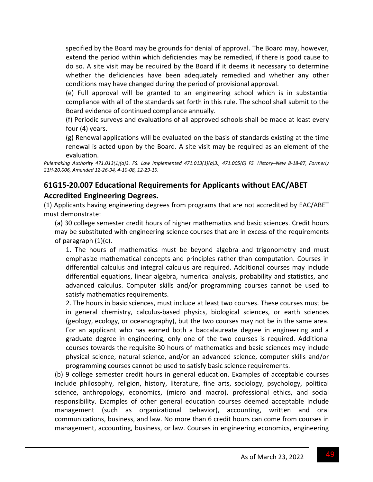specified by the Board may be grounds for denial of approval. The Board may, however, extend the period within which deficiencies may be remedied, if there is good cause to do so. A site visit may be required by the Board if it deems it necessary to determine whether the deficiencies have been adequately remedied and whether any other conditions may have changed during the period of provisional approval.

(e) Full approval will be granted to an engineering school which is in substantial compliance with all of the standards set forth in this rule. The school shall submit to the Board evidence of continued compliance annually.

(f) Periodic surveys and evaluations of all approved schools shall be made at least every four (4) years.

(g) Renewal applications will be evaluated on the basis of standards existing at the time renewal is acted upon by the Board. A site visit may be required as an element of the evaluation.

Rulemaking Authority 471.013(1)(a)3. FS. Law Implemented 471.013(1)(a)3., 471.005(6) FS. History-New 8-18-87, Formerly *21H‐20.006, Amended 12‐26‐94, 4‐10‐08, 12‐29‐19.*

# **61G15‐20.007 Educational Requirements for Applicants without EAC/ABET Accredited Engineering Degrees.**

(1) Applicants having engineering degrees from programs that are not accredited by EAC/ABET must demonstrate:

(a) 30 college semester credit hours of higher mathematics and basic sciences. Credit hours may be substituted with engineering science courses that are in excess of the requirements of paragraph (1)(c).

1. The hours of mathematics must be beyond algebra and trigonometry and must emphasize mathematical concepts and principles rather than computation. Courses in differential calculus and integral calculus are required. Additional courses may include differential equations, linear algebra, numerical analysis, probability and statistics, and advanced calculus. Computer skills and/or programming courses cannot be used to satisfy mathematics requirements.

2. The hours in basic sciences, must include at least two courses. These courses must be in general chemistry, calculus‐based physics, biological sciences, or earth sciences (geology, ecology, or oceanography), but the two courses may not be in the same area. For an applicant who has earned both a baccalaureate degree in engineering and a graduate degree in engineering, only one of the two courses is required. Additional courses towards the requisite 30 hours of mathematics and basic sciences may include physical science, natural science, and/or an advanced science, computer skills and/or programming courses cannot be used to satisfy basic science requirements.

(b) 9 college semester credit hours in general education. Examples of acceptable courses include philosophy, religion, history, literature, fine arts, sociology, psychology, political science, anthropology, economics, (micro and macro), professional ethics, and social responsibility. Examples of other general education courses deemed acceptable include management (such as organizational behavior), accounting, written and oral communications, business, and law. No more than 6 credit hours can come from courses in management, accounting, business, or law. Courses in engineering economics, engineering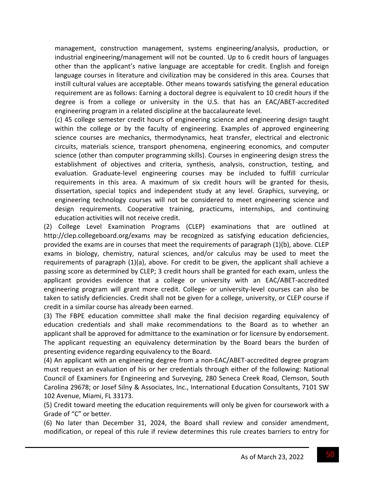management, construction management, systems engineering/analysis, production, or industrial engineering/management will not be counted. Up to 6 credit hours of languages other than the applicant's native language are acceptable for credit. English and foreign language courses in literature and civilization may be considered in this area. Courses that instill cultural values are acceptable. Other means towards satisfying the general education requirement are as follows: Earning a doctoral degree is equivalent to 10 credit hours if the degree is from a college or university in the U.S. that has an EAC/ABET‐accredited engineering program in a related discipline at the baccalaureate level.

(c) 45 college semester credit hours of engineering science and engineering design taught within the college or by the faculty of engineering. Examples of approved engineering science courses are mechanics, thermodynamics, heat transfer, electrical and electronic circuits, materials science, transport phenomena, engineering economics, and computer science (other than computer programming skills). Courses in engineering design stress the establishment of objectives and criteria, synthesis, analysis, construction, testing, and evaluation. Graduate‐level engineering courses may be included to fulfill curricular requirements in this area. A maximum of six credit hours will be granted for thesis, dissertation, special topics and independent study at any level. Graphics, surveying, or engineering technology courses will not be considered to meet engineering science and design requirements. Cooperative training, practicums, internships, and continuing education activities will not receive credit.

(2) College Level Examination Programs (CLEP) examinations that are outlined at http://clep.collegeboard.org/exams may be recognized as satisfying education deficiencies, provided the exams are in courses that meet the requirements of paragraph (1)(b), above. CLEP exams in biology, chemistry, natural sciences, and/or calculus may be used to meet the requirements of paragraph (1)(a), above. For credit to be given, the applicant shall achieve a passing score as determined by CLEP; 3 credit hours shall be granted for each exam, unless the applicant provides evidence that a college or university with an EAC/ABET‐accredited engineering program will grant more credit. College- or university-level courses can also be taken to satisfy deficiencies. Credit shall not be given for a college, university, or CLEP course if credit in a similar course has already been earned.

(3) The FBPE education committee shall make the final decision regarding equivalency of education credentials and shall make recommendations to the Board as to whether an applicant shall be approved for admittance to the examination or for licensure by endorsement. The applicant requesting an equivalency determination by the Board bears the burden of presenting evidence regarding equivalency to the Board.

(4) An applicant with an engineering degree from a non‐EAC/ABET‐accredited degree program must request an evaluation of his or her credentials through either of the following: National Council of Examiners for Engineering and Surveying, 280 Seneca Creek Road, Clemson, South Carolina 29678; or Josef Silny & Associates, Inc., International Education Consultants, 7101 SW 102 Avenue, Miami, FL 33173.

(5) Credit toward meeting the education requirements will only be given for coursework with a Grade of "C" or better.

(6) No later than December 31, 2024, the Board shall review and consider amendment, modification, or repeal of this rule if review determines this rule creates barriers to entry for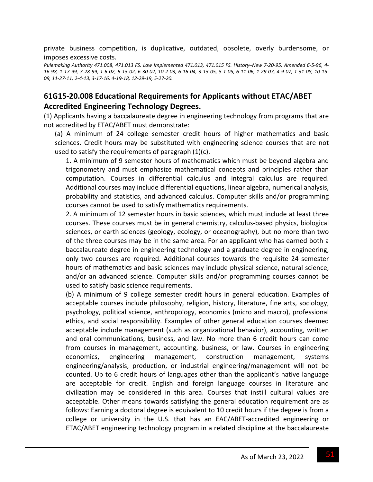private business competition, is duplicative, outdated, obsolete, overly burdensome, or imposes excessive costs.

Rulemaking Authority 471.008, 471.013 FS. Law Implemented 471.013, 471.015 FS. History-New 7-20-95, Amended 6-5-96. 4-16-98, 1-17-99, 7-28-99, 1-6-02, 6-13-02, 6-30-02, 10-2-03, 6-16-04, 3-13-05, 5-1-05, 6-11-06, 1-29-07, 4-9-07, 1-31-08, 10-15-09, 11-27-11, 2-4-13, 3-17-16, 4-19-18, 12-29-19, 5-27-20.

## **61G15‐20.008 Educational Requirements for Applicants without ETAC/ABET Accredited Engineering Technology Degrees.**

(1) Applicants having a baccalaureate degree in engineering technology from programs that are not accredited by ETAC/ABET must demonstrate:

(a) A minimum of 24 college semester credit hours of higher mathematics and basic sciences. Credit hours may be substituted with engineering science courses that are not used to satisfy the requirements of paragraph (1)(c).

1. A minimum of 9 semester hours of mathematics which must be beyond algebra and trigonometry and must emphasize mathematical concepts and principles rather than computation. Courses in differential calculus and integral calculus are required. Additional courses may include differential equations, linear algebra, numerical analysis, probability and statistics, and advanced calculus. Computer skills and/or programming courses cannot be used to satisfy mathematics requirements.

2. A minimum of 12 semester hours in basic sciences, which must include at least three courses. These courses must be in general chemistry, calculus‐based physics, biological sciences, or earth sciences (geology, ecology, or oceanography), but no more than two of the three courses may be in the same area. For an applicant who has earned both a baccalaureate degree in engineering technology and a graduate degree in engineering, only two courses are required. Additional courses towards the requisite 24 semester hours of mathematics and basic sciences may include physical science, natural science, and/or an advanced science. Computer skills and/or programming courses cannot be used to satisfy basic science requirements.

(b) A minimum of 9 college semester credit hours in general education. Examples of acceptable courses include philosophy, religion, history, literature, fine arts, sociology, psychology, political science, anthropology, economics (micro and macro), professional ethics, and social responsibility. Examples of other general education courses deemed acceptable include management (such as organizational behavior), accounting, written and oral communications, business, and law. No more than 6 credit hours can come from courses in management, accounting, business, or law. Courses in engineering economics, engineering management, construction management, systems engineering/analysis, production, or industrial engineering/management will not be counted. Up to 6 credit hours of languages other than the applicant's native language are acceptable for credit. English and foreign language courses in literature and civilization may be considered in this area. Courses that instill cultural values are acceptable. Other means towards satisfying the general education requirement are as follows: Earning a doctoral degree is equivalent to 10 credit hours if the degree is from a college or university in the U.S. that has an EAC/ABET‐accredited engineering or ETAC/ABET engineering technology program in a related discipline at the baccalaureate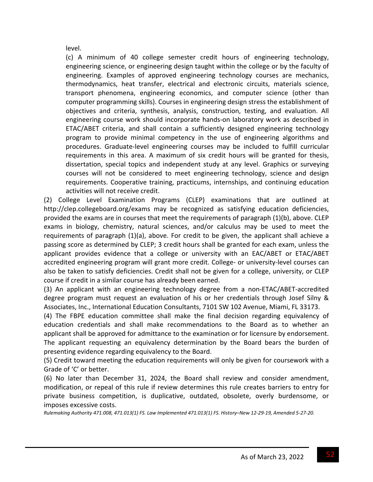level.

(c) A minimum of 40 college semester credit hours of engineering technology, engineering science, or engineering design taught within the college or by the faculty of engineering. Examples of approved engineering technology courses are mechanics, thermodynamics, heat transfer, electrical and electronic circuits, materials science, transport phenomena, engineering economics, and computer science (other than computer programming skills). Courses in engineering design stress the establishment of objectives and criteria, synthesis, analysis, construction, testing, and evaluation. All engineering course work should incorporate hands‐on laboratory work as described in ETAC/ABET criteria, and shall contain a sufficiently designed engineering technology program to provide minimal competency in the use of engineering algorithms and procedures. Graduate‐level engineering courses may be included to fulfill curricular requirements in this area. A maximum of six credit hours will be granted for thesis, dissertation, special topics and independent study at any level. Graphics or surveying courses will not be considered to meet engineering technology, science and design requirements. Cooperative training, practicums, internships, and continuing education activities will not receive credit.

(2) College Level Examination Programs (CLEP) examinations that are outlined at http://clep.collegeboard.org/exams may be recognized as satisfying education deficiencies, provided the exams are in courses that meet the requirements of paragraph (1)(b), above. CLEP exams in biology, chemistry, natural sciences, and/or calculus may be used to meet the requirements of paragraph (1)(a), above. For credit to be given, the applicant shall achieve a passing score as determined by CLEP; 3 credit hours shall be granted for each exam, unless the applicant provides evidence that a college or university with an EAC/ABET or ETAC/ABET accredited engineering program will grant more credit. College- or university-level courses can also be taken to satisfy deficiencies. Credit shall not be given for a college, university, or CLEP course if credit in a similar course has already been earned.

(3) An applicant with an engineering technology degree from a non‐ETAC/ABET‐accredited degree program must request an evaluation of his or her credentials through Josef Silny & Associates, Inc., International Education Consultants, 7101 SW 102 Avenue, Miami, FL 33173.

(4) The FBPE education committee shall make the final decision regarding equivalency of education credentials and shall make recommendations to the Board as to whether an applicant shall be approved for admittance to the examination or for licensure by endorsement. The applicant requesting an equivalency determination by the Board bears the burden of presenting evidence regarding equivalency to the Board.

(5) Credit toward meeting the education requirements will only be given for coursework with a Grade of 'C' or better.

(6) No later than December 31, 2024, the Board shall review and consider amendment, modification, or repeal of this rule if review determines this rule creates barriers to entry for private business competition, is duplicative, outdated, obsolete, overly burdensome, or imposes excessive costs.

Rulemaking Authority 471.008, 471.013(1) FS. Law Implemented 471.013(1) FS. History-New 12-29-19, Amended 5-27-20.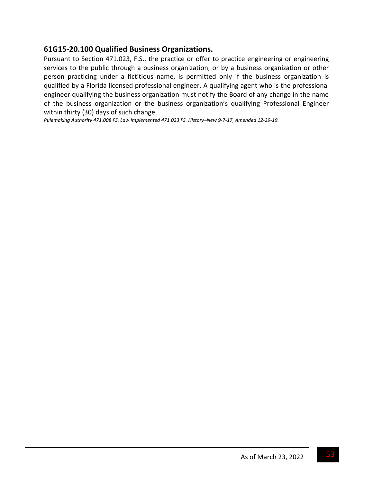## **61G15‐20.100 Qualified Business Organizations.**

Pursuant to Section 471.023, F.S., the practice or offer to practice engineering or engineering services to the public through a business organization, or by a business organization or other person practicing under a fictitious name, is permitted only if the business organization is qualified by a Florida licensed professional engineer. A qualifying agent who is the professional engineer qualifying the business organization must notify the Board of any change in the name of the business organization or the business organization's qualifying Professional Engineer within thirty (30) days of such change.

Rulemaking Authority 471.008 FS. Law Implemented 471.023 FS. History-New 9-7-17, Amended 12-29-19.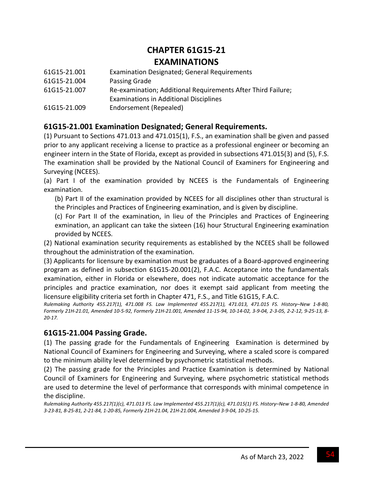# **CHAPTER 61G15‐21 EXAMINATIONS**

| 61G15-21.001 | <b>Examination Designated; General Requirements</b>          |
|--------------|--------------------------------------------------------------|
| 61G15-21.004 | Passing Grade                                                |
| 61G15-21.007 | Re-examination; Additional Requirements After Third Failure; |
|              | <b>Examinations in Additional Disciplines</b>                |
| 61G15-21.009 | Endorsement (Repealed)                                       |

# **61G15‐21.001 Examination Designated; General Requirements.**

(1) Pursuant to Sections 471.013 and 471.015(1), F.S., an examination shall be given and passed prior to any applicant receiving a license to practice as a professional engineer or becoming an engineer intern in the State of Florida, except as provided in subsections 471.015(3) and (5), F.S. The examination shall be provided by the National Council of Examiners for Engineering and Surveying (NCEES).

(a) Part I of the examination provided by NCEES is the Fundamentals of Engineering examination.

(b) Part II of the examination provided by NCEES for all disciplines other than structural is the Principles and Practices of Engineering examination, and is given by discipline.

(c) For Part II of the examination, in lieu of the Principles and Practices of Engineering exmination, an applicant can take the sixteen (16) hour Structural Engineering examination provided by NCEES.

(2) National examination security requirements as established by the NCEES shall be followed throughout the administration of the examination.

(3) Applicants for licensure by examination must be graduates of a Board‐approved engineering program as defined in subsection 61G15‐20.001(2), F.A.C. Acceptance into the fundamentals examination, either in Florida or elsewhere, does not indicate automatic acceptance for the principles and practice examination, nor does it exempt said applicant from meeting the licensure eligibility criteria set forth in Chapter 471, F.S., and Title 61G15, F.A.C.

Rulemaking Authority 455.217(1), 471.008 FS. Law Implemented 455.217(1), 471.013, 471.015 FS. History-New 1-8-80, Formerly 21H-21.01, Amended 10-5-92, Formerly 21H-21.001, Amended 11-15-94, 10-14-02, 3-9-04, 2-3-05, 2-2-12, 9-25-13, 8-*20‐17.*

### **61G15‐21.004 Passing Grade.**

(1) The passing grade for the Fundamentals of Engineering Examination is determined by National Council of Examiners for Engineering and Surveying, where a scaled score is compared to the minimum ability level determined by psychometric statistical methods.

(2) The passing grade for the Principles and Practice Examination is determined by National Council of Examiners for Engineering and Surveying, where psychometric statistical methods are used to determine the level of performance that corresponds with minimal competence in the discipline.

Rulemaking Authority 455.217(1)(c), 471.013 FS. Law Implemented 455.217(1)(c), 471.015(1) FS. History-New 1-8-80, Amended 3-23-81, 8-25-81, 2-21-84, 1-20-85, Formerly 21H-21.04, 21H-21.004, Amended 3-9-04, 10-25-15.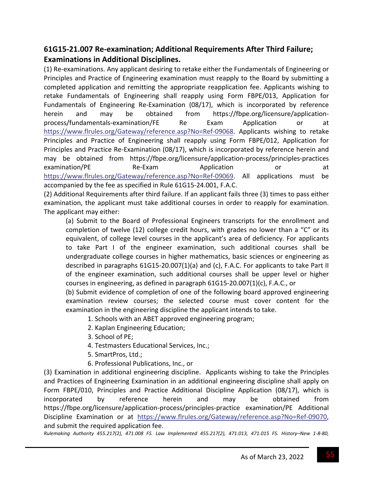# **61G15‐21.007 Re‐examination; Additional Requirements After Third Failure; Examinations in Additional Disciplines.**

(1) Re‐examinations. Any applicant desiring to retake either the Fundamentals of Engineering or Principles and Practice of Engineering examination must reapply to the Board by submitting a completed application and remitting the appropriate reapplication fee. Applicants wishing to retake Fundamentals of Engineering shall reapply using Form FBPE/013, Application for Fundamentals of Engineering Re‐Examination (08/17), which is incorporated by reference herein and may be obtained from https://fbpe.org/licensure/applicationprocess/fundamentals‐examination/FE Re Exam Application or at https://www.flrules.org/Gateway/reference.asp?No=Ref‐09068. Applicants wishing to retake Principles and Practice of Engineering shall reapply using Form FBPE/012, Application for Principles and Practice Re‐Examination (08/17), which is incorporated by reference herein and may be obtained from https://fbpe.org/licensure/application-process/principles-practices examination/PE Re-Exam Application or at https://www.flrules.org/Gateway/reference.asp?No=Ref-09069. All applications must be accompanied by the fee as specified in Rule 61G15‐24.001, F.A.C.

(2) Additional Requirements after third failure. If an applicant fails three (3) times to pass either examination, the applicant must take additional courses in order to reapply for examination. The applicant may either:

(a) Submit to the Board of Professional Engineers transcripts for the enrollment and completion of twelve (12) college credit hours, with grades no lower than a "C" or its equivalent, of college level courses in the applicant's area of deficiency. For applicants to take Part I of the engineer examination, such additional courses shall be undergraduate college courses in higher mathematics, basic sciences or engineering as described in paragraphs 61G15‐20.007(1)(a) and (c), F.A.C. For applicants to take Part II of the engineer examination, such additional courses shall be upper level or higher courses in engineering, as defined in paragraph 61G15‐20.007(1)(c), F.A.C., or

(b) Submit evidence of completion of one of the following board approved engineering examination review courses; the selected course must cover content for the examination in the engineering discipline the applicant intends to take.

1. Schools with an ABET approved engineering program;

- 2. Kaplan Engineering Education;
- 3. School of PE;
- 4. Testmasters Educational Services, Inc.;
- 5. SmartPros, Ltd.;
- 6. Professional Publications, Inc., or

(3) Examination in additional engineering discipline. Applicants wishing to take the Principles and Practices of Engineering Examination in an additional engineering discipline shall apply on Form FBPE/010, Principles and Practice Additional Discipline Application (08/17), which is incorporated by reference herein and may be obtained from https://fbpe.org/licensure/application‐process/principles‐practice examination/PE Additional Discipline Examination or at https://www.flrules.org/Gateway/reference.asp?No=Ref‐09070, and submit the required application fee.

Rulemaking Authority 455.217(2), 471.008 FS. Law Implemented 455.217(2), 471.013, 471.015 FS. History-New 1-8-80,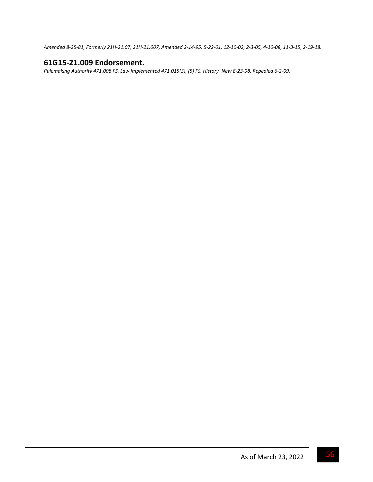Amended 8-25-81, Formerly 21H-21.07, 21H-21.007, Amended 2-14-95, 5-22-01, 12-10-02, 2-3-05, 4-10-08, 11-3-15, 2-19-18.

## **61G15‐21.009 Endorsement.**

Rulemaking Authority 471.008 FS. Law Implemented 471.015(3), (5) FS. History-New 8-23-98, Repealed 6-2-09.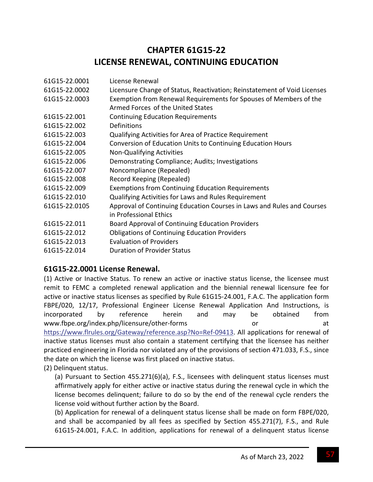# **CHAPTER 61G15‐22 LICENSE RENEWAL, CONTINUING EDUCATION**

| 61G15-22.0001 | License Renewal                                                          |
|---------------|--------------------------------------------------------------------------|
| 61G15-22.0002 | Licensure Change of Status, Reactivation; Reinstatement of Void Licenses |
| 61G15-22.0003 | Exemption from Renewal Requirements for Spouses of Members of the        |
|               | Armed Forces of the United States                                        |
| 61G15-22.001  | <b>Continuing Education Requirements</b>                                 |
| 61G15-22.002  | Definitions                                                              |
| 61G15-22.003  | Qualifying Activities for Area of Practice Requirement                   |
| 61G15-22.004  | Conversion of Education Units to Continuing Education Hours              |
| 61G15-22.005  | <b>Non-Qualifying Activities</b>                                         |
| 61G15-22.006  | Demonstrating Compliance; Audits; Investigations                         |
| 61G15-22.007  | Noncompliance (Repealed)                                                 |
| 61G15-22.008  | Record Keeping (Repealed)                                                |
| 61G15-22.009  | <b>Exemptions from Continuing Education Requirements</b>                 |
| 61G15-22.010  | Qualifying Activities for Laws and Rules Requirement                     |
| 61G15-22.0105 | Approval of Continuing Education Courses in Laws and Rules and Courses   |
|               | in Professional Ethics                                                   |
| 61G15-22.011  | Board Approval of Continuing Education Providers                         |
| 61G15-22.012  | <b>Obligations of Continuing Education Providers</b>                     |
| 61G15-22.013  | <b>Evaluation of Providers</b>                                           |
| 61G15-22.014  | <b>Duration of Provider Status</b>                                       |

## **61G15‐22.0001 License Renewal.**

(1) Active or Inactive Status. To renew an active or inactive status license, the licensee must remit to FEMC a completed renewal application and the biennial renewal licensure fee for active or inactive status licenses as specified by Rule 61G15‐24.001, F.A.C. The application form FBPE/020, 12/17, Professional Engineer License Renewal Application And Instructions, is incorporated by reference herein and may be obtained from www.fbpe.org/index.php/licensure/other-forms or or at https://www.flrules.org/Gateway/reference.asp?No=Ref‐09413. All applications for renewal of inactive status licenses must also contain a statement certifying that the licensee has neither practiced engineering in Florida nor violated any of the provisions of section 471.033, F.S., since the date on which the license was first placed on inactive status.

(2) Delinquent status.

(a) Pursuant to Section 455.271(6)(a), F.S., licensees with delinquent status licenses must affirmatively apply for either active or inactive status during the renewal cycle in which the license becomes delinquent; failure to do so by the end of the renewal cycle renders the license void without further action by the Board.

(b) Application for renewal of a delinquent status license shall be made on form FBPE/020, and shall be accompanied by all fees as specified by Section 455.271(7), F.S., and Rule 61G15‐24.001, F.A.C. In addition, applications for renewal of a delinquent status license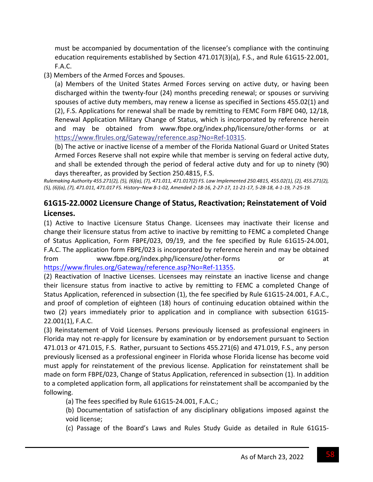must be accompanied by documentation of the licensee's compliance with the continuing education requirements established by Section 471.017(3)(a), F.S., and Rule 61G15‐22.001, F.A.C.

(3) Members of the Armed Forces and Spouses.

(a) Members of the United States Armed Forces serving on active duty, or having been discharged within the twenty‐four (24) months preceding renewal; or spouses or surviving spouses of active duty members, may renew a license as specified in Sections 455.02(1) and (2), F.S. Applications for renewal shall be made by remitting to FEMC Form FBPE 040, 12/18, Renewal Application Military Change of Status, which is incorporated by reference herein and may be obtained from www.fbpe.org/index.php/licensure/other‐forms or at https://www.flrules.org/Gateway/reference.asp?No=Ref‐10315.

(b) The active or inactive license of a member of the Florida National Guard or United States Armed Forces Reserve shall not expire while that member is serving on federal active duty, and shall be extended through the period of federal active duty and for up to ninety (90) days thereafter, as provided by Section 250.4815, F.S.

Rulemaking Authority 455.271(2), (5), (6)(a), (7), 471.011, 471.017(2) FS. Law Implemented 250.4815, 455.02(1), (2), 455.271(2), (5), (6)(a), (7), 471.011, 471.017 FS. History-New 8-1-02, Amended 2-18-16, 2-27-17, 11-21-17, 5-28-18, 4-1-19, 7-25-19.

# **61G15‐22.0002 Licensure Change of Status, Reactivation; Reinstatement of Void Licenses.**

(1) Active to Inactive Licensure Status Change. Licensees may inactivate their license and change their licensure status from active to inactive by remitting to FEMC a completed Change of Status Application, Form FBPE/023, 09/19, and the fee specified by Rule 61G15‐24.001, F.A.C. The application form FBPE/023 is incorporated by reference herein and may be obtained from www.fbpe.org/index.php/licensure/other-forms or at https://www.flrules.org/Gateway/reference.asp?No=Ref-11355.

(2) Reactivation of Inactive Licenses. Licensees may reinstate an inactive license and change their licensure status from inactive to active by remitting to FEMC a completed Change of Status Application, referenced in subsection (1), the fee specified by Rule 61G15‐24.001, F.A.C., and proof of completion of eighteen (18) hours of continuing education obtained within the two (2) years immediately prior to application and in compliance with subsection 61G15‐ 22.001(1), F.A.C.

(3) Reinstatement of Void Licenses. Persons previously licensed as professional engineers in Florida may not re‐apply for licensure by examination or by endorsement pursuant to Section 471.013 or 471.015, F.S. Rather, pursuant to Sections 455.271(6) and 471.019, F.S., any person previously licensed as a professional engineer in Florida whose Florida license has become void must apply for reinstatement of the previous license. Application for reinstatement shall be made on form FBPE/023, Change of Status Application, referenced in subsection (1). In addition to a completed application form, all applications for reinstatement shall be accompanied by the following.

(a) The fees specified by Rule 61G15‐24.001, F.A.C.;

(b) Documentation of satisfaction of any disciplinary obligations imposed against the void license;

(c) Passage of the Board's Laws and Rules Study Guide as detailed in Rule 61G15‐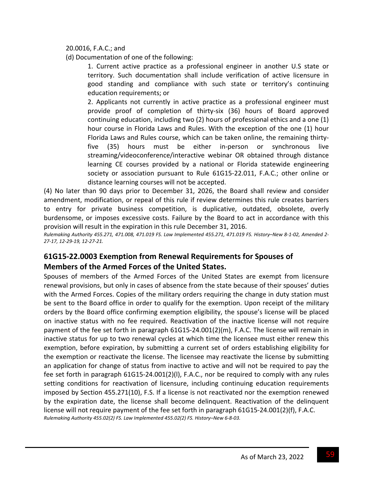20.0016, F.A.C.; and

(d) Documentation of one of the following:

1. Current active practice as a professional engineer in another U.S state or territory. Such documentation shall include verification of active licensure in good standing and compliance with such state or territory's continuing education requirements; or

2. Applicants not currently in active practice as a professional engineer must provide proof of completion of thirty‐six (36) hours of Board approved continuing education, including two (2) hours of professional ethics and a one (1) hour course in Florida Laws and Rules. With the exception of the one (1) hour Florida Laws and Rules course, which can be taken online, the remaining thirty‐ five (35) hours must be either in‐person or synchronous live streaming/videoconference/interactive webinar OR obtained through distance learning CE courses provided by a national or Florida statewide engineering society or association pursuant to Rule 61G15‐22.011, F.A.C.; other online or distance learning courses will not be accepted.

(4) No later than 90 days prior to December 31, 2026, the Board shall review and consider amendment, modification, or repeal of this rule if review determines this rule creates barriers to entry for private business competition, is duplicative, outdated, obsolete, overly burdensome, or imposes excessive costs. Failure by the Board to act in accordance with this provision will result in the expiration in this rule December 31, 2016.

Rulemaking Authority 455.271, 471.008, 471.019 FS. Law Implemented 455.271, 471.019 FS. History-New 8-1-02, Amended 2-*27‐17, 12‐29‐19, 12‐27‐21.*

# **61G15‐22.0003 Exemption from Renewal Requirements for Spouses of Members of the Armed Forces of the United States.**

Spouses of members of the Armed Forces of the United States are exempt from licensure renewal provisions, but only in cases of absence from the state because of their spouses' duties with the Armed Forces. Copies of the military orders requiring the change in duty station must be sent to the Board office in order to qualify for the exemption. Upon receipt of the military orders by the Board office confirming exemption eligibility, the spouse's license will be placed on inactive status with no fee required. Reactivation of the inactive license will not require payment of the fee set forth in paragraph 61G15‐24.001(2)(m), F.A.C. The license will remain in inactive status for up to two renewal cycles at which time the licensee must either renew this exemption, before expiration, by submitting a current set of orders establishing eligibility for the exemption or reactivate the license. The licensee may reactivate the license by submitting an application for change of status from inactive to active and will not be required to pay the fee set forth in paragraph 61G15‐24.001(2)(l), F.A.C., nor be required to comply with any rules setting conditions for reactivation of licensure, including continuing education requirements imposed by Section 455.271(10), F.S. If a license is not reactivated nor the exemption renewed by the expiration date, the license shall become delinquent. Reactivation of the delinquent license will not require payment of the fee set forth in paragraph 61G15‐24.001(2)(f), F.A.C. *Rulemaking Authority 455.02(2) FS. Law Implemented 455.02(2) FS. History–New 6‐8‐03.*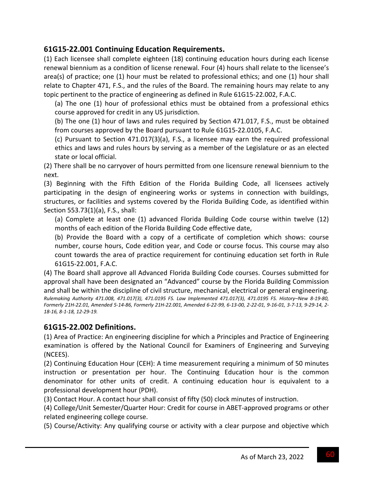# **61G15‐22.001 Continuing Education Requirements.**

(1) Each licensee shall complete eighteen (18) continuing education hours during each license renewal biennium as a condition of license renewal. Four (4) hours shall relate to the licensee's area(s) of practice; one (1) hour must be related to professional ethics; and one (1) hour shall relate to Chapter 471, F.S., and the rules of the Board. The remaining hours may relate to any topic pertinent to the practice of engineering as defined in Rule 61G15‐22.002, F.A.C.

(a) The one (1) hour of professional ethics must be obtained from a professional ethics course approved for credit in any US jurisdiction.

(b) The one (1) hour of laws and rules required by Section 471.017, F.S., must be obtained from courses approved by the Board pursuant to Rule 61G15‐22.0105, F.A.C.

(c) Pursuant to Section 471.017(3)(a), F.S., a licensee may earn the required professional ethics and laws and rules hours by serving as a member of the Legislature or as an elected state or local official.

(2) There shall be no carryover of hours permitted from one licensure renewal biennium to the next.

(3) Beginning with the Fifth Edition of the Florida Building Code, all licensees actively participating in the design of engineering works or systems in connection with buildings, structures, or facilities and systems covered by the Florida Building Code, as identified within Section 553.73(1)(a), F.S., shall:

(a) Complete at least one (1) advanced Florida Building Code course within twelve (12) months of each edition of the Florida Building Code effective date,

(b) Provide the Board with a copy of a certificate of completion which shows: course number, course hours, Code edition year, and Code or course focus. This course may also count towards the area of practice requirement for continuing education set forth in Rule 61G15‐22.001, F.A.C.

(4) The Board shall approve all Advanced Florida Building Code courses. Courses submitted for approval shall have been designated an "Advanced" course by the Florida Building Commission and shall be within the discipline of civil structure, mechanical, electrical or general engineering. Rulemaking Authority 471.008, 471.017(3), 471.0195 FS. Law Implemented 471.017(3), 471.0195 FS. History-New 8-19-80, Formerly 21H-22.01, Amended 5-14-86, Formerly 21H-22.001, Amended 6-22-99, 6-13-00, 2-22-01, 9-16-01, 3-7-13, 9-29-14, 2-*18‐16, 8‐1‐18, 12‐29‐19.*

### **61G15‐22.002 Definitions.**

(1) Area of Practice: An engineering discipline for which a Principles and Practice of Engineering examination is offered by the National Council for Examiners of Engineering and Surveying (NCEES).

(2) Continuing Education Hour (CEH): A time measurement requiring a minimum of 50 minutes instruction or presentation per hour. The Continuing Education hour is the common denominator for other units of credit. A continuing education hour is equivalent to a professional development hour (PDH).

(3) Contact Hour. A contact hour shall consist of fifty (50) clock minutes of instruction.

(4) College/Unit Semester/Quarter Hour: Credit for course in ABET‐approved programs or other related engineering college course.

(5) Course/Activity: Any qualifying course or activity with a clear purpose and objective which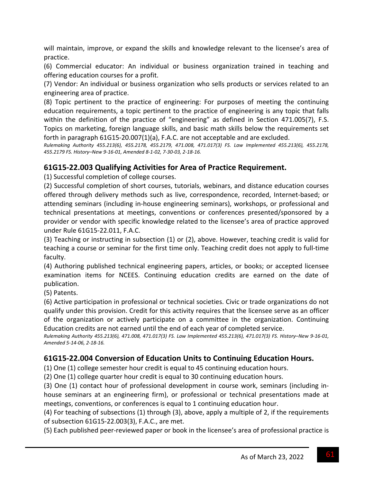will maintain, improve, or expand the skills and knowledge relevant to the licensee's area of practice.

(6) Commercial educator: An individual or business organization trained in teaching and offering education courses for a profit.

(7) Vendor: An individual or business organization who sells products or services related to an engineering area of practice.

(8) Topic pertinent to the practice of engineering: For purposes of meeting the continuing education requirements, a topic pertinent to the practice of engineering is any topic that falls within the definition of the practice of "engineering" as defined in Section 471.005(7), F.S. Topics on marketing, foreign language skills, and basic math skills below the requirements set forth in paragraph 61G15‐20.007(1)(a), F.A.C. are not acceptable and are excluded.

*Rulemaking Authority 455.213(6), 455.2178, 455.2179, 471.008, 471.017(3) FS. Law Implemented 455.213(6), 455.2178,* 455.2179 FS. History-New 9-16-01, Amended 8-1-02, 7-30-03, 2-18-16.

## **61G15‐22.003 Qualifying Activities for Area of Practice Requirement.**

(1) Successful completion of college courses.

(2) Successful completion of short courses, tutorials, webinars, and distance education courses offered through delivery methods such as live, correspondence, recorded, Internet‐based; or attending seminars (including in‐house engineering seminars), workshops, or professional and technical presentations at meetings, conventions or conferences presented/sponsored by a provider or vendor with specific knowledge related to the licensee's area of practice approved under Rule 61G15‐22.011, F.A.C.

(3) Teaching or instructing in subsection (1) or (2), above. However, teaching credit is valid for teaching a course or seminar for the first time only. Teaching credit does not apply to full‐time faculty.

(4) Authoring published technical engineering papers, articles, or books; or accepted licensee examination items for NCEES. Continuing education credits are earned on the date of publication.

(5) Patents.

(6) Active participation in professional or technical societies. Civic or trade organizations do not qualify under this provision. Credit for this activity requires that the licensee serve as an officer of the organization or actively participate on a committee in the organization. Continuing Education credits are not earned until the end of each year of completed service.

Rulemaking Authority 455.213(6), 471.008, 471.017(3) FS. Law Implemented 455.213(6), 471.017(3) FS. History-New 9-16-01, *Amended 5‐14‐06, 2‐18‐16.*

### **61G15‐22.004 Conversion of Education Units to Continuing Education Hours.**

(1) One (1) college semester hour credit is equal to 45 continuing education hours.

(2) One (1) college quarter hour credit is equal to 30 continuing education hours.

(3) One (1) contact hour of professional development in course work, seminars (including in‐ house seminars at an engineering firm), or professional or technical presentations made at meetings, conventions, or conferences is equal to 1 continuing education hour.

(4) For teaching of subsections (1) through (3), above, apply a multiple of 2, if the requirements of subsection 61G15‐22.003(3), F.A.C., are met.

(5) Each published peer‐reviewed paper or book in the licensee's area of professional practice is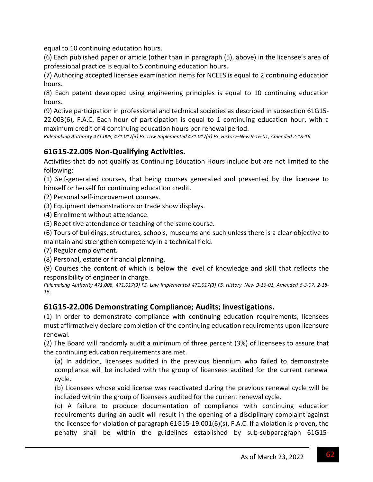equal to 10 continuing education hours.

(6) Each published paper or article (other than in paragraph (5), above) in the licensee's area of professional practice is equal to 5 continuing education hours.

(7) Authoring accepted licensee examination items for NCEES is equal to 2 continuing education hours.

(8) Each patent developed using engineering principles is equal to 10 continuing education hours.

(9) Active participation in professional and technical societies as described in subsection 61G15‐ 22.003(6), F.A.C. Each hour of participation is equal to 1 continuing education hour, with a maximum credit of 4 continuing education hours per renewal period.

Rulemaking Authority 471.008, 471.017(3) FS. Law Implemented 471.017(3) FS. History-New 9-16-01, Amended 2-18-16.

## **61G15‐22.005 Non‐Qualifying Activities.**

Activities that do not qualify as Continuing Education Hours include but are not limited to the following:

(1) Self‐generated courses, that being courses generated and presented by the licensee to himself or herself for continuing education credit.

(2) Personal self‐improvement courses.

(3) Equipment demonstrations or trade show displays.

(4) Enrollment without attendance.

(5) Repetitive attendance or teaching of the same course.

(6) Tours of buildings, structures, schools, museums and such unless there is a clear objective to maintain and strengthen competency in a technical field.

(7) Regular employment.

(8) Personal, estate or financial planning.

(9) Courses the content of which is below the level of knowledge and skill that reflects the responsibility of engineer in charge.

Rulemaking Authority 471.008, 471.017(3) FS. Law Implemented 471.017(3) FS. History-New 9-16-01, Amended 6-3-07, 2-18-*16.*

### **61G15‐22.006 Demonstrating Compliance; Audits; Investigations.**

(1) In order to demonstrate compliance with continuing education requirements, licensees must affirmatively declare completion of the continuing education requirements upon licensure renewal.

(2) The Board will randomly audit a minimum of three percent (3%) of licensees to assure that the continuing education requirements are met.

(a) In addition, licensees audited in the previous biennium who failed to demonstrate compliance will be included with the group of licensees audited for the current renewal cycle.

(b) Licensees whose void license was reactivated during the previous renewal cycle will be included within the group of licensees audited for the current renewal cycle.

(c) A failure to produce documentation of compliance with continuing education requirements during an audit will result in the opening of a disciplinary complaint against the licensee for violation of paragraph 61G15‐19.001(6)(s), F.A.C. If a violation is proven, the penalty shall be within the guidelines established by sub‐subparagraph 61G15‐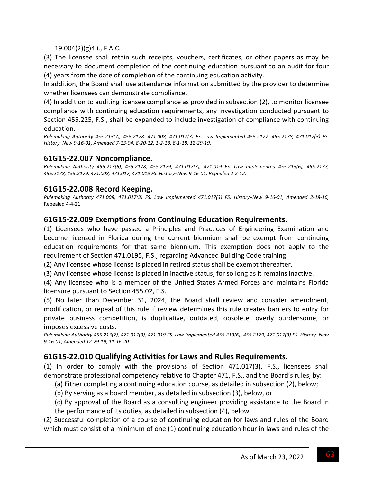### 19.004(2)(g)4.i., F.A.C.

(3) The licensee shall retain such receipts, vouchers, certificates, or other papers as may be necessary to document completion of the continuing education pursuant to an audit for four (4) years from the date of completion of the continuing education activity.

In addition, the Board shall use attendance information submitted by the provider to determine whether licensees can demonstrate compliance.

(4) In addition to auditing licensee compliance as provided in subsection (2), to monitor licensee compliance with continuing education requirements, any investigation conducted pursuant to Section 455.225, F.S., shall be expanded to include investigation of compliance with continuing education.

*Rulemaking Authority 455.213(7), 455.2178, 471.008, 471.017(3) FS. Law Implemented 455.2177, 455.2178, 471.017(3) FS.* History-New 9-16-01, Amended 7-13-04, 8-20-12, 1-2-18, 8-1-18, 12-29-19.

### **61G15‐22.007 Noncompliance.**

*Rulemaking Authority 455.213(6), 455.2178, 455.2179, 471.017(3), 471.019 FS. Law Implemented 455.213(6), 455.2177, 455.2178, 455.2179, 471.008, 471.017, 471.019 FS. History–New 9‐16‐01, Repealed 2‐2‐12.*

## **61G15‐22.008 Record Keeping.**

Rulemaking Authority 471.008, 471.017(3) FS. Law Implemented 471.017(3) FS. History-New 9-16-01, Amended 2-18-16, Repealed 4‐4‐21.

### **61G15‐22.009 Exemptions from Continuing Education Requirements.**

(1) Licensees who have passed a Principles and Practices of Engineering Examination and become licensed in Florida during the current biennium shall be exempt from continuing education requirements for that same biennium. This exemption does not apply to the requirement of Section 471.0195, F.S., regarding Advanced Building Code training.

(2) Any licensee whose license is placed in retired status shall be exempt thereafter.

(3) Any licensee whose license is placed in inactive status, for so long as it remains inactive.

(4) Any licensee who is a member of the United States Armed Forces and maintains Florida licensure pursuant to Section 455.02, F.S.

(5) No later than December 31, 2024, the Board shall review and consider amendment, modification, or repeal of this rule if review determines this rule creates barriers to entry for private business competition, is duplicative, outdated, obsolete, overly burdensome, or imposes excessive costs.

*Rulemaking Authority 455.213(7), 471.017(3), 471.019 FS. Law Implemented 455.213(6), 455.2179, 471.017(3) FS. History–New 9‐16‐01, Amended 12‐29‐19, 11‐16‐20.*

### **61G15‐22.010 Qualifying Activities for Laws and Rules Requirements.**

(1) In order to comply with the provisions of Section 471.017(3), F.S., licensees shall demonstrate professional competency relative to Chapter 471, F.S., and the Board's rules, by:

(a) Either completing a continuing education course, as detailed in subsection (2), below;

(b) By serving as a board member, as detailed in subsection (3), below, or

(c) By approval of the Board as a consulting engineer providing assistance to the Board in the performance of its duties, as detailed in subsection (4), below.

(2) Successful completion of a course of continuing education for laws and rules of the Board which must consist of a minimum of one (1) continuing education hour in laws and rules of the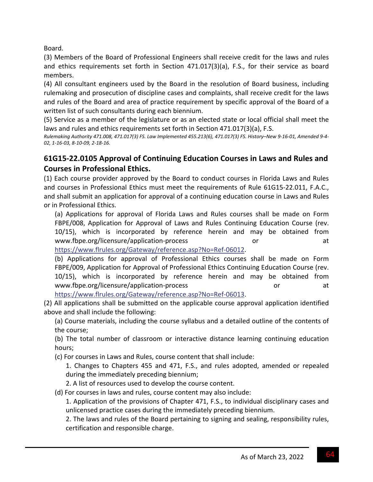Board.

(3) Members of the Board of Professional Engineers shall receive credit for the laws and rules and ethics requirements set forth in Section 471.017(3)(a), F.S., for their service as board members.

(4) All consultant engineers used by the Board in the resolution of Board business, including rulemaking and prosecution of discipline cases and complaints, shall receive credit for the laws and rules of the Board and area of practice requirement by specific approval of the Board of a written list of such consultants during each biennium.

(5) Service as a member of the legislature or as an elected state or local official shall meet the laws and rules and ethics requirements set forth in Section 471.017(3)(a), F.S.

Rulemaking Authority 471.008, 471.017(3) FS. Law Implemented 455.213(6), 471.017(3) FS. History-New 9-16-01, Amended 9-4-*02, 1‐16‐03, 8‐10‐09, 2‐18‐16.*

# **61G15‐22.0105 Approval of Continuing Education Courses in Laws and Rules and Courses in Professional Ethics.**

(1) Each course provider approved by the Board to conduct courses in Florida Laws and Rules and courses in Professional Ethics must meet the requirements of Rule 61G15‐22.011, F.A.C., and shall submit an application for approval of a continuing education course in Laws and Rules or in Professional Ethics.

(a) Applications for approval of Florida Laws and Rules courses shall be made on Form FBPE/008, Application for Approval of Laws and Rules Continuing Education Course (rev. 10/15), which is incorporated by reference herein and may be obtained from www.fbpe.org/licensure/application-process or or at

https://www.flrules.org/Gateway/reference.asp?No=Ref‐06012.

(b) Applications for approval of Professional Ethics courses shall be made on Form FBPE/009, Application for Approval of Professional Ethics Continuing Education Course (rev. 10/15), which is incorporated by reference herein and may be obtained from www.fbpe.org/licensure/application‐process or at

https://www.flrules.org/Gateway/reference.asp?No=Ref‐06013.

(2) All applications shall be submitted on the applicable course approval application identified above and shall include the following:

(a) Course materials, including the course syllabus and a detailed outline of the contents of the course;

(b) The total number of classroom or interactive distance learning continuing education hours;

(c) For courses in Laws and Rules, course content that shall include:

1. Changes to Chapters 455 and 471, F.S., and rules adopted, amended or repealed during the immediately preceding biennium;

2. A list of resources used to develop the course content.

(d) For courses in laws and rules, course content may also include:

1. Application of the provisions of Chapter 471, F.S., to individual disciplinary cases and unlicensed practice cases during the immediately preceding biennium.

2. The laws and rules of the Board pertaining to signing and sealing, responsibility rules, certification and responsible charge.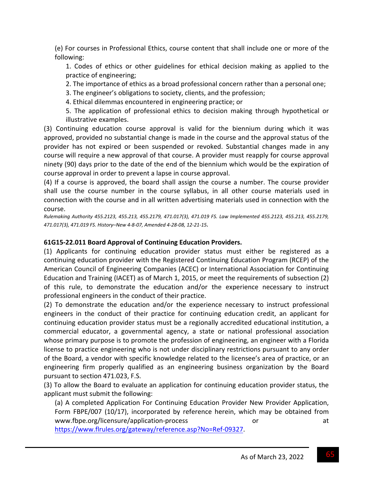(e) For courses in Professional Ethics, course content that shall include one or more of the following:

1. Codes of ethics or other guidelines for ethical decision making as applied to the practice of engineering;

2. The importance of ethics as a broad professional concern rather than a personal one;

3. The engineer's obligations to society, clients, and the profession;

4. Ethical dilemmas encountered in engineering practice; or

5. The application of professional ethics to decision making through hypothetical or illustrative examples.

(3) Continuing education course approval is valid for the biennium during which it was approved, provided no substantial change is made in the course and the approval status of the provider has not expired or been suspended or revoked. Substantial changes made in any course will require a new approval of that course. A provider must reapply for course approval ninety (90) days prior to the date of the end of the biennium which would be the expiration of course approval in order to prevent a lapse in course approval.

(4) If a course is approved, the board shall assign the course a number. The course provider shall use the course number in the course syllabus, in all other course materials used in connection with the course and in all written advertising materials used in connection with the course.

*Rulemaking Authority 455.2123, 455.213, 455.2179, 471.017(3), 471.019 FS. Law Implemented 455.2123, 455.213, 455.2179, 471.017(3), 471.019 FS. History–New 4‐8‐07, Amended 4‐28‐08, 12‐21‐15.*

### **61G15‐22.011 Board Approval of Continuing Education Providers.**

(1) Applicants for continuing education provider status must either be registered as a continuing education provider with the Registered Continuing Education Program (RCEP) of the American Council of Engineering Companies (ACEC) or International Association for Continuing Education and Training (IACET) as of March 1, 2015, or meet the requirements of subsection (2) of this rule, to demonstrate the education and/or the experience necessary to instruct professional engineers in the conduct of their practice.

(2) To demonstrate the education and/or the experience necessary to instruct professional engineers in the conduct of their practice for continuing education credit, an applicant for continuing education provider status must be a regionally accredited educational institution, a commercial educator, a governmental agency, a state or national professional association whose primary purpose is to promote the profession of engineering, an engineer with a Florida license to practice engineering who is not under disciplinary restrictions pursuant to any order of the Board, a vendor with specific knowledge related to the licensee's area of practice, or an engineering firm properly qualified as an engineering business organization by the Board pursuant to section 471.023, F.S.

(3) To allow the Board to evaluate an application for continuing education provider status, the applicant must submit the following:

(a) A completed Application For Continuing Education Provider New Provider Application, Form FBPE/007 (10/17), incorporated by reference herein, which may be obtained from www.fbpe.org/licensure/application-process or or at

https://www.flrules.org/gateway/reference.asp?No=Ref‐09327.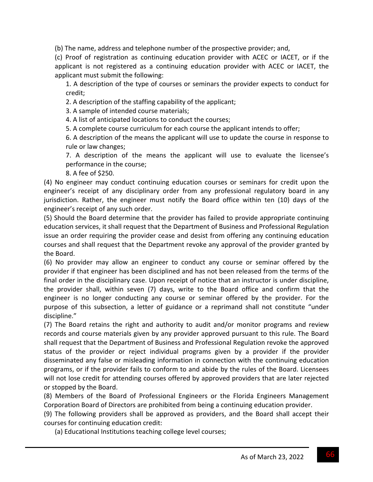(b) The name, address and telephone number of the prospective provider; and,

(c) Proof of registration as continuing education provider with ACEC or IACET, or if the applicant is not registered as a continuing education provider with ACEC or IACET, the applicant must submit the following:

1. A description of the type of courses or seminars the provider expects to conduct for credit;

2. A description of the staffing capability of the applicant;

3. A sample of intended course materials;

4. A list of anticipated locations to conduct the courses;

5. A complete course curriculum for each course the applicant intends to offer;

6. A description of the means the applicant will use to update the course in response to rule or law changes;

7. A description of the means the applicant will use to evaluate the licensee's performance in the course;

8. A fee of \$250.

(4) No engineer may conduct continuing education courses or seminars for credit upon the engineer's receipt of any disciplinary order from any professional regulatory board in any jurisdiction. Rather, the engineer must notify the Board office within ten (10) days of the engineer's receipt of any such order.

(5) Should the Board determine that the provider has failed to provide appropriate continuing education services, it shall request that the Department of Business and Professional Regulation issue an order requiring the provider cease and desist from offering any continuing education courses and shall request that the Department revoke any approval of the provider granted by the Board.

(6) No provider may allow an engineer to conduct any course or seminar offered by the provider if that engineer has been disciplined and has not been released from the terms of the final order in the disciplinary case. Upon receipt of notice that an instructor is under discipline, the provider shall, within seven (7) days, write to the Board office and confirm that the engineer is no longer conducting any course or seminar offered by the provider. For the purpose of this subsection, a letter of guidance or a reprimand shall not constitute "under discipline."

(7) The Board retains the right and authority to audit and/or monitor programs and review records and course materials given by any provider approved pursuant to this rule. The Board shall request that the Department of Business and Professional Regulation revoke the approved status of the provider or reject individual programs given by a provider if the provider disseminated any false or misleading information in connection with the continuing education programs, or if the provider fails to conform to and abide by the rules of the Board. Licensees will not lose credit for attending courses offered by approved providers that are later rejected or stopped by the Board.

(8) Members of the Board of Professional Engineers or the Florida Engineers Management Corporation Board of Directors are prohibited from being a continuing education provider.

(9) The following providers shall be approved as providers, and the Board shall accept their courses for continuing education credit:

(a) Educational Institutions teaching college level courses;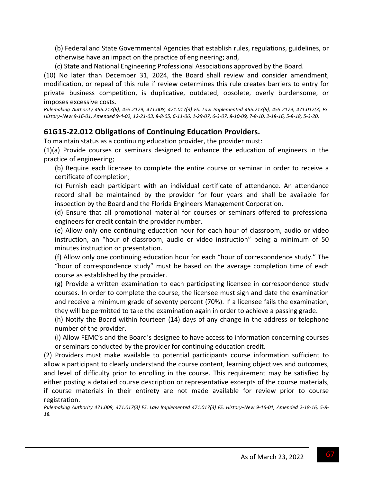(b) Federal and State Governmental Agencies that establish rules, regulations, guidelines, or otherwise have an impact on the practice of engineering; and,

(c) State and National Engineering Professional Associations approved by the Board.

(10) No later than December 31, 2024, the Board shall review and consider amendment, modification, or repeal of this rule if review determines this rule creates barriers to entry for private business competition, is duplicative, outdated, obsolete, overly burdensome, or imposes excessive costs.

*Rulemaking Authority 455.213(6), 455.2179, 471.008, 471.017(3) FS. Law Implemented 455.213(6), 455.2179, 471.017(3) FS.* History-New 9-16-01, Amended 9-4-02, 12-21-03, 8-8-05, 6-11-06, 1-29-07, 6-3-07, 8-10-09, 7-8-10, 2-18-16, 5-8-18, 5-3-20.

# **61G15‐22.012 Obligations of Continuing Education Providers.**

To maintain status as a continuing education provider, the provider must:

(1)(a) Provide courses or seminars designed to enhance the education of engineers in the practice of engineering;

(b) Require each licensee to complete the entire course or seminar in order to receive a certificate of completion;

(c) Furnish each participant with an individual certificate of attendance. An attendance record shall be maintained by the provider for four years and shall be available for inspection by the Board and the Florida Engineers Management Corporation.

(d) Ensure that all promotional material for courses or seminars offered to professional engineers for credit contain the provider number.

(e) Allow only one continuing education hour for each hour of classroom, audio or video instruction, an "hour of classroom, audio or video instruction" being a minimum of 50 minutes instruction or presentation.

(f) Allow only one continuing education hour for each "hour of correspondence study." The "hour of correspondence study" must be based on the average completion time of each course as established by the provider.

(g) Provide a written examination to each participating licensee in correspondence study courses. In order to complete the course, the licensee must sign and date the examination and receive a minimum grade of seventy percent (70%). If a licensee fails the examination, they will be permitted to take the examination again in order to achieve a passing grade.

(h) Notify the Board within fourteen (14) days of any change in the address or telephone number of the provider.

(i) Allow FEMC's and the Board's designee to have access to information concerning courses or seminars conducted by the provider for continuing education credit.

(2) Providers must make available to potential participants course information sufficient to allow a participant to clearly understand the course content, learning objectives and outcomes, and level of difficulty prior to enrolling in the course. This requirement may be satisfied by either posting a detailed course description or representative excerpts of the course materials, if course materials in their entirety are not made available for review prior to course registration.

Rulemaking Authority 471.008, 471.017(3) FS. Law Implemented 471.017(3) FS. History-New 9-16-01, Amended 2-18-16, 5-8-*18.*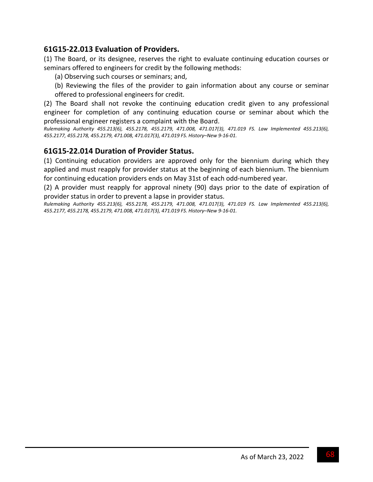## **61G15‐22.013 Evaluation of Providers.**

(1) The Board, or its designee, reserves the right to evaluate continuing education courses or seminars offered to engineers for credit by the following methods:

- (a) Observing such courses or seminars; and,
- (b) Reviewing the files of the provider to gain information about any course or seminar offered to professional engineers for credit.

(2) The Board shall not revoke the continuing education credit given to any professional engineer for completion of any continuing education course or seminar about which the professional engineer registers a complaint with the Board.

*Rulemaking Authority 455.213(6), 455.2178, 455.2179, 471.008, 471.017(3), 471.019 FS. Law Implemented 455.213(6), 455.2177, 455.2178, 455.2179, 471.008, 471.017(3), 471.019 FS. History–New 9‐16‐01.*

#### **61G15‐22.014 Duration of Provider Status.**

(1) Continuing education providers are approved only for the biennium during which they applied and must reapply for provider status at the beginning of each biennium. The biennium for continuing education providers ends on May 31st of each odd-numbered year.

(2) A provider must reapply for approval ninety (90) days prior to the date of expiration of provider status in order to prevent a lapse in provider status.

*Rulemaking Authority 455.213(6), 455.2178, 455.2179, 471.008, 471.017(3), 471.019 FS. Law Implemented 455.213(6), 455.2177, 455.2178, 455.2179, 471.008, 471.017(3), 471.019 FS. History–New 9‐16‐01.*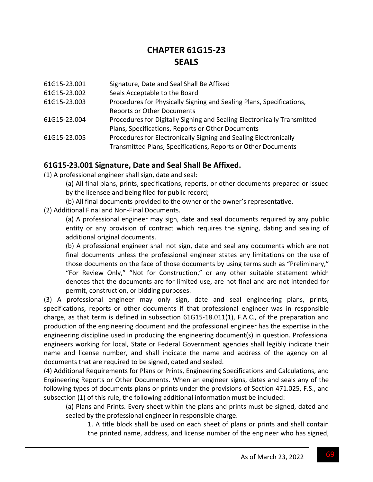# **CHAPTER 61G15‐23 SEALS**

- 61G15‐23.001 Signature, Date and Seal Shall Be Affixed
- 61G15‐23.002 Seals Acceptable to the Board
- 61G15‐23.003 Procedures for Physically Signing and Sealing Plans, Specifications, Reports or Other Documents
- 61G15‐23.004 Procedures for Digitally Signing and Sealing Electronically Transmitted Plans, Specifications, Reports or Other Documents
- 61G15‐23.005 Procedures for Electronically Signing and Sealing Electronically Transmitted Plans, Specifications, Reports or Other Documents

### **61G15‐23.001 Signature, Date and Seal Shall Be Affixed.**

(1) A professional engineer shall sign, date and seal:

(a) All final plans, prints, specifications, reports, or other documents prepared or issued by the licensee and being filed for public record;

(b) All final documents provided to the owner or the owner's representative.

(2) Additional Final and Non‐Final Documents.

(a) A professional engineer may sign, date and seal documents required by any public entity or any provision of contract which requires the signing, dating and sealing of additional original documents.

(b) A professional engineer shall not sign, date and seal any documents which are not final documents unless the professional engineer states any limitations on the use of those documents on the face of those documents by using terms such as "Preliminary," "For Review Only," "Not for Construction," or any other suitable statement which denotes that the documents are for limited use, are not final and are not intended for permit, construction, or bidding purposes.

(3) A professional engineer may only sign, date and seal engineering plans, prints, specifications, reports or other documents if that professional engineer was in responsible charge, as that term is defined in subsection 61G15-18.011(1), F.A.C., of the preparation and production of the engineering document and the professional engineer has the expertise in the engineering discipline used in producing the engineering document(s) in question. Professional engineers working for local, State or Federal Government agencies shall legibly indicate their name and license number, and shall indicate the name and address of the agency on all documents that are required to be signed, dated and sealed.

(4) Additional Requirements for Plans or Prints, Engineering Specifications and Calculations, and Engineering Reports or Other Documents. When an engineer signs, dates and seals any of the following types of documents plans or prints under the provisions of Section 471.025, F.S., and subsection (1) of this rule, the following additional information must be included:

(a) Plans and Prints. Every sheet within the plans and prints must be signed, dated and sealed by the professional engineer in responsible charge.

1. A title block shall be used on each sheet of plans or prints and shall contain the printed name, address, and license number of the engineer who has signed,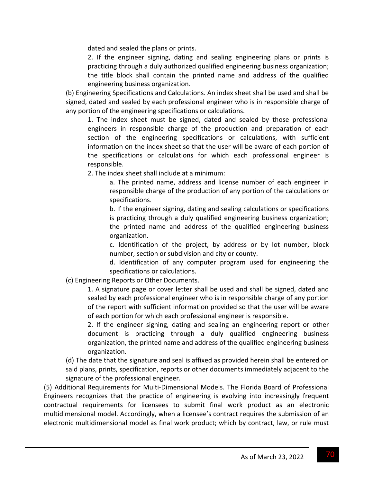dated and sealed the plans or prints.

2. If the engineer signing, dating and sealing engineering plans or prints is practicing through a duly authorized qualified engineering business organization; the title block shall contain the printed name and address of the qualified engineering business organization.

(b) Engineering Specifications and Calculations. An index sheet shall be used and shall be signed, dated and sealed by each professional engineer who is in responsible charge of any portion of the engineering specifications or calculations.

1. The index sheet must be signed, dated and sealed by those professional engineers in responsible charge of the production and preparation of each section of the engineering specifications or calculations, with sufficient information on the index sheet so that the user will be aware of each portion of the specifications or calculations for which each professional engineer is responsible.

2. The index sheet shall include at a minimum:

a. The printed name, address and license number of each engineer in responsible charge of the production of any portion of the calculations or specifications.

b. If the engineer signing, dating and sealing calculations or specifications is practicing through a duly qualified engineering business organization; the printed name and address of the qualified engineering business organization.

c. Identification of the project, by address or by lot number, block number, section or subdivision and city or county.

d. Identification of any computer program used for engineering the specifications or calculations.

(c) Engineering Reports or Other Documents.

1. A signature page or cover letter shall be used and shall be signed, dated and sealed by each professional engineer who is in responsible charge of any portion of the report with sufficient information provided so that the user will be aware of each portion for which each professional engineer is responsible.

2. If the engineer signing, dating and sealing an engineering report or other document is practicing through a duly qualified engineering business organization, the printed name and address of the qualified engineering business organization.

(d) The date that the signature and seal is affixed as provided herein shall be entered on said plans, prints, specification, reports or other documents immediately adjacent to the signature of the professional engineer.

(5) Additional Requirements for Multi‐Dimensional Models. The Florida Board of Professional Engineers recognizes that the practice of engineering is evolving into increasingly frequent contractual requirements for licensees to submit final work product as an electronic multidimensional model. Accordingly, when a licensee's contract requires the submission of an electronic multidimensional model as final work product; which by contract, law, or rule must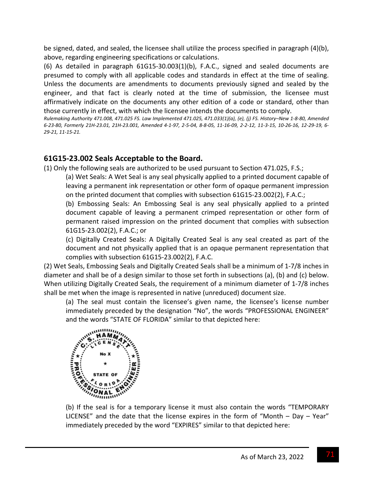be signed, dated, and sealed, the licensee shall utilize the process specified in paragraph (4)(b), above, regarding engineering specifications or calculations.

(6) As detailed in paragraph 61G15‐30.003(1)(b), F.A.C., signed and sealed documents are presumed to comply with all applicable codes and standards in effect at the time of sealing. Unless the documents are amendments to documents previously signed and sealed by the engineer, and that fact is clearly noted at the time of submission, the licensee must affirmatively indicate on the documents any other edition of a code or standard, other than those currently in effect, with which the licensee intends the documents to comply.

Rulemaking Authority 471.008, 471.025 FS. Law Implemented 471.025, 471.033(1)(a), (e), (j) FS. History-New 1-8-80, Amended 6-23-80, Formerly 21H-23.01, 21H-23.001, Amended 4-1-97, 2-5-04, 8-8-05, 11-16-09, 2-2-12, 11-3-15, 10-26-16, 12-29-19, 6-*29‐21, 11‐15‐21.*

## **61G15‐23.002 Seals Acceptable to the Board.**

(1) Only the following seals are authorized to be used pursuant to Section 471.025, F.S.;

(a) Wet Seals: A Wet Seal is any seal physically applied to a printed document capable of leaving a permanent ink representation or other form of opaque permanent impression on the printed document that complies with subsection 61G15‐23.002(2), F.A.C.;

(b) Embossing Seals: An Embossing Seal is any seal physically applied to a printed document capable of leaving a permanent crimped representation or other form of permanent raised impression on the printed document that complies with subsection 61G15‐23.002(2), F.A.C.; or

(c) Digitally Created Seals: A Digitally Created Seal is any seal created as part of the document and not physically applied that is an opaque permanent representation that complies with subsection 61G15‐23.002(2), F.A.C.

(2) Wet Seals, Embossing Seals and Digitally Created Seals shall be a minimum of 1‐7/8 inches in diameter and shall be of a design similar to those set forth in subsections (a), (b) and (c) below. When utilizing Digitally Created Seals, the requirement of a minimum diameter of 1‐7/8 inches shall be met when the image is represented in native (unreduced) document size.

(a) The seal must contain the licensee's given name, the licensee's license number immediately preceded by the designation "No", the words "PROFESSIONAL ENGINEER" and the words "STATE OF FLORIDA" similar to that depicted here:



(b) If the seal is for a temporary license it must also contain the words "TEMPORARY LICENSE" and the date that the license expires in the form of "Month – Day – Year" immediately preceded by the word "EXPIRES" similar to that depicted here: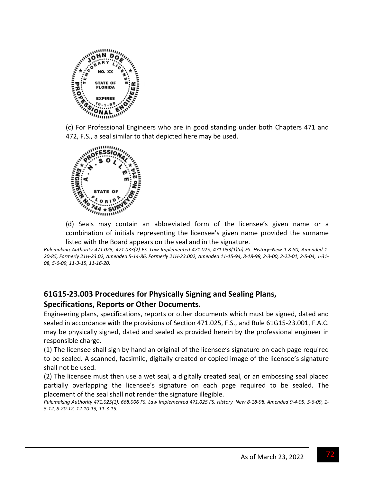

(c) For Professional Engineers who are in good standing under both Chapters 471 and 472, F.S., a seal similar to that depicted here may be used.



(d) Seals may contain an abbreviated form of the licensee's given name or a combination of initials representing the licensee's given name provided the surname listed with the Board appears on the seal and in the signature.

Rulemaking Authority 471.025, 471.033(2) FS. Law Implemented 471.025, 471.033(1)(a) FS. History-New 1-8-80, Amended 1-20-85, Formerly 21H-23.02, Amended 5-14-86, Formerly 21H-23.002, Amended 11-15-94, 8-18-98, 2-3-00, 2-22-01, 2-5-04, 1-31-*08, 5‐6‐09, 11‐3‐15, 11‐16‐20.*

# **61G15‐23.003 Procedures for Physically Signing and Sealing Plans,**

### **Specifications, Reports or Other Documents.**

Engineering plans, specifications, reports or other documents which must be signed, dated and sealed in accordance with the provisions of Section 471.025, F.S., and Rule 61G15‐23.001, F.A.C. may be physically signed, dated and sealed as provided herein by the professional engineer in responsible charge.

(1) The licensee shall sign by hand an original of the licensee's signature on each page required to be sealed. A scanned, facsimile, digitally created or copied image of the licensee's signature shall not be used.

(2) The licensee must then use a wet seal, a digitally created seal, or an embossing seal placed partially overlapping the licensee's signature on each page required to be sealed. The placement of the seal shall not render the signature illegible.

Rulemaking Authority 471.025(1), 668.006 FS. Law Implemented 471.025 FS. History-New 8-18-98, Amended 9-4-05, 5-6-09, 1-*5‐12, 8‐20‐12, 12‐10‐13, 11‐3‐15.*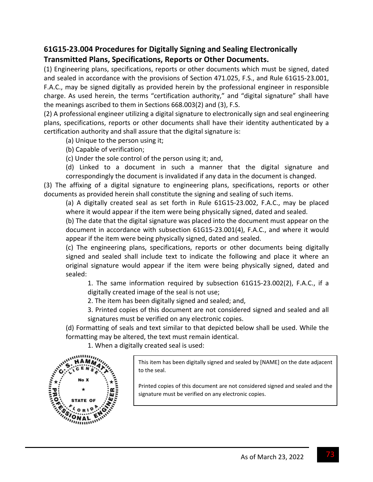## **61G15‐23.004 Procedures for Digitally Signing and Sealing Electronically Transmitted Plans, Specifications, Reports or Other Documents.**

(1) Engineering plans, specifications, reports or other documents which must be signed, dated and sealed in accordance with the provisions of Section 471.025, F.S., and Rule 61G15‐23.001, F.A.C., may be signed digitally as provided herein by the professional engineer in responsible charge. As used herein, the terms "certification authority," and "digital signature" shall have the meanings ascribed to them in Sections 668.003(2) and (3), F.S.

(2) A professional engineer utilizing a digital signature to electronically sign and seal engineering plans, specifications, reports or other documents shall have their identity authenticated by a certification authority and shall assure that the digital signature is:

- (a) Unique to the person using it;
- (b) Capable of verification;
- (c) Under the sole control of the person using it; and,

(d) Linked to a document in such a manner that the digital signature and correspondingly the document is invalidated if any data in the document is changed.

(3) The affixing of a digital signature to engineering plans, specifications, reports or other documents as provided herein shall constitute the signing and sealing of such items.

(a) A digitally created seal as set forth in Rule 61G15‐23.002, F.A.C., may be placed where it would appear if the item were being physically signed, dated and sealed.

(b) The date that the digital signature was placed into the document must appear on the document in accordance with subsection 61G15‐23.001(4), F.A.C., and where it would appear if the item were being physically signed, dated and sealed.

(c) The engineering plans, specifications, reports or other documents being digitally signed and sealed shall include text to indicate the following and place it where an original signature would appear if the item were being physically signed, dated and sealed:

1. The same information required by subsection 61G15‐23.002(2), F.A.C., if a digitally created image of the seal is not use;

2. The item has been digitally signed and sealed; and,

3. Printed copies of this document are not considered signed and sealed and all signatures must be verified on any electronic copies.

(d) Formatting of seals and text similar to that depicted below shall be used. While the formatting may be altered, the text must remain identical.

1. When a digitally created seal is used:

This item has been digitally signed and sealed by [NAME] on the date adjacent to the seal.

Printed copies of this document are not considered signed and sealed and the signature must be verified on any electronic copies.

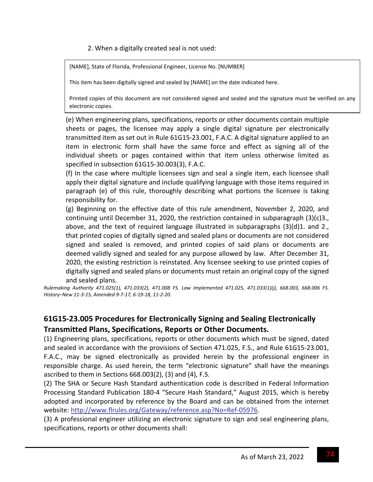2. When a digitally created seal is not used:

and the state

[NAME], State of Florida, Professional Engineer, License No. [NUMBER]

This item has been digitally signed and sealed by [NAME] on the date indicated here.

Printed copies of this document are not considered signed and sealed and the signature must be verified on any electronic copies.

(e) When engineering plans, specifications, reports or other documents contain multiple sheets or pages, the licensee may apply a single digital signature per electronically transmitted item as set out in Rule 61G15‐23.001, F.A.C. A digital signature applied to an item in electronic form shall have the same force and effect as signing all of the individual sheets or pages contained within that item unless otherwise limited as specified in subsection 61G15‐30.003(3), F.A.C.

(f) In the case where multiple licensees sign and seal a single item, each licensee shall apply their digital signature and include qualifying language with those items required in paragraph (e) of this rule, thoroughly describing what portions the licensee is taking responsibility for.

(g) Beginning on the effective date of this rule amendment, November 2, 2020, and continuing until December 31, 2020, the restriction contained in subparagraph (3)(c)3., above, and the text of required language illustrated in subparagraphs  $(3)(d)1$ . and 2., that printed copies of digitally signed and sealed plans or documents are not considered signed and sealed is removed, and printed copies of said plans or documents are deemed validly signed and sealed for any purpose allowed by law. After December 31, 2020, the existing restriction is reinstated. Any licensee seeking to use printed copies of digitally signed and sealed plans or documents must retain an original copy of the signed and sealed plans.

*Rulemaking Authority 471.025(1), 471.033(2), 471.008 FS. Law Implemented 471.025, 471.033(1)(j), 668.003, 668.006 FS. History–New 11‐3‐15, Amended 9‐7‐17, 6‐19‐18, 11‐2‐20.*

### **61G15‐23.005 Procedures for Electronically Signing and Sealing Electronically Transmitted Plans, Specifications, Reports or Other Documents.**

(1) Engineering plans, specifications, reports or other documents which must be signed, dated and sealed in accordance with the provisions of Section 471.025, F.S., and Rule 61G15‐23.001, F.A.C., may be signed electronically as provided herein by the professional engineer in responsible charge. As used herein, the term "electronic signature" shall have the meanings ascribed to them in Sections 668.003(2), (3) and (4), F.S.

(2) The SHA or Secure Hash Standard authentication code is described in Federal Information Processing Standard Publication 180‐4 "Secure Hash Standard," August 2015, which is hereby adopted and incorporated by reference by the Board and can be obtained from the internet website: http://www.flrules.org/Gateway/reference.asp?No=Ref‐05976.

(3) A professional engineer utilizing an electronic signature to sign and seal engineering plans, specifications, reports or other documents shall: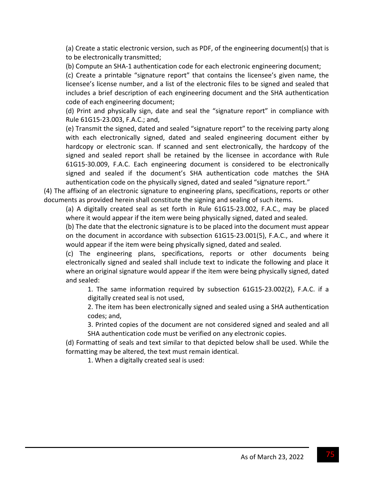(a) Create a static electronic version, such as PDF, of the engineering document(s) that is to be electronically transmitted;

(b) Compute an SHA‐1 authentication code for each electronic engineering document;

(c) Create a printable "signature report" that contains the licensee's given name, the licensee's license number, and a list of the electronic files to be signed and sealed that includes a brief description of each engineering document and the SHA authentication code of each engineering document;

(d) Print and physically sign, date and seal the "signature report" in compliance with Rule 61G15‐23.003, F.A.C.; and,

(e) Transmit the signed, dated and sealed "signature report" to the receiving party along with each electronically signed, dated and sealed engineering document either by hardcopy or electronic scan. If scanned and sent electronically, the hardcopy of the signed and sealed report shall be retained by the licensee in accordance with Rule 61G15‐30.009, F.A.C. Each engineering document is considered to be electronically signed and sealed if the document's SHA authentication code matches the SHA authentication code on the physically signed, dated and sealed "signature report."

(4) The affixing of an electronic signature to engineering plans, specifications, reports or other documents as provided herein shall constitute the signing and sealing of such items.

(a) A digitally created seal as set forth in Rule 61G15‐23.002, F.A.C., may be placed where it would appear if the item were being physically signed, dated and sealed.

(b) The date that the electronic signature is to be placed into the document must appear on the document in accordance with subsection 61G15‐23.001(5), F.A.C., and where it would appear if the item were being physically signed, dated and sealed.

(c) The engineering plans, specifications, reports or other documents being electronically signed and sealed shall include text to indicate the following and place it where an original signature would appear if the item were being physically signed, dated and sealed:

1. The same information required by subsection 61G15‐23.002(2), F.A.C. if a digitally created seal is not used,

2. The item has been electronically signed and sealed using a SHA authentication codes; and,

3. Printed copies of the document are not considered signed and sealed and all SHA authentication code must be verified on any electronic copies.

(d) Formatting of seals and text similar to that depicted below shall be used. While the formatting may be altered, the text must remain identical.

1. When a digitally created seal is used: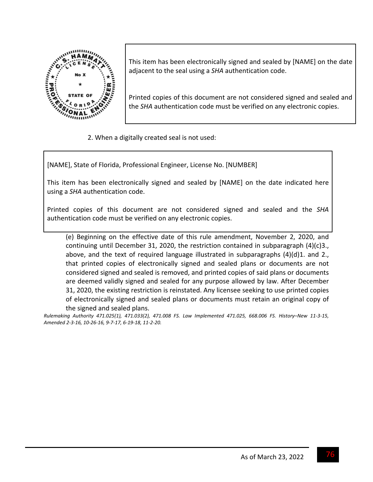

This item has been electronically signed and sealed by [NAME] on the date adjacent to the seal using a *SHA* authentication code.

Printed copies of this document are not considered signed and sealed and the *SHA* authentication code must be verified on any electronic copies.

2. When a digitally created seal is not used:

[NAME], State of Florida, Professional Engineer, License No. [NUMBER]

This item has been electronically signed and sealed by [NAME] on the date indicated here using a *SHA* authentication code.

Printed copies of this document are not considered signed and sealed and the *SHA* authentication code must be verified on any electronic copies.

(e) Beginning on the effective date of this rule amendment, November 2, 2020, and continuing until December 31, 2020, the restriction contained in subparagraph (4)(c)3., above, and the text of required language illustrated in subparagraphs  $(4)(d)1$ . and 2., that printed copies of electronically signed and sealed plans or documents are not considered signed and sealed is removed, and printed copies of said plans or documents are deemed validly signed and sealed for any purpose allowed by law. After December 31, 2020, the existing restriction is reinstated. Any licensee seeking to use printed copies of electronically signed and sealed plans or documents must retain an original copy of the signed and sealed plans.

Rulemaking Authority 471.025(1), 471.033(2), 471.008 FS. Law Implemented 471.025, 668.006 FS. History-New 11-3-15, Amended 2-3-16, 10-26-16, 9-7-17, 6-19-18, 11-2-20.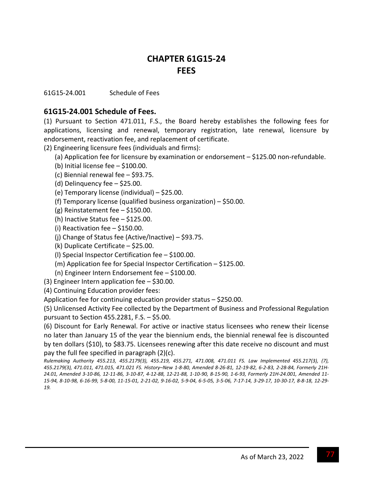# **CHAPTER 61G15‐24 FEES**

61G15‐24.001 Schedule of Fees

### **61G15‐24.001 Schedule of Fees.**

(1) Pursuant to Section 471.011, F.S., the Board hereby establishes the following fees for applications, licensing and renewal, temporary registration, late renewal, licensure by endorsement, reactivation fee, and replacement of certificate.

(2) Engineering licensure fees (individuals and firms):

- (a) Application fee for licensure by examination or endorsement \$125.00 non‐refundable.
- (b) Initial license fee \$100.00.
- (c) Biennial renewal fee \$93.75.
- (d) Delinquency fee \$25.00.
- (e) Temporary license (individual) \$25.00.
- (f) Temporary license (qualified business organization) \$50.00.
- (g) Reinstatement fee \$150.00.
- (h) Inactive Status fee \$125.00.
- (i) Reactivation fee  $-$  \$150.00.
- (j) Change of Status fee (Active/Inactive) \$93.75.
- (k) Duplicate Certificate \$25.00.
- (l) Special Inspector Certification fee \$100.00.
- (m) Application fee for Special Inspector Certification \$125.00.
- (n) Engineer Intern Endorsement fee \$100.00.
- (3) Engineer Intern application fee \$30.00.
- (4) Continuing Education provider fees:

Application fee for continuing education provider status – \$250.00.

(5) Unlicensed Activity Fee collected by the Department of Business and Professional Regulation pursuant to Section 455.2281, F.S. – \$5.00.

(6) Discount for Early Renewal. For active or inactive status licensees who renew their license no later than January 15 of the year the biennium ends, the biennial renewal fee is discounted by ten dollars (\$10), to \$83.75. Licensees renewing after this date receive no discount and must pay the full fee specified in paragraph (2)(c).

*Rulemaking Authority 455.213, 455.2179(3), 455.219, 455.271, 471.008, 471.011 FS. Law Implemented 455.217(3), (7),* 455.2179(3), 471.011, 471.015, 471.021 FS. History-New 1-8-80, Amended 8-26-81, 12-19-82, 6-2-83, 2-28-84, Formerly 21H-24.01, Amended 3-10-86, 12-11-86, 3-10-87, 4-12-88, 12-21-88, 1-10-90, 8-15-90, 1-6-93, Formerly 21H-24.001, Amended 11-15-94, 8-10-98, 6-16-99, 5-8-00, 11-15-01, 2-21-02, 9-16-02, 5-9-04, 6-5-05, 3-5-06, 7-17-14, 3-29-17, 10-30-17, 8-8-18, 12-29-*19.*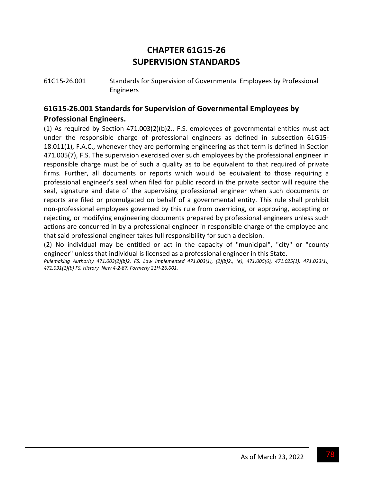# **CHAPTER 61G15‐26 SUPERVISION STANDARDS**

61G15‐26.001 Standards for Supervision of Governmental Employees by Professional Engineers

### **61G15‐26.001 Standards for Supervision of Governmental Employees by Professional Engineers.**

(1) As required by Section 471.003(2)(b)2., F.S. employees of governmental entities must act under the responsible charge of professional engineers as defined in subsection 61G15‐ 18.011(1), F.A.C., whenever they are performing engineering as that term is defined in Section 471.005(7), F.S. The supervision exercised over such employees by the professional engineer in responsible charge must be of such a quality as to be equivalent to that required of private firms. Further, all documents or reports which would be equivalent to those requiring a professional engineer's seal when filed for public record in the private sector will require the seal, signature and date of the supervising professional engineer when such documents or reports are filed or promulgated on behalf of a governmental entity. This rule shall prohibit non‐professional employees governed by this rule from overriding, or approving, accepting or rejecting, or modifying engineering documents prepared by professional engineers unless such actions are concurred in by a professional engineer in responsible charge of the employee and that said professional engineer takes full responsibility for such a decision.

(2) No individual may be entitled or act in the capacity of "municipal", "city" or "county engineer" unless that individual is licensed as a professional engineer in this State.

*Rulemaking Authority 471.003(2)(b)2. FS. Law Implemented 471.003(1), (2)(b)2., (e), 471.005(6), 471.025(1), 471.023(1), 471.031(1)(b) FS. History–New 4‐2‐87, Formerly 21H‐26.001.*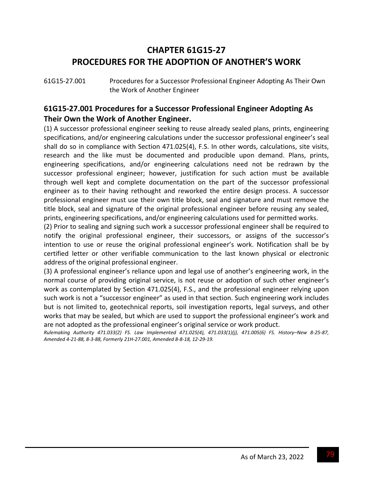# **CHAPTER 61G15‐27 PROCEDURES FOR THE ADOPTION OF ANOTHER'S WORK**

61G15‐27.001 Procedures for a Successor Professional Engineer Adopting As Their Own the Work of Another Engineer

### **61G15‐27.001 Procedures for a Successor Professional Engineer Adopting As Their Own the Work of Another Engineer.**

(1) A successor professional engineer seeking to reuse already sealed plans, prints, engineering specifications, and/or engineering calculations under the successor professional engineer's seal shall do so in compliance with Section 471.025(4), F.S. In other words, calculations, site visits, research and the like must be documented and producible upon demand. Plans, prints, engineering specifications, and/or engineering calculations need not be redrawn by the successor professional engineer; however, justification for such action must be available through well kept and complete documentation on the part of the successor professional engineer as to their having rethought and reworked the entire design process. A successor professional engineer must use their own title block, seal and signature and must remove the title block, seal and signature of the original professional engineer before reusing any sealed, prints, engineering specifications, and/or engineering calculations used for permitted works.

(2) Prior to sealing and signing such work a successor professional engineer shall be required to notify the original professional engineer, their successors, or assigns of the successor's intention to use or reuse the original professional engineer's work. Notification shall be by certified letter or other verifiable communication to the last known physical or electronic address of the original professional engineer.

(3) A professional engineer's reliance upon and legal use of another's engineering work, in the normal course of providing original service, is not reuse or adoption of such other engineer's work as contemplated by Section 471.025(4), F.S., and the professional engineer relying upon such work is not a "successor engineer" as used in that section. Such engineering work includes but is not limited to, geotechnical reports, soil investigation reports, legal surveys, and other works that may be sealed, but which are used to support the professional engineer's work and are not adopted as the professional engineer's original service or work product.

Rulemaking Authority 471.033(2) FS. Law Implemented 471.025(4), 471.033(1)(i), 471.005(6) FS. History-New 8-25-87, Amended 4-21-88, 8-3-88, Formerly 21H-27.001, Amended 8-8-18, 12-29-19.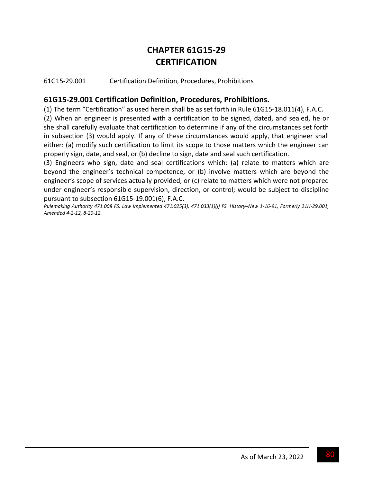# **CHAPTER 61G15‐29 CERTIFICATION**

61G15‐29.001 Certification Definition, Procedures, Prohibitions

### **61G15‐29.001 Certification Definition, Procedures, Prohibitions.**

(1) The term "Certification" as used herein shall be as set forth in Rule 61G15‐18.011(4), F.A.C.

(2) When an engineer is presented with a certification to be signed, dated, and sealed, he or she shall carefully evaluate that certification to determine if any of the circumstances set forth in subsection (3) would apply. If any of these circumstances would apply, that engineer shall either: (a) modify such certification to limit its scope to those matters which the engineer can properly sign, date, and seal, or (b) decline to sign, date and seal such certification.

(3) Engineers who sign, date and seal certifications which: (a) relate to matters which are beyond the engineer's technical competence, or (b) involve matters which are beyond the engineer's scope of services actually provided, or (c) relate to matters which were not prepared under engineer's responsible supervision, direction, or control; would be subject to discipline pursuant to subsection 61G15‐19.001(6), F.A.C.

Rulemaking Authority 471.008 FS. Law Implemented 471.025(3), 471.033(1)(j) FS. History-New 1-16-91, Formerly 21H-29.001, *Amended 4‐2‐12, 8‐20‐12.*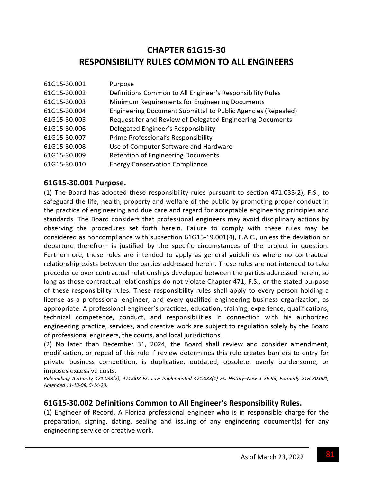# **CHAPTER 61G15‐30 RESPONSIBILITY RULES COMMON TO ALL ENGINEERS**

| 61G15-30.001 | Purpose                                                      |
|--------------|--------------------------------------------------------------|
| 61G15-30.002 | Definitions Common to All Engineer's Responsibility Rules    |
| 61G15-30.003 | Minimum Requirements for Engineering Documents               |
| 61G15-30.004 | Engineering Document Submittal to Public Agencies (Repealed) |
| 61G15-30.005 | Request for and Review of Delegated Engineering Documents    |
| 61G15-30.006 | Delegated Engineer's Responsibility                          |
| 61G15-30.007 | Prime Professional's Responsibility                          |
| 61G15-30.008 | Use of Computer Software and Hardware                        |
| 61G15-30.009 | <b>Retention of Engineering Documents</b>                    |
| 61G15-30.010 | <b>Energy Conservation Compliance</b>                        |

### **61G15‐30.001 Purpose.**

(1) The Board has adopted these responsibility rules pursuant to section 471.033(2), F.S., to safeguard the life, health, property and welfare of the public by promoting proper conduct in the practice of engineering and due care and regard for acceptable engineering principles and standards. The Board considers that professional engineers may avoid disciplinary actions by observing the procedures set forth herein. Failure to comply with these rules may be considered as noncompliance with subsection 61G15‐19.001(4), F.A.C., unless the deviation or departure therefrom is justified by the specific circumstances of the project in question. Furthermore, these rules are intended to apply as general guidelines where no contractual relationship exists between the parties addressed herein. These rules are not intended to take precedence over contractual relationships developed between the parties addressed herein, so long as those contractual relationships do not violate Chapter 471, F.S., or the stated purpose of these responsibility rules. These responsibility rules shall apply to every person holding a license as a professional engineer, and every qualified engineering business organization, as appropriate. A professional engineer's practices, education, training, experience, qualifications, technical competence, conduct, and responsibilities in connection with his authorized engineering practice, services, and creative work are subject to regulation solely by the Board of professional engineers, the courts, and local jurisdictions.

(2) No later than December 31, 2024, the Board shall review and consider amendment, modification, or repeal of this rule if review determines this rule creates barriers to entry for private business competition, is duplicative, outdated, obsolete, overly burdensome, or imposes excessive costs.

Rulemaking Authority 471.033(2), 471.008 FS. Law Implemented 471.033(1) FS. History-New 1-26-93, Formerly 21H-30.001, *Amended 11‐13‐08, 5‐14‐20.*

### **61G15‐30.002 Definitions Common to All Engineer's Responsibility Rules.**

(1) Engineer of Record. A Florida professional engineer who is in responsible charge for the preparation, signing, dating, sealing and issuing of any engineering document(s) for any engineering service or creative work.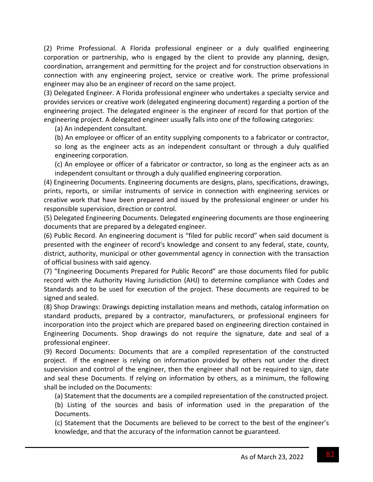(2) Prime Professional. A Florida professional engineer or a duly qualified engineering corporation or partnership, who is engaged by the client to provide any planning, design, coordination, arrangement and permitting for the project and for construction observations in connection with any engineering project, service or creative work. The prime professional engineer may also be an engineer of record on the same project.

(3) Delegated Engineer. A Florida professional engineer who undertakes a specialty service and provides services or creative work (delegated engineering document) regarding a portion of the engineering project. The delegated engineer is the engineer of record for that portion of the engineering project. A delegated engineer usually falls into one of the following categories:

(a) An independent consultant.

(b) An employee or officer of an entity supplying components to a fabricator or contractor, so long as the engineer acts as an independent consultant or through a duly qualified engineering corporation.

(c) An employee or officer of a fabricator or contractor, so long as the engineer acts as an independent consultant or through a duly qualified engineering corporation.

(4) Engineering Documents. Engineering documents are designs, plans, specifications, drawings, prints, reports, or similar instruments of service in connection with engineering services or creative work that have been prepared and issued by the professional engineer or under his responsible supervision, direction or control.

(5) Delegated Engineering Documents. Delegated engineering documents are those engineering documents that are prepared by a delegated engineer.

(6) Public Record. An engineering document is "filed for public record" when said document is presented with the engineer of record's knowledge and consent to any federal, state, county, district, authority, municipal or other governmental agency in connection with the transaction of official business with said agency.

(7) "Engineering Documents Prepared for Public Record" are those documents filed for public record with the Authority Having Jurisdiction (AHJ) to determine compliance with Codes and Standards and to be used for execution of the project. These documents are required to be signed and sealed.

(8) Shop Drawings: Drawings depicting installation means and methods, catalog information on standard products, prepared by a contractor, manufacturers, or professional engineers for incorporation into the project which are prepared based on engineering direction contained in Engineering Documents. Shop drawings do not require the signature, date and seal of a professional engineer.

(9) Record Documents: Documents that are a compiled representation of the constructed project. If the engineer is relying on information provided by others not under the direct supervision and control of the engineer, then the engineer shall not be required to sign, date and seal these Documents. If relying on information by others, as a minimum, the following shall be included on the Documents:

(a) Statement that the documents are a compiled representation of the constructed project. (b) Listing of the sources and basis of information used in the preparation of the Documents.

(c) Statement that the Documents are believed to be correct to the best of the engineer's knowledge, and that the accuracy of the information cannot be guaranteed.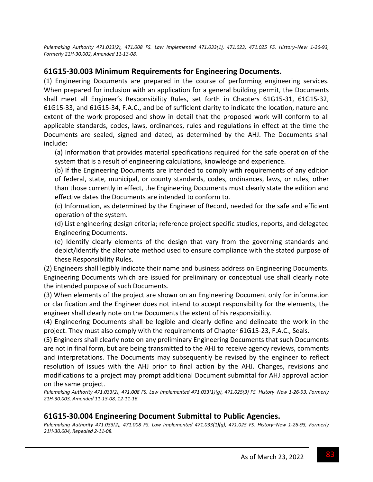Rulemaking Authority 471.033(2), 471.008 FS. Law Implemented 471.033(1), 471.023, 471.025 FS. History-New 1-26-93, *Formerly 21H‐30.002, Amended 11‐13‐08.*

### **61G15‐30.003 Minimum Requirements for Engineering Documents.**

(1) Engineering Documents are prepared in the course of performing engineering services. When prepared for inclusion with an application for a general building permit, the Documents shall meet all Engineer's Responsibility Rules, set forth in Chapters 61G15‐31, 61G15‐32, 61G15‐33, and 61G15‐34, F.A.C., and be of sufficient clarity to indicate the location, nature and extent of the work proposed and show in detail that the proposed work will conform to all applicable standards, codes, laws, ordinances, rules and regulations in effect at the time the Documents are sealed, signed and dated, as determined by the AHJ. The Documents shall include:

(a) Information that provides material specifications required for the safe operation of the system that is a result of engineering calculations, knowledge and experience.

(b) If the Engineering Documents are intended to comply with requirements of any edition of federal, state, municipal, or county standards, codes, ordinances, laws, or rules, other than those currently in effect, the Engineering Documents must clearly state the edition and effective dates the Documents are intended to conform to.

(c) Information, as determined by the Engineer of Record, needed for the safe and efficient operation of the system.

(d) List engineering design criteria; reference project specific studies, reports, and delegated Engineering Documents.

(e) Identify clearly elements of the design that vary from the governing standards and depict/identify the alternate method used to ensure compliance with the stated purpose of these Responsibility Rules.

(2) Engineers shall legibly indicate their name and business address on Engineering Documents. Engineering Documents which are issued for preliminary or conceptual use shall clearly note the intended purpose of such Documents.

(3) When elements of the project are shown on an Engineering Document only for information or clarification and the Engineer does not intend to accept responsibility for the elements, the engineer shall clearly note on the Documents the extent of his responsibility.

(4) Engineering Documents shall be legible and clearly define and delineate the work in the project. They must also comply with the requirements of Chapter 61G15‐23, F.A.C., Seals.

(5) Engineers shall clearly note on any preliminary Engineering Documents that such Documents are not in final form, but are being transmitted to the AHJ to receive agency reviews, comments and interpretations. The Documents may subsequently be revised by the engineer to reflect resolution of issues with the AHJ prior to final action by the AHJ. Changes, revisions and modifications to a project may prompt additional Document submittal for AHJ approval action on the same project.

Rulemaking Authority 471.033(2), 471.008 FS. Law Implemented 471.033(1)(g), 471.025(3) FS. History-New 1-26-93, Formerly *21H‐30.003, Amended 11‐13‐08, 12‐11‐16.*

### **61G15‐30.004 Engineering Document Submittal to Public Agencies.**

Rulemaking Authority 471.033(2), 471.008 FS. Law Implemented 471.033(1)(g), 471.025 FS. History-New 1-26-93, Formerly *21H‐30.004, Repealed 2‐11‐08.*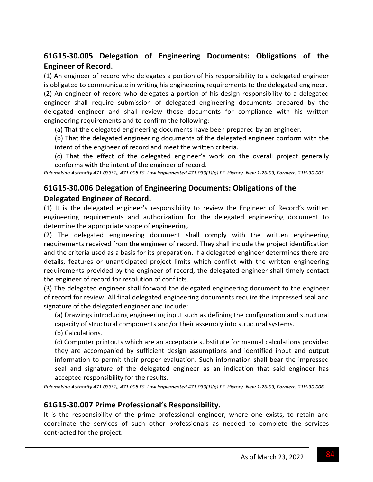### **61G15‐30.005 Delegation of Engineering Documents: Obligations of the Engineer of Record.**

(1) An engineer of record who delegates a portion of his responsibility to a delegated engineer is obligated to communicate in writing his engineering requirements to the delegated engineer.

(2) An engineer of record who delegates a portion of his design responsibility to a delegated engineer shall require submission of delegated engineering documents prepared by the delegated engineer and shall review those documents for compliance with his written engineering requirements and to confirm the following:

(a) That the delegated engineering documents have been prepared by an engineer.

(b) That the delegated engineering documents of the delegated engineer conform with the intent of the engineer of record and meet the written criteria.

(c) That the effect of the delegated engineer's work on the overall project generally conforms with the intent of the engineer of record.

Rulemaking Authority 471.033(2), 471.008 FS. Law Implemented 471.033(1)(g) FS. History-New 1-26-93, Formerly 21H-30.005.

### **61G15‐30.006 Delegation of Engineering Documents: Obligations of the Delegated Engineer of Record.**

(1) It is the delegated engineer's responsibility to review the Engineer of Record's written engineering requirements and authorization for the delegated engineering document to determine the appropriate scope of engineering.

(2) The delegated engineering document shall comply with the written engineering requirements received from the engineer of record. They shall include the project identification and the criteria used as a basis for its preparation. If a delegated engineer determines there are details, features or unanticipated project limits which conflict with the written engineering requirements provided by the engineer of record, the delegated engineer shall timely contact the engineer of record for resolution of conflicts.

(3) The delegated engineer shall forward the delegated engineering document to the engineer of record for review. All final delegated engineering documents require the impressed seal and signature of the delegated engineer and include:

(a) Drawings introducing engineering input such as defining the configuration and structural capacity of structural components and/or their assembly into structural systems.

(b) Calculations.

(c) Computer printouts which are an acceptable substitute for manual calculations provided they are accompanied by sufficient design assumptions and identified input and output information to permit their proper evaluation. Such information shall bear the impressed seal and signature of the delegated engineer as an indication that said engineer has accepted responsibility for the results.

Rulemaking Authority 471.033(2), 471.008 FS. Law Implemented 471.033(1)(g) FS. History-New 1-26-93, Formerly 21H-30.006.

### **61G15‐30.007 Prime Professional's Responsibility.**

It is the responsibility of the prime professional engineer, where one exists, to retain and coordinate the services of such other professionals as needed to complete the services contracted for the project.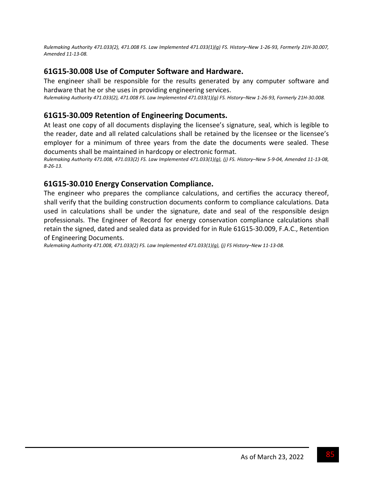Rulemaking Authority 471.033(2), 471.008 FS. Law Implemented 471.033(1)(g) FS. History-New 1-26-93, Formerly 21H-30.007, *Amended 11‐13‐08.*

### **61G15‐30.008 Use of Computer Software and Hardware.**

The engineer shall be responsible for the results generated by any computer software and hardware that he or she uses in providing engineering services.

Rulemaking Authority 471.033(2), 471.008 FS. Law Implemented 471.033(1)(g) FS. History-New 1-26-93, Formerly 21H-30.008.

### **61G15‐30.009 Retention of Engineering Documents.**

At least one copy of all documents displaying the licensee's signature, seal, which is legible to the reader, date and all related calculations shall be retained by the licensee or the licensee's employer for a minimum of three years from the date the documents were sealed. These documents shall be maintained in hardcopy or electronic format.

Rulemaking Authority 471.008, 471.033(2) FS. Law Implemented 471.033(1)(g), (j) FS. History-New 5-9-04, Amended 11-13-08, *8‐26‐13.*

### **61G15‐30.010 Energy Conservation Compliance.**

The engineer who prepares the compliance calculations, and certifies the accuracy thereof, shall verify that the building construction documents conform to compliance calculations. Data used in calculations shall be under the signature, date and seal of the responsible design professionals. The Engineer of Record for energy conservation compliance calculations shall retain the signed, dated and sealed data as provided for in Rule 61G15‐30.009, F.A.C., Retention of Engineering Documents.

*Rulemaking Authority 471.008, 471.033(2) FS. Law Implemented 471.033(1)(g), (j) FS History–New 11‐13‐08.*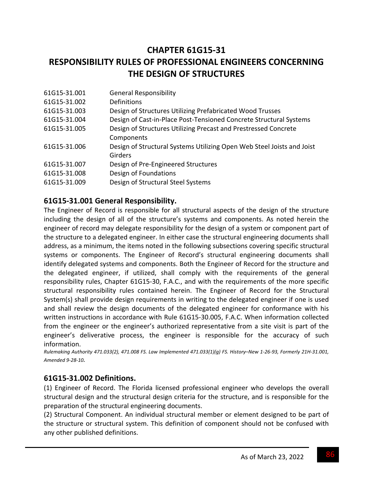# **CHAPTER 61G15‐31 RESPONSIBILITY RULES OF PROFESSIONAL ENGINEERS CONCERNING THE DESIGN OF STRUCTURES**

| 61G15-31.001 | <b>General Responsibility</b>                                          |
|--------------|------------------------------------------------------------------------|
| 61G15-31.002 | Definitions                                                            |
| 61G15-31.003 | Design of Structures Utilizing Prefabricated Wood Trusses              |
| 61G15-31.004 | Design of Cast-in-Place Post-Tensioned Concrete Structural Systems     |
| 61G15-31.005 | Design of Structures Utilizing Precast and Prestressed Concrete        |
|              | Components                                                             |
| 61G15-31.006 | Design of Structural Systems Utilizing Open Web Steel Joists and Joist |
|              | <b>Girders</b>                                                         |
| 61G15-31.007 | Design of Pre-Engineered Structures                                    |
| 61G15-31.008 | Design of Foundations                                                  |
| 61G15-31.009 | Design of Structural Steel Systems                                     |
|              |                                                                        |

### **61G15‐31.001 General Responsibility.**

The Engineer of Record is responsible for all structural aspects of the design of the structure including the design of all of the structure's systems and components. As noted herein the engineer of record may delegate responsibility for the design of a system or component part of the structure to a delegated engineer. In either case the structural engineering documents shall address, as a minimum, the items noted in the following subsections covering specific structural systems or components. The Engineer of Record's structural engineering documents shall identify delegated systems and components. Both the Engineer of Record for the structure and the delegated engineer, if utilized, shall comply with the requirements of the general responsibility rules, Chapter 61G15‐30, F.A.C., and with the requirements of the more specific structural responsibility rules contained herein. The Engineer of Record for the Structural System(s) shall provide design requirements in writing to the delegated engineer if one is used and shall review the design documents of the delegated engineer for conformance with his written instructions in accordance with Rule 61G15‐30.005, F.A.C. When information collected from the engineer or the engineer's authorized representative from a site visit is part of the engineer's deliverative process, the engineer is responsible for the accuracy of such information.

Rulemaking Authority 471.033(2), 471.008 FS. Law Implemented 471.033(1)(g) FS. History-New 1-26-93, Formerly 21H-31.001, *Amended 9‐28‐10.*

### **61G15‐31.002 Definitions.**

(1) Engineer of Record. The Florida licensed professional engineer who develops the overall structural design and the structural design criteria for the structure, and is responsible for the preparation of the structural engineering documents.

(2) Structural Component. An individual structural member or element designed to be part of the structure or structural system. This definition of component should not be confused with any other published definitions.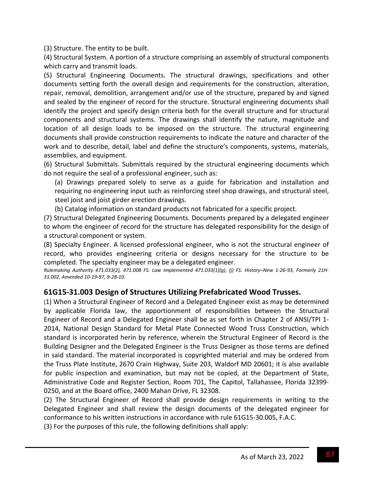(3) Structure. The entity to be built.

(4) Structural System. A portion of a structure comprising an assembly of structural components which carry and transmit loads.

(5) Structural Engineering Documents. The structural drawings, specifications and other documents setting forth the overall design and requirements for the construction, alteration, repair, removal, demolition, arrangement and/or use of the structure, prepared by and signed and sealed by the engineer of record for the structure. Structural engineering documents shall identify the project and specify design criteria both for the overall structure and for structural components and structural systems. The drawings shall identify the nature, magnitude and location of all design loads to be imposed on the structure. The structural engineering documents shall provide construction requirements to indicate the nature and character of the work and to describe, detail, label and define the structure's components, systems, materials, assemblies, and equipment.

(6) Structural Submittals. Submittals required by the structural engineering documents which do not require the seal of a professional engineer, such as:

(a) Drawings prepared solely to serve as a guide for fabrication and installation and requiring no engineering input such as reinforcing steel shop drawings, and structural steel, steel joist and joist girder erection drawings.

(b) Catalog information on standard products not fabricated for a specific project.

(7) Structural Delegated Engineering Documents. Documents prepared by a delegated engineer to whom the engineer of record for the structure has delegated responsibility for the design of a structural component or system.

(8) Specialty Engineer. A licensed professional engineer, who is not the structural engineer of record, who provides engineering criteria or designs necessary for the structure to be completed. The specialty engineer may be a delegated engineer.

Rulemaking Authority 471.033(2), 471.008 FS. Law Implemented 471.033(1)(g), (j) FS. History-New 1-26-93, Formerly 21H-*31.002, Amended 10‐19‐97, 9‐28‐10.*

### **61G15‐31.003 Design of Structures Utilizing Prefabricated Wood Trusses.**

(1) When a Structural Engineer of Record and a Delegated Engineer exist as may be determined by applicable Florida law, the apportionment of responsibilities between the Structural Engineer of Record and a Delegated Engineer shall be as set forth in Chapter 2 of ANSI/TPI 1‐ 2014, National Design Standard for Metal Plate Connected Wood Truss Construction, which standard is incorporated herin by reference, wherein the Structural Engineer of Record is the Building Designer and the Delegated Engineer is the Truss Designer as those terms are defined in said standard. The material incorporated is copyrighted material and may be ordered from the Truss Plate Institute, 2670 Crain Highway, Suite 203, Waldorf MD 20601; it is also available for public inspection and examination, but may not be copied, at the Department of State, Administrative Code and Register Section, Room 701, The Capitol, Tallahassee, Florida 32399‐ 0250, and at the Board office, 2400 Mahan Drive, FL 32308.

(2) The Structural Engineer of Record shall provide design requirements in writing to the Delegated Engineer and shall review the design documents of the delegated engineer for conformance to his written instructions in accordance with rule 61G15‐30.005, F.A.C.

(3) For the purposes of this rule, the following definitions shall apply: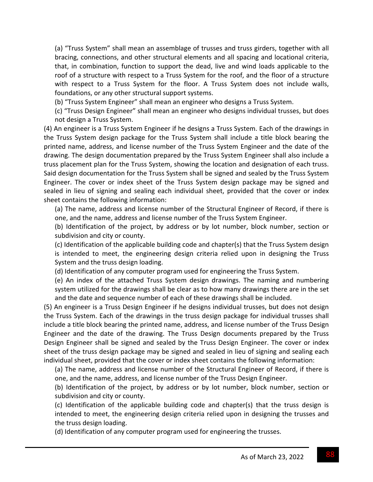(a) "Truss System" shall mean an assemblage of trusses and truss girders, together with all bracing, connections, and other structural elements and all spacing and locational criteria, that, in combination, function to support the dead, live and wind loads applicable to the roof of a structure with respect to a Truss System for the roof, and the floor of a structure with respect to a Truss System for the floor. A Truss System does not include walls, foundations, or any other structural support systems.

(b) "Truss System Engineer" shall mean an engineer who designs a Truss System.

(c) "Truss Design Engineer" shall mean an engineer who designs individual trusses, but does not design a Truss System.

(4) An engineer is a Truss System Engineer if he designs a Truss System. Each of the drawings in the Truss System design package for the Truss System shall include a title block bearing the printed name, address, and license number of the Truss System Engineer and the date of the drawing. The design documentation prepared by the Truss System Engineer shall also include a truss placement plan for the Truss System, showing the location and designation of each truss. Said design documentation for the Truss System shall be signed and sealed by the Truss System Engineer. The cover or index sheet of the Truss System design package may be signed and sealed in lieu of signing and sealing each individual sheet, provided that the cover or index sheet contains the following information:

(a) The name, address and license number of the Structural Engineer of Record, if there is one, and the name, address and license number of the Truss System Engineer.

(b) Identification of the project, by address or by lot number, block number, section or subdivision and city or county.

(c) Identification of the applicable building code and chapter(s) that the Truss System design is intended to meet, the engineering design criteria relied upon in designing the Truss System and the truss design loading.

(d) Identification of any computer program used for engineering the Truss System.

(e) An index of the attached Truss System design drawings. The naming and numbering system utilized for the drawings shall be clear as to how many drawings there are in the set and the date and sequence number of each of these drawings shall be included.

(5) An engineer is a Truss Design Engineer if he designs individual trusses, but does not design the Truss System. Each of the drawings in the truss design package for individual trusses shall include a title block bearing the printed name, address, and license number of the Truss Design Engineer and the date of the drawing. The Truss Design documents prepared by the Truss Design Engineer shall be signed and sealed by the Truss Design Engineer. The cover or index sheet of the truss design package may be signed and sealed in lieu of signing and sealing each individual sheet, provided that the cover or index sheet contains the following information:

(a) The name, address and license number of the Structural Engineer of Record, if there is one, and the name, address, and license number of the Truss Design Engineer.

(b) Identification of the project, by address or by lot number, block number, section or subdivision and city or county.

(c) Identification of the applicable building code and chapter(s) that the truss design is intended to meet, the engineering design criteria relied upon in designing the trusses and the truss design loading.

(d) Identification of any computer program used for engineering the trusses.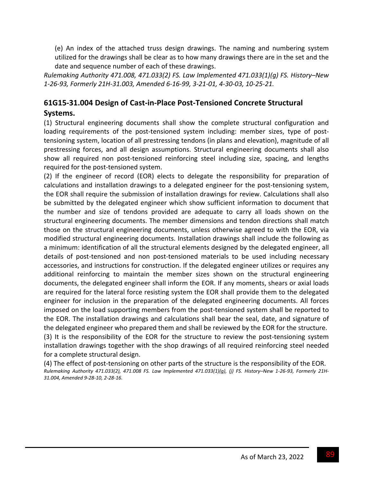(e) An index of the attached truss design drawings. The naming and numbering system utilized for the drawings shall be clear as to how many drawings there are in the set and the date and sequence number of each of these drawings.

*Rulemaking Authority 471.008, 471.033(2) FS. Law Implemented 471.033(1)(g) FS. History–New* 1-26-93, Formerly 21H-31.003, Amended 6-16-99, 3-21-01, 4-30-03, 10-25-21.

# **61G15‐31.004 Design of Cast‐in‐Place Post‐Tensioned Concrete Structural**

**Systems.**

(1) Structural engineering documents shall show the complete structural configuration and loading requirements of the post-tensioned system including: member sizes, type of posttensioning system, location of all prestressing tendons (in plans and elevation), magnitude of all prestressing forces, and all design assumptions. Structural engineering documents shall also show all required non post-tensioned reinforcing steel including size, spacing, and lengths required for the post‐tensioned system.

(2) If the engineer of record (EOR) elects to delegate the responsibility for preparation of calculations and installation drawings to a delegated engineer for the post-tensioning system, the EOR shall require the submission of installation drawings for review. Calculations shall also be submitted by the delegated engineer which show sufficient information to document that the number and size of tendons provided are adequate to carry all loads shown on the structural engineering documents. The member dimensions and tendon directions shall match those on the structural engineering documents, unless otherwise agreed to with the EOR, via modified structural engineering documents. Installation drawings shall include the following as a minimum: identification of all the structural elements designed by the delegated engineer, all details of post-tensioned and non post-tensioned materials to be used including necessary accessories, and instructions for construction. If the delegated engineer utilizes or requires any additional reinforcing to maintain the member sizes shown on the structural engineering documents, the delegated engineer shall inform the EOR. If any moments, shears or axial loads are required for the lateral force resisting system the EOR shall provide them to the delegated engineer for inclusion in the preparation of the delegated engineering documents. All forces imposed on the load supporting members from the post-tensioned system shall be reported to the EOR. The installation drawings and calculations shall bear the seal, date, and signature of the delegated engineer who prepared them and shall be reviewed by the EOR for the structure. (3) It is the responsibility of the EOR for the structure to review the post-tensioning system installation drawings together with the shop drawings of all required reinforcing steel needed for a complete structural design.

(4) The effect of post-tensioning on other parts of the structure is the responsibility of the EOR. Rulemaking Authority 471.033(2), 471.008 FS. Law Implemented 471.033(1)(g), (j) FS. History-New 1-26-93, Formerly 21H-*31.004, Amended 9‐28‐10, 2‐28‐16.*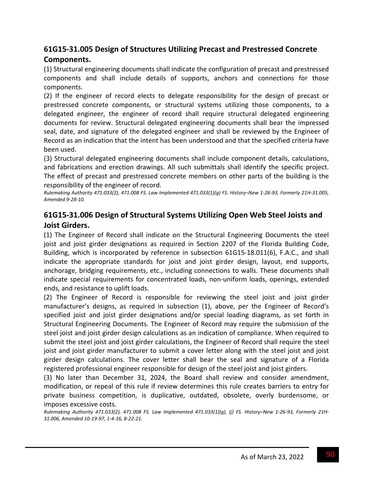## **61G15‐31.005 Design of Structures Utilizing Precast and Prestressed Concrete Components.**

(1) Structural engineering documents shall indicate the configuration of precast and prestressed components and shall include details of supports, anchors and connections for those components.

(2) If the engineer of record elects to delegate responsibility for the design of precast or prestressed concrete components, or structural systems utilizing those components, to a delegated engineer, the engineer of record shall require structural delegated engineering documents for review. Structural delegated engineering documents shall bear the impressed seal, date, and signature of the delegated engineer and shall be reviewed by the Engineer of Record as an indication that the intent has been understood and that the specified criteria have been used.

(3) Structural delegated engineering documents shall include component details, calculations, and fabrications and erection drawings. All such submittals shall identify the specific project. The effect of precast and prestressed concrete members on other parts of the building is the responsibility of the engineer of record.

Rulemaking Authority 471.033(2), 471.008 FS. Law Implemented 471.033(1)(g) FS. History-New 1-26-93, Formerly 21H-31.005, *Amended 9‐28‐10.*

### **61G15‐31.006 Design of Structural Systems Utilizing Open Web Steel Joists and Joist Girders.**

(1) The Engineer of Record shall indicate on the Structural Engineering Documents the steel joist and joist girder designations as required in Section 2207 of the Florida Building Code, Building, which is incorporated by reference in subsection 61G15‐18.011(6), F.A.C., and shall indicate the appropriate standards for joist and joist girder design, layout, end supports, anchorage, bridging requirements, etc., including connections to walls. These documents shall indicate special requirements for concentrated loads, non-uniform loads, openings, extended ends, and resistance to uplift loads.

(2) The Engineer of Record is responsible for reviewing the steel joist and joist girder manufacturer's designs, as required in subsection (1), above, per the Engineer of Record's specified joist and joist girder designations and/or special loading diagrams, as set forth in Structural Engineering Documents. The Engineer of Record may require the submission of the steel joist and joist girder design calculations as an indication of compliance. When required to submit the steel joist and joist girder calculations, the Engineer of Record shall require the steel joist and joist girder manufacturer to submit a cover letter along with the steel joist and joist girder design calculations. The cover letter shall bear the seal and signature of a Florida registered professional engineer responsible for design of the steel joist and joist girders.

(3) No later than December 31, 2024, the Board shall review and consider amendment, modification, or repeal of this rule if review determines this rule creates barriers to entry for private business competition, is duplicative, outdated, obsolete, overly burdensome, or imposes excessive costs.

Rulemaking Authority 471.033(2), 471.008 FS. Law Implemented 471.033(1)(g), (j) FS. History-New 1-26-93, Formerly 21H-*31.006, Amended 10‐19‐97, 1‐4‐16, 8‐22‐21.*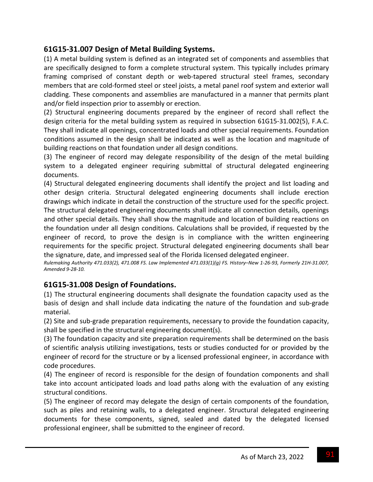### **61G15‐31.007 Design of Metal Building Systems.**

(1) A metal building system is defined as an integrated set of components and assemblies that are specifically designed to form a complete structural system. This typically includes primary framing comprised of constant depth or web-tapered structural steel frames, secondary members that are cold‐formed steel or steel joists, a metal panel roof system and exterior wall cladding. These components and assemblies are manufactured in a manner that permits plant and/or field inspection prior to assembly or erection.

(2) Structural engineering documents prepared by the engineer of record shall reflect the design criteria for the metal building system as required in subsection 61G15‐31.002(5), F.A.C. They shall indicate all openings, concentrated loads and other special requirements. Foundation conditions assumed in the design shall be indicated as well as the location and magnitude of building reactions on that foundation under all design conditions.

(3) The engineer of record may delegate responsibility of the design of the metal building system to a delegated engineer requiring submittal of structural delegated engineering documents.

(4) Structural delegated engineering documents shall identify the project and list loading and other design criteria. Structural delegated engineering documents shall include erection drawings which indicate in detail the construction of the structure used for the specific project. The structural delegated engineering documents shall indicate all connection details, openings and other special details. They shall show the magnitude and location of building reactions on the foundation under all design conditions. Calculations shall be provided, if requested by the engineer of record, to prove the design is in compliance with the written engineering requirements for the specific project. Structural delegated engineering documents shall bear the signature, date, and impressed seal of the Florida licensed delegated engineer.

Rulemaking Authority 471.033(2), 471.008 FS. Law Implemented 471.033(1)(g) FS. History-New 1-26-93, Formerly 21H-31.007, *Amended 9‐28‐10.*

### **61G15‐31.008 Design of Foundations.**

(1) The structural engineering documents shall designate the foundation capacity used as the basis of design and shall include data indicating the nature of the foundation and sub-grade material.

(2) Site and sub‐grade preparation requirements, necessary to provide the foundation capacity, shall be specified in the structural engineering document(s).

(3) The foundation capacity and site preparation requirements shall be determined on the basis of scientific analysis utilizing investigations, tests or studies conducted for or provided by the engineer of record for the structure or by a licensed professional engineer, in accordance with code procedures.

(4) The engineer of record is responsible for the design of foundation components and shall take into account anticipated loads and load paths along with the evaluation of any existing structural conditions.

(5) The engineer of record may delegate the design of certain components of the foundation, such as piles and retaining walls, to a delegated engineer. Structural delegated engineering documents for these components, signed, sealed and dated by the delegated licensed professional engineer, shall be submitted to the engineer of record.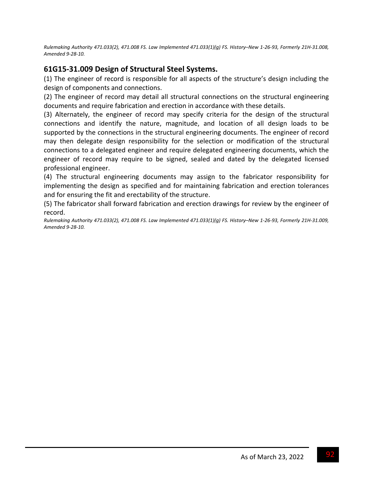Rulemaking Authority 471.033(2), 471.008 FS. Law Implemented 471.033(1)(g) FS. History-New 1-26-93, Formerly 21H-31.008, *Amended 9‐28‐10.*

### **61G15‐31.009 Design of Structural Steel Systems.**

(1) The engineer of record is responsible for all aspects of the structure's design including the design of components and connections.

(2) The engineer of record may detail all structural connections on the structural engineering documents and require fabrication and erection in accordance with these details.

(3) Alternately, the engineer of record may specify criteria for the design of the structural connections and identify the nature, magnitude, and location of all design loads to be supported by the connections in the structural engineering documents. The engineer of record may then delegate design responsibility for the selection or modification of the structural connections to a delegated engineer and require delegated engineering documents, which the engineer of record may require to be signed, sealed and dated by the delegated licensed professional engineer.

(4) The structural engineering documents may assign to the fabricator responsibility for implementing the design as specified and for maintaining fabrication and erection tolerances and for ensuring the fit and erectability of the structure.

(5) The fabricator shall forward fabrication and erection drawings for review by the engineer of record.

Rulemaking Authority 471.033(2), 471.008 FS. Law Implemented 471.033(1)(g) FS. History-New 1-26-93, Formerly 21H-31.009, *Amended 9‐28‐10.*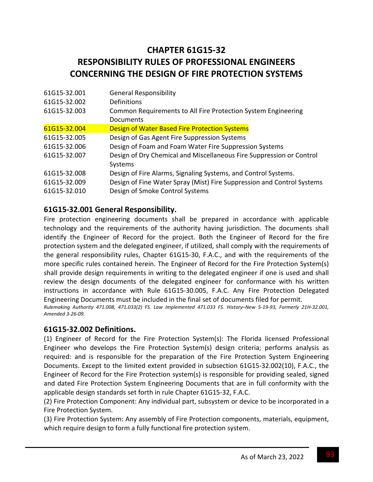# **CHAPTER 61G15‐32 RESPONSIBILITY RULES OF PROFESSIONAL ENGINEERS CONCERNING THE DESIGN OF FIRE PROTECTION SYSTEMS**

| <b>General Responsibility</b><br>61G15-32.001                                          |  |
|----------------------------------------------------------------------------------------|--|
| Definitions<br>61G15-32.002                                                            |  |
| Common Requirements to All Fire Protection System Engineering<br>61G15-32.003          |  |
| Documents                                                                              |  |
| Design of Water Based Fire Protection Systems<br>61G15-32.004                          |  |
| Design of Gas Agent Fire Suppression Systems<br>61G15-32.005                           |  |
| Design of Foam and Foam Water Fire Suppression Systems<br>61G15-32.006                 |  |
| Design of Dry Chemical and Miscellaneous Fire Suppression or Control<br>61G15-32.007   |  |
| Systems                                                                                |  |
| Design of Fire Alarms, Signaling Systems, and Control Systems.<br>61G15-32.008         |  |
| Design of Fine Water Spray (Mist) Fire Suppression and Control Systems<br>61G15-32.009 |  |
| Design of Smoke Control Systems<br>61G15-32.010                                        |  |

### **61G15‐32.001 General Responsibility.**

Fire protection engineering documents shall be prepared in accordance with applicable technology and the requirements of the authority having jurisdiction. The documents shall identify the Engineer of Record for the project. Both the Engineer of Record for the fire protection system and the delegated engineer, if utilized, shall comply with the requirements of the general responsibility rules, Chapter 61G15‐30, F.A.C., and with the requirements of the more specific rules contained herein. The Engineer of Record for the Fire Protection System(s) shall provide design requirements in writing to the delegated engineer if one is used and shall review the design documents of the delegated engineer for conformance with his written instructions in accordance with Rule 61G15‐30.005, F.A.C. Any Fire Protection Delegated Engineering Documents must be included in the final set of documents filed for permit. Rulemaking Authority 471.008, 471.033(2) FS. Law Implemented 471.033 FS. History-New 5-19-93, Formerly 21H-32.001, *Amended 3‐26‐09.*

### **61G15‐32.002 Definitions.**

(1) Engineer of Record for the Fire Protection System(s): The Florida licensed Professional Engineer who develops the Fire Protection System(s) design criteria; performs analysis as required: and is responsible for the preparation of the Fire Protection System Engineering Documents. Except to the limited extent provided in subsection 61G15‐32.002(10), F.A.C., the Engineer of Record for the Fire Protection system(s) is responsible for providing sealed, signed and dated Fire Protection System Engineering Documents that are in full conformity with the applicable design standards set forth in rule Chapter 61G15‐32, F.A.C.

(2) Fire Protection Component: Any individual part, subsystem or device to be incorporated in a Fire Protection System.

(3) Fire Protection System: Any assembly of Fire Protection components, materials, equipment, which require design to form a fully functional fire protection system.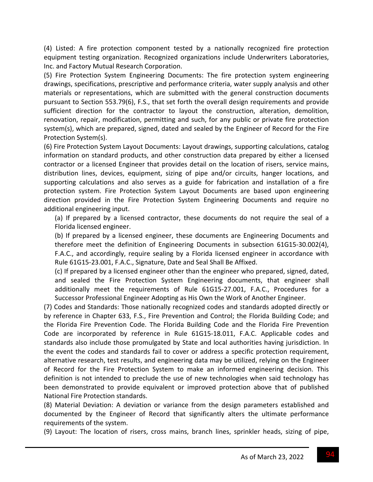(4) Listed: A fire protection component tested by a nationally recognized fire protection equipment testing organization. Recognized organizations include Underwriters Laboratories, Inc. and Factory Mutual Research Corporation.

(5) Fire Protection System Engineering Documents: The fire protection system engineering drawings, specifications, prescriptive and performance criteria, water supply analysis and other materials or representations, which are submitted with the general construction documents pursuant to Section 553.79(6), F.S., that set forth the overall design requirements and provide sufficient direction for the contractor to layout the construction, alteration, demolition, renovation, repair, modification, permitting and such, for any public or private fire protection system(s), which are prepared, signed, dated and sealed by the Engineer of Record for the Fire Protection System(s).

(6) Fire Protection System Layout Documents: Layout drawings, supporting calculations, catalog information on standard products, and other construction data prepared by either a licensed contractor or a licensed Engineer that provides detail on the location of risers, service mains, distribution lines, devices, equipment, sizing of pipe and/or circuits, hanger locations, and supporting calculations and also serves as a guide for fabrication and installation of a fire protection system. Fire Protection System Layout Documents are based upon engineering direction provided in the Fire Protection System Engineering Documents and require no additional engineering input.

(a) If prepared by a licensed contractor, these documents do not require the seal of a Florida licensed engineer.

(b) If prepared by a licensed engineer, these documents are Engineering Documents and therefore meet the definition of Engineering Documents in subsection 61G15‐30.002(4), F.A.C., and accordingly, require sealing by a Florida licensed engineer in accordance with Rule 61G15‐23.001, F.A.C., Signature, Date and Seal Shall Be Affixed.

(c) If prepared by a licensed engineer other than the engineer who prepared, signed, dated, and sealed the Fire Protection System Engineering documents, that engineer shall additionally meet the requirements of Rule 61G15‐27.001, F.A.C., Procedures for a Successor Professional Engineer Adopting as His Own the Work of Another Engineer.

(7) Codes and Standards: Those nationally recognized codes and standards adopted directly or by reference in Chapter 633, F.S., Fire Prevention and Control; the Florida Building Code; and the Florida Fire Prevention Code. The Florida Building Code and the Florida Fire Prevention Code are incorporated by reference in Rule 61G15‐18.011, F.A.C. Applicable codes and standards also include those promulgated by State and local authorities having jurisdiction. In the event the codes and standards fail to cover or address a specific protection requirement, alternative research, test results, and engineering data may be utilized, relying on the Engineer of Record for the Fire Protection System to make an informed engineering decision. This definition is not intended to preclude the use of new technologies when said technology has been demonstrated to provide equivalent or improved protection above that of published National Fire Protection standards.

(8) Material Deviation: A deviation or variance from the design parameters established and documented by the Engineer of Record that significantly alters the ultimate performance requirements of the system.

(9) Layout: The location of risers, cross mains, branch lines, sprinkler heads, sizing of pipe,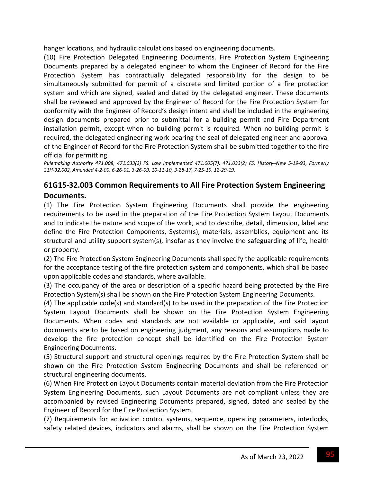hanger locations, and hydraulic calculations based on engineering documents.

(10) Fire Protection Delegated Engineering Documents. Fire Protection System Engineering Documents prepared by a delegated engineer to whom the Engineer of Record for the Fire Protection System has contractually delegated responsibility for the design to be simultaneously submitted for permit of a discrete and limited portion of a fire protection system and which are signed, sealed and dated by the delegated engineer. These documents shall be reviewed and approved by the Engineer of Record for the Fire Protection System for conformity with the Engineer of Record's design intent and shall be included in the engineering design documents prepared prior to submittal for a building permit and Fire Department installation permit, except when no building permit is required. When no building permit is required, the delegated engineering work bearing the seal of delegated engineer and approval of the Engineer of Record for the Fire Protection System shall be submitted together to the fire official for permitting.

Rulemaking Authority 471.008, 471.033(2) FS. Law Implemented 471.005(7), 471.033(2) FS. History-New 5-19-93, Formerly 21H-32.002, Amended 4-2-00, 6-26-01, 3-26-09, 10-11-10, 3-28-17, 7-25-19, 12-29-19.

### **61G15‐32.003 Common Requirements to All Fire Protection System Engineering Documents.**

(1) The Fire Protection System Engineering Documents shall provide the engineering requirements to be used in the preparation of the Fire Protection System Layout Documents and to indicate the nature and scope of the work, and to describe, detail, dimension, label and define the Fire Protection Components, System(s), materials, assemblies, equipment and its structural and utility support system(s), insofar as they involve the safeguarding of life, health or property.

(2) The Fire Protection System Engineering Documents shall specify the applicable requirements for the acceptance testing of the fire protection system and components, which shall be based upon applicable codes and standards, where available.

(3) The occupancy of the area or description of a specific hazard being protected by the Fire Protection System(s) shall be shown on the Fire Protection System Engineering Documents.

(4) The applicable code(s) and standard(s) to be used in the preparation of the Fire Protection System Layout Documents shall be shown on the Fire Protection System Engineering Documents. When codes and standards are not available or applicable, and said layout documents are to be based on engineering judgment, any reasons and assumptions made to develop the fire protection concept shall be identified on the Fire Protection System Engineering Documents.

(5) Structural support and structural openings required by the Fire Protection System shall be shown on the Fire Protection System Engineering Documents and shall be referenced on structural engineering documents.

(6) When Fire Protection Layout Documents contain material deviation from the Fire Protection System Engineering Documents, such Layout Documents are not compliant unless they are accompanied by revised Engineering Documents prepared, signed, dated and sealed by the Engineer of Record for the Fire Protection System.

(7) Requirements for activation control systems, sequence, operating parameters, interlocks, safety related devices, indicators and alarms, shall be shown on the Fire Protection System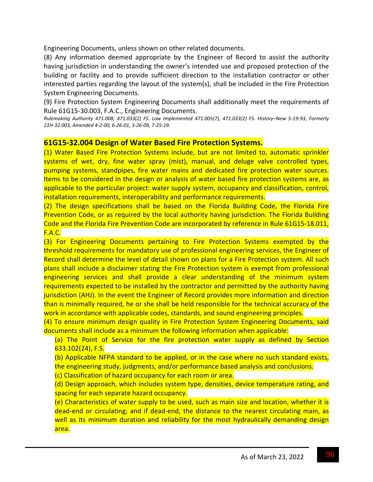Engineering Documents, unless shown on other related documents.

(8) Any information deemed appropriate by the Engineer of Record to assist the authority having jurisdiction in understanding the owner's intended use and proposed protection of the building or facility and to provide sufficient direction to the installation contractor or other interested parties regarding the layout of the system(s), shall be included in the Fire Protection System Engineering Documents.

(9) Fire Protection System Engineering Documents shall additionally meet the requirements of Rule 61G15‐30.003, F.A.C., Engineering Documents.

Rulemaking Authority 471.008, 471.033(2) FS. Law Implemented 471.005(7), 471.033(2) FS. History-New 5-19-93, Formerly *21H‐32.003, Amended 4‐2‐00, 6‐26‐01, 3‐26‐09, 7‐25‐19.*

#### **61G15‐32.004 Design of Water Based Fire Protection Systems.**

(1) Water Based Fire Protection Systems include, but are not limited to, automatic sprinkler systems of wet, dry, fine water spray (mist), manual, and deluge valve controlled types, pumping systems, standpipes, fire water mains and dedicated fire protection water sources. Items to be considered in the design or analysis of water based fire protection systems are, as applicable to the particular project: water supply system, occupancy and classification, control, installation requirements, interoperability and performance requirements.

(2) The design specifications shall be based on the Florida Building Code, the Florida Fire Prevention Code, or as required by the local authority having jurisdiction. The Florida Building Code and the Florida Fire Prevention Code are incorporated by reference in Rule 61G15‐18.011, F.A.C.

(3) For Engineering Documents pertaining to Fire Protection Systems exempted by the threshold requirements for mandatory use of professional engineering services, the Engineer of Record shall determine the level of detail shown on plans for a Fire Protection system. All such plans shall include a disclaimer stating the Fire Protection system is exempt from professional engineering services and shall provide a clear understanding of the minimum system requirements expected to be installed by the contractor and permitted by the authority having jurisdiction (AHJ). In the event the Engineer of Record provides more information and direction than is minimally required, he or she shall be held responsible for the technical accuracy of the work in accordance with applicable codes, standards, and sound engineering principles.

(4) To ensure minimum design quality in Fire Protection System Engineering Documents, said documents shall include as a minimum the following information when applicable:

(a) The Point of Service for the fire protection water supply as defined by Section 633.102(24), F.S.

(b) Applicable NFPA standard to be applied, or in the case where no such standard exists, the engineering study, judgments, and/or performance based analysis and conclusions.

(c) Classification of hazard occupancy for each room or area.

(d) Design approach, which includes system type, densities, device temperature rating, and spacing for each separate hazard occupancy.

(e) Characteristics of water supply to be used, such as main size and location, whether it is dead-end or circulating; and if dead-end, the distance to the nearest circulating main, as well as its minimum duration and reliability for the most hydraulically demanding design area.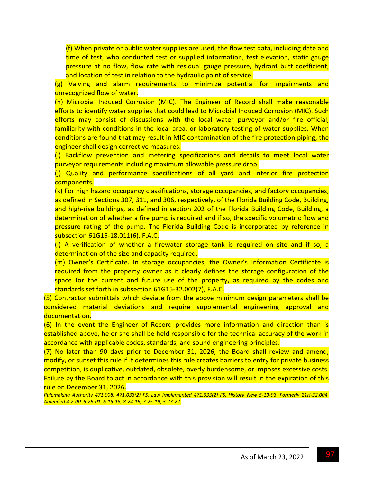(f) When private or public water supplies are used, the flow test data, including date and time of test, who conducted test or supplied information, test elevation, static gauge pressure at no flow, flow rate with residual gauge pressure, hydrant butt coefficient, and location of test in relation to the hydraulic point of service.

(g) Valving and alarm requirements to minimize potential for impairments and unrecognized flow of water.

(h) Microbial Induced Corrosion (MIC). The Engineer of Record shall make reasonable efforts to identify water supplies that could lead to Microbial Induced Corrosion (MIC). Such efforts may consist of discussions with the local water purveyor and/or fire official, familiarity with conditions in the local area, or laboratory testing of water supplies. When conditions are found that may result in MIC contamination of the fire protection piping, the engineer shall design corrective measures.

(i) Backflow prevention and metering specifications and details to meet local water purveyor requirements including maximum allowable pressure drop.

(j) Quality and performance specifications of all yard and interior fire protection components.

(k) For high hazard occupancy classifications, storage occupancies, and factory occupancies, as defined in Sections 307, 311, and 306, respectively, of the Florida Building Code, Building, and high-rise buildings, as defined in section 202 of the Florida Building Code, Building, a determination of whether a fire pump is required and if so, the specific volumetric flow and pressure rating of the pump. The Florida Building Code is incorporated by reference in subsection 61G15‐18.011(6), F.A.C.

(l) A verification of whether a firewater storage tank is required on site and if so, a determination of the size and capacity required.

(m) Owner's Certificate. In storage occupancies, the Owner's Information Certificate is required from the property owner as it clearly defines the storage configuration of the space for the current and future use of the property, as required by the codes and standards set forth in subsection 61G15‐32.002(7), F.A.C.

(5) Contractor submittals which deviate from the above minimum design parameters shall be considered material deviations and require supplemental engineering approval and documentation.

(6) In the event the Engineer of Record provides more information and direction than is established above, he or she shall be held responsible for the technical accuracy of the work in accordance with applicable codes, standards, and sound engineering principles.

(7) No later than 90 days prior to December 31, 2026, the Board shall review and amend, modify, or sunset this rule if it determines this rule creates barriers to entry for private business competition, is duplicative, outdated, obsolete, overly burdensome, or imposes excessive costs. Failure by the Board to act in accordance with this provision will result in the expiration of this rule on December 31, 2026.

Rulemaking Authority 471.008, 471.033(2) FS. Law Implemented 471.033(2) FS. History-New 5-19-93, Formerly 21H-32.004, Amended 4-2-00, 6-26-01, 6-15-15, 8-24-16, 7-25-19, 3-23-22.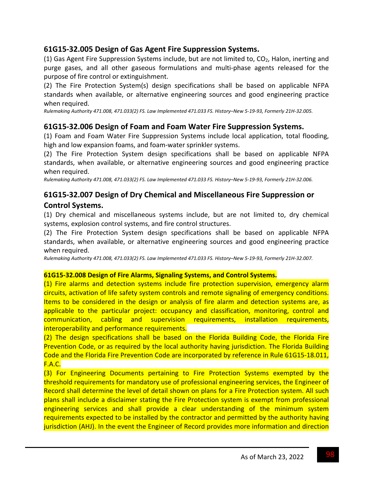### **61G15‐32.005 Design of Gas Agent Fire Suppression Systems.**

(1) Gas Agent Fire Suppression Systems include, but are not limited to,  $CO<sub>2</sub>$ , Halon, inerting and purge gases, and all other gaseous formulations and multi‐phase agents released for the purpose of fire control or extinguishment.

(2) The Fire Protection System(s) design specifications shall be based on applicable NFPA standards when available, or alternative engineering sources and good engineering practice when required.

Rulemaking Authority 471.008, 471.033(2) FS. Law Implemented 471.033 FS. History-New 5-19-93, Formerly 21H-32.005.

### **61G15‐32.006 Design of Foam and Foam Water Fire Suppression Systems.**

(1) Foam and Foam Water Fire Suppression Systems include local application, total flooding, high and low expansion foams, and foam-water sprinkler systems.

(2) The Fire Protection System design specifications shall be based on applicable NFPA standards, when available, or alternative engineering sources and good engineering practice when required.

Rulemaking Authority 471.008, 471.033(2) FS. Law Implemented 471.033 FS. History-New 5-19-93, Formerly 21H-32.006.

### **61G15‐32.007 Design of Dry Chemical and Miscellaneous Fire Suppression or Control Systems.**

(1) Dry chemical and miscellaneous systems include, but are not limited to, dry chemical systems, explosion control systems, and fire control structures.

(2) The Fire Protection System design specifications shall be based on applicable NFPA standards, when available, or alternative engineering sources and good engineering practice when required.

Rulemaking Authority 471.008, 471.033(2) FS. Law Implemented 471.033 FS. History-New 5-19-93, Formerly 21H-32.007.

#### **61G15‐32.008 Design of Fire Alarms, Signaling Systems, and Control Systems.**

(1) Fire alarms and detection systems include fire protection supervision, emergency alarm circuits, activation of life safety system controls and remote signaling of emergency conditions. Items to be considered in the design or analysis of fire alarm and detection systems are, as applicable to the particular project: occupancy and classification, monitoring, control and communication, cabling and supervision requirements, installation requirements, interoperability and performance requirements.

(2) The design specifications shall be based on the Florida Building Code, the Florida Fire Prevention Code, or as required by the local authority having jurisdiction. The Florida Building Code and the Florida Fire Prevention Code are incorporated by reference in Rule 61G15‐18.011, F.A.C.

(3) For Engineering Documents pertaining to Fire Protection Systems exempted by the threshold requirements for mandatory use of professional engineering services, the Engineer of Record shall determine the level of detail shown on plans for a Fire Protection system. All such plans shall include a disclaimer stating the Fire Protection system is exempt from professional engineering services and shall provide a clear understanding of the minimum system requirements expected to be installed by the contractor and permitted by the authority having jurisdiction (AHJ). In the event the Engineer of Record provides more information and direction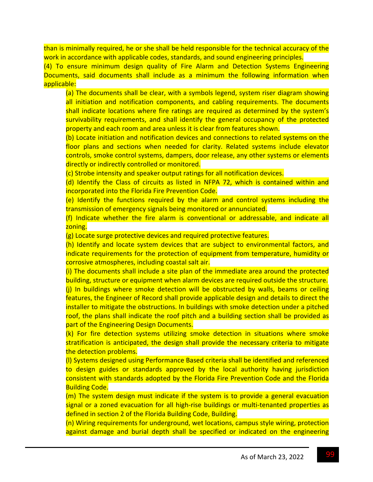than is minimally required, he or she shall be held responsible for the technical accuracy of the work in accordance with applicable codes, standards, and sound engineering principles.

(4) To ensure minimum design quality of Fire Alarm and Detection Systems Engineering Documents, said documents shall include as a minimum the following information when applicable:

(a) The documents shall be clear, with a symbols legend, system riser diagram showing all initiation and notification components, and cabling requirements. The documents shall indicate locations where fire ratings are required as determined by the system's survivability requirements, and shall identify the general occupancy of the protected property and each room and area unless it is clear from features shown.

(b) Locate initiation and notification devices and connections to related systems on the floor plans and sections when needed for clarity. Related systems include elevator controls, smoke control systems, dampers, door release, any other systems or elements directly or indirectly controlled or monitored.

(c) Strobe intensity and speaker output ratings for all notification devices.

(d) Identify the Class of circuits as listed in NFPA 72, which is contained within and incorporated into the Florida Fire Prevention Code.

(e) Identify the functions required by the alarm and control systems including the transmission of emergency signals being monitored or annunciated.

(f) Indicate whether the fire alarm is conventional or addressable, and indicate all zoning.

(g) Locate surge protective devices and required protective features.

(h) Identify and locate system devices that are subject to environmental factors, and indicate requirements for the protection of equipment from temperature, humidity or corrosive atmospheres, including coastal salt air.

(i) The documents shall include a site plan of the immediate area around the protected building, structure or equipment when alarm devices are required outside the structure. (j) In buildings where smoke detection will be obstructed by walls, beams or ceiling features, the Engineer of Record shall provide applicable design and details to direct the installer to mitigate the obstructions. In buildings with smoke detection under a pitched roof, the plans shall indicate the roof pitch and a building section shall be provided as part of the Engineering Design Documents.

(k) For fire detection systems utilizing smoke detection in situations where smoke stratification is anticipated, the design shall provide the necessary criteria to mitigate the detection problems.

(l) Systems designed using Performance Based criteria shall be identified and referenced to design guides or standards approved by the local authority having jurisdiction consistent with standards adopted by the Florida Fire Prevention Code and the Florida Building Code.

(m) The system design must indicate if the system is to provide a general evacuation signal or a zoned evacuation for all high-rise buildings or multi-tenanted properties as defined in section 2 of the Florida Building Code, Building.

(n) Wiring requirements for underground, wet locations, campus style wiring, protection against damage and burial depth shall be specified or indicated on the engineering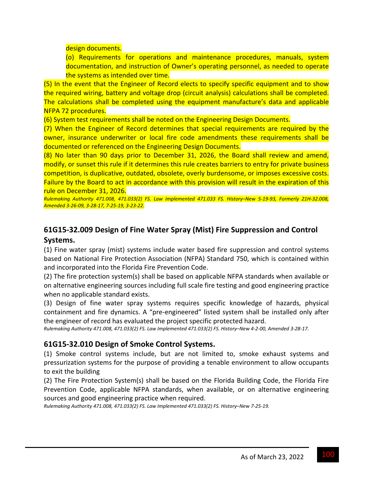design documents.

(o) Requirements for operations and maintenance procedures, manuals, system documentation, and instruction of Owner's operating personnel, as needed to operate the systems as intended over time.

(5) In the event that the Engineer of Record elects to specify specific equipment and to show the required wiring, battery and voltage drop (circuit analysis) calculations shall be completed. The calculations shall be completed using the equipment manufacture's data and applicable NFPA 72 procedures.

(6) System test requirements shall be noted on the Engineering Design Documents.

(7) When the Engineer of Record determines that special requirements are required by the owner, insurance underwriter or local fire code amendments these requirements shall be documented or referenced on the Engineering Design Documents.

(8) No later than 90 days prior to December 31, 2026, the Board shall review and amend, modify, or sunset this rule if it determines this rule creates barriers to entry for private business competition, is duplicative, outdated, obsolete, overly burdensome, or imposes excessive costs. Failure by the Board to act in accordance with this provision will result in the expiration of this rule on December 31, 2026.

Rulemaking Authority 471.008, 471.033(2) FS. Law Implemented 471.033 FS. History-New 5-19-93, Formerly 21H-32.008, *Amended 3‐26‐09, 3‐28‐17, 7‐25‐19, 3‐23‐22.*

# **61G15‐32.009 Design of Fine Water Spray (Mist) Fire Suppression and Control**

### **Systems.**

(1) Fine water spray (mist) systems include water based fire suppression and control systems based on National Fire Protection Association (NFPA) Standard 750, which is contained within and incorporated into the Florida Fire Prevention Code.

(2) The fire protection system(s) shall be based on applicable NFPA standards when available or on alternative engineering sources including full scale fire testing and good engineering practice when no applicable standard exists.

(3) Design of fine water spray systems requires specific knowledge of hazards, physical containment and fire dynamics. A "pre‐engineered" listed system shall be installed only after the engineer of record has evaluated the project specific protected hazard.

Rulemaking Authority 471.008, 471.033(2) FS. Law Implemented 471.033(2) FS. History-New 4-2-00, Amended 3-28-17.

### **61G15‐32.010 Design of Smoke Control Systems.**

(1) Smoke control systems include, but are not limited to, smoke exhaust systems and pressurization systems for the purpose of providing a tenable environment to allow occupants to exit the building

(2) The Fire Protection System(s) shall be based on the Florida Building Code, the Florida Fire Prevention Code, applicable NFPA standards, when available, or on alternative engineering sources and good engineering practice when required.

*Rulemaking Authority 471.008, 471.033(2) FS. Law Implemented 471.033(2) FS. History–New 7‐25‐19.*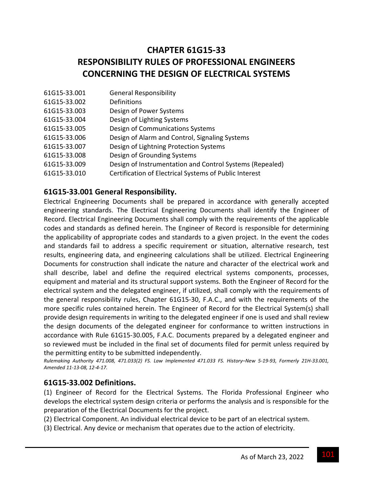# **CHAPTER 61G15‐33 RESPONSIBILITY RULES OF PROFESSIONAL ENGINEERS CONCERNING THE DESIGN OF ELECTRICAL SYSTEMS**

| 61G15-33.001 | <b>General Responsibility</b>                            |
|--------------|----------------------------------------------------------|
| 61G15-33.002 | Definitions                                              |
| 61G15-33.003 | Design of Power Systems                                  |
| 61G15-33.004 | Design of Lighting Systems                               |
| 61G15-33.005 | Design of Communications Systems                         |
| 61G15-33.006 | Design of Alarm and Control, Signaling Systems           |
| 61G15-33.007 | Design of Lightning Protection Systems                   |
| 61G15-33.008 | Design of Grounding Systems                              |
| 61G15-33.009 | Design of Instrumentation and Control Systems (Repealed) |
| 61G15-33.010 | Certification of Electrical Systems of Public Interest   |

### **61G15‐33.001 General Responsibility.**

Electrical Engineering Documents shall be prepared in accordance with generally accepted engineering standards. The Electrical Engineering Documents shall identify the Engineer of Record. Electrical Engineering Documents shall comply with the requirements of the applicable codes and standards as defined herein. The Engineer of Record is responsible for determining the applicability of appropriate codes and standards to a given project. In the event the codes and standards fail to address a specific requirement or situation, alternative research, test results, engineering data, and engineering calculations shall be utilized. Electrical Engineering Documents for construction shall indicate the nature and character of the electrical work and shall describe, label and define the required electrical systems components, processes, equipment and material and its structural support systems. Both the Engineer of Record for the electrical system and the delegated engineer, if utilized, shall comply with the requirements of the general responsibility rules, Chapter 61G15‐30, F.A.C., and with the requirements of the more specific rules contained herein. The Engineer of Record for the Electrical System(s) shall provide design requirements in writing to the delegated engineer if one is used and shall review the design documents of the delegated engineer for conformance to written instructions in accordance with Rule 61G15‐30.005, F.A.C. Documents prepared by a delegated engineer and so reviewed must be included in the final set of documents filed for permit unless required by the permitting entity to be submitted independently.

Rulemaking Authority 471.008, 471.033(2) FS. Law Implemented 471.033 FS. History-New 5-19-93, Formerly 21H-33.001, *Amended 11‐13‐08, 12‐4‐17.*

#### **61G15‐33.002 Definitions.**

(1) Engineer of Record for the Electrical Systems. The Florida Professional Engineer who develops the electrical system design criteria or performs the analysis and is responsible for the preparation of the Electrical Documents for the project.

(2) Electrical Component. An individual electrical device to be part of an electrical system.

(3) Electrical. Any device or mechanism that operates due to the action of electricity.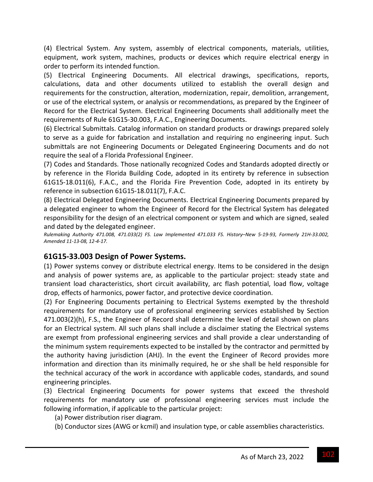(4) Electrical System. Any system, assembly of electrical components, materials, utilities, equipment, work system, machines, products or devices which require electrical energy in order to perform its intended function.

(5) Electrical Engineering Documents. All electrical drawings, specifications, reports, calculations, data and other documents utilized to establish the overall design and requirements for the construction, alteration, modernization, repair, demolition, arrangement, or use of the electrical system, or analysis or recommendations, as prepared by the Engineer of Record for the Electrical System. Electrical Engineering Documents shall additionally meet the requirements of Rule 61G15‐30.003, F.A.C., Engineering Documents.

(6) Electrical Submittals. Catalog information on standard products or drawings prepared solely to serve as a guide for fabrication and installation and requiring no engineering input. Such submittals are not Engineering Documents or Delegated Engineering Documents and do not require the seal of a Florida Professional Engineer.

(7) Codes and Standards. Those nationally recognized Codes and Standards adopted directly or by reference in the Florida Building Code, adopted in its entirety by reference in subsection 61G15‐18.011(6), F.A.C., and the Florida Fire Prevention Code, adopted in its entirety by reference in subsection 61G15‐18.011(7), F.A.C.

(8) Electrical Delegated Engineering Documents. Electrical Engineering Documents prepared by a delegated engineer to whom the Engineer of Record for the Electrical System has delegated responsibility for the design of an electrical component or system and which are signed, sealed and dated by the delegated engineer.

Rulemaking Authority 471.008, 471.033(2) FS. Law Implemented 471.033 FS. History-New 5-19-93, Formerly 21H-33.002, *Amended 11‐13‐08, 12‐4‐17.*

### **61G15‐33.003 Design of Power Systems.**

(1) Power systems convey or distribute electrical energy. Items to be considered in the design and analysis of power systems are, as applicable to the particular project: steady state and transient load characteristics, short circuit availability, arc flash potential, load flow, voltage drop, effects of harmonics, power factor, and protective device coordination.

(2) For Engineering Documents pertaining to Electrical Systems exempted by the threshold requirements for mandatory use of professional engineering services established by Section 471.003(2)(h), F.S., the Engineer of Record shall determine the level of detail shown on plans for an Electrical system. All such plans shall include a disclaimer stating the Electrical systems are exempt from professional engineering services and shall provide a clear understanding of the minimum system requirements expected to be installed by the contractor and permitted by the authority having jurisdiction (AHJ). In the event the Engineer of Record provides more information and direction than its minimally required, he or she shall be held responsible for the technical accuracy of the work in accordance with applicable codes, standards, and sound engineering principles.

(3) Electrical Engineering Documents for power systems that exceed the threshold requirements for mandatory use of professional engineering services must include the following information, if applicable to the particular project:

- (a) Power distribution riser diagram.
- (b) Conductor sizes (AWG or kcmil) and insulation type, or cable assemblies characteristics.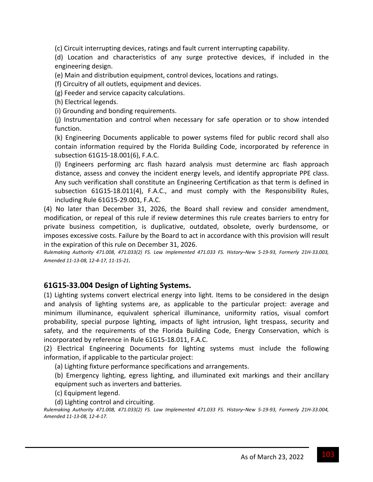(c) Circuit interrupting devices, ratings and fault current interrupting capability.

(d) Location and characteristics of any surge protective devices, if included in the engineering design.

(e) Main and distribution equipment, control devices, locations and ratings.

(f) Circuitry of all outlets, equipment and devices.

(g) Feeder and service capacity calculations.

(h) Electrical legends.

(i) Grounding and bonding requirements.

(j) Instrumentation and control when necessary for safe operation or to show intended function.

(k) Engineering Documents applicable to power systems filed for public record shall also contain information required by the Florida Building Code, incorporated by reference in subsection 61G15‐18.001(6), F.A.C.

(l) Engineers performing arc flash hazard analysis must determine arc flash approach distance, assess and convey the incident energy levels, and identify appropriate PPE class. Any such verification shall constitute an Engineering Certification as that term is defined in subsection 61G15-18.011(4), F.A.C., and must comply with the Responsibility Rules, including Rule 61G15‐29.001, F.A.C.

(4) No later than December 31, 2026, the Board shall review and consider amendment, modification, or repeal of this rule if review determines this rule creates barriers to entry for private business competition, is duplicative, outdated, obsolete, overly burdensome, or imposes excessive costs. Failure by the Board to act in accordance with this provision will result in the expiration of this rule on December 31, 2026.

Rulemaking Authority 471.008, 471.033(2) FS. Law Implemented 471.033 FS. History-New 5-19-93, Formerly 21H-33.003, *Amended 11‐13‐08, 12‐4‐17, 11‐15‐21.*

### **61G15‐33.004 Design of Lighting Systems.**

(1) Lighting systems convert electrical energy into light. Items to be considered in the design and analysis of lighting systems are, as applicable to the particular project: average and minimum illuminance, equivalent spherical illuminance, uniformity ratios, visual comfort probability, special purpose lighting, impacts of light intrusion, light trespass, security and safety, and the requirements of the Florida Building Code, Energy Conservation, which is incorporated by reference in Rule 61G15‐18.011, F.A.C.

(2) Electrical Engineering Documents for lighting systems must include the following information, if applicable to the particular project:

(a) Lighting fixture performance specifications and arrangements.

(b) Emergency lighting, egress lighting, and illuminated exit markings and their ancillary equipment such as inverters and batteries.

(c) Equipment legend.

(d) Lighting control and circuiting.

Rulemaking Authority 471.008, 471.033(2) FS. Law Implemented 471.033 FS. History-New 5-19-93, Formerly 21H-33.004, *Amended 11‐13‐08, 12‐4‐17.*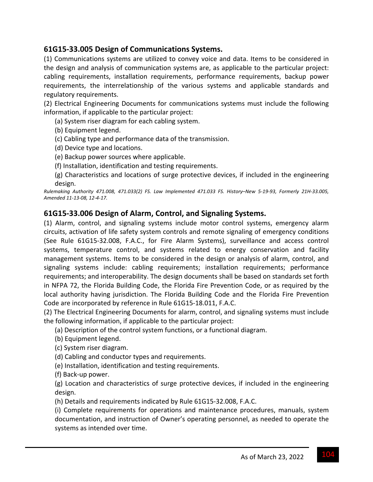### **61G15‐33.005 Design of Communications Systems.**

(1) Communications systems are utilized to convey voice and data. Items to be considered in the design and analysis of communication systems are, as applicable to the particular project: cabling requirements, installation requirements, performance requirements, backup power requirements, the interrelationship of the various systems and applicable standards and regulatory requirements.

(2) Electrical Engineering Documents for communications systems must include the following information, if applicable to the particular project:

(a) System riser diagram for each cabling system.

(b) Equipment legend.

(c) Cabling type and performance data of the transmission.

(d) Device type and locations.

(e) Backup power sources where applicable.

(f) Installation, identification and testing requirements.

(g) Characteristics and locations of surge protective devices, if included in the engineering design.

Rulemaking Authority 471.008, 471.033(2) FS. Law Implemented 471.033 FS. History-New 5-19-93, Formerly 21H-33.005, *Amended 11‐13‐08, 12‐4‐17.*

### **61G15‐33.006 Design of Alarm, Control, and Signaling Systems.**

(1) Alarm, control, and signaling systems include motor control systems, emergency alarm circuits, activation of life safety system controls and remote signaling of emergency conditions (See Rule 61G15‐32.008, F.A.C., for Fire Alarm Systems), surveillance and access control systems, temperature control, and systems related to energy conservation and facility management systems. Items to be considered in the design or analysis of alarm, control, and signaling systems include: cabling requirements; installation requirements; performance requirements; and interoperability. The design documents shall be based on standards set forth in NFPA 72, the Florida Building Code, the Florida Fire Prevention Code, or as required by the local authority having jurisdiction. The Florida Building Code and the Florida Fire Prevention Code are incorporated by reference in Rule 61G15‐18.011, F.A.C.

(2) The Electrical Engineering Documents for alarm, control, and signaling systems must include the following information, if applicable to the particular project:

(a) Description of the control system functions, or a functional diagram.

(b) Equipment legend.

(c) System riser diagram.

(d) Cabling and conductor types and requirements.

(e) Installation, identification and testing requirements.

(f) Back‐up power.

(g) Location and characteristics of surge protective devices, if included in the engineering design.

(h) Details and requirements indicated by Rule 61G15‐32.008, F.A.C.

(i) Complete requirements for operations and maintenance procedures, manuals, system documentation, and instruction of Owner's operating personnel, as needed to operate the systems as intended over time.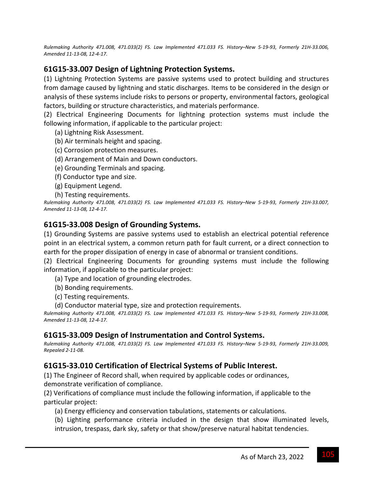Rulemaking Authority 471.008, 471.033(2) FS. Law Implemented 471.033 FS. History-New 5-19-93, Formerly 21H-33.006, *Amended 11‐13‐08, 12‐4‐17.*

### **61G15‐33.007 Design of Lightning Protection Systems.**

(1) Lightning Protection Systems are passive systems used to protect building and structures from damage caused by lightning and static discharges. Items to be considered in the design or analysis of these systems include risks to persons or property, environmental factors, geological factors, building or structure characteristics, and materials performance.

(2) Electrical Engineering Documents for lightning protection systems must include the following information, if applicable to the particular project:

- (a) Lightning Risk Assessment.
- (b) Air terminals height and spacing.
- (c) Corrosion protection measures.
- (d) Arrangement of Main and Down conductors.
- (e) Grounding Terminals and spacing.
- (f) Conductor type and size.
- (g) Equipment Legend.
- (h) Testing requirements.

Rulemaking Authority 471.008, 471.033(2) FS. Law Implemented 471.033 FS. History-New 5-19-93, Formerly 21H-33.007, *Amended 11‐13‐08, 12‐4‐17.*

### **61G15‐33.008 Design of Grounding Systems.**

(1) Grounding Systems are passive systems used to establish an electrical potential reference point in an electrical system, a common return path for fault current, or a direct connection to earth for the proper dissipation of energy in case of abnormal or transient conditions.

(2) Electrical Engineering Documents for grounding systems must include the following information, if applicable to the particular project:

- (a) Type and location of grounding electrodes.
- (b) Bonding requirements.
- (c) Testing requirements.
- (d) Conductor material type, size and protection requirements.

Rulemaking Authority 471.008, 471.033(2) FS. Law Implemented 471.033 FS. History-New 5-19-93, Formerly 21H-33.008, *Amended 11‐13‐08, 12‐4‐17.*

### **61G15‐33.009 Design of Instrumentation and Control Systems.**

Rulemaking Authority 471.008, 471.033(2) FS. Law Implemented 471.033 FS. History-New 5-19-93, Formerly 21H-33.009, *Repealed 2‐11‐08.*

### **61G15‐33.010 Certification of Electrical Systems of Public Interest.**

(1) The Engineer of Record shall, when required by applicable codes or ordinances, demonstrate verification of compliance.

(2) Verifications of compliance must include the following information, if applicable to the particular project:

- (a) Energy efficiency and conservation tabulations, statements or calculations.
- (b) Lighting performance criteria included in the design that show illuminated levels, intrusion, trespass, dark sky, safety or that show/preserve natural habitat tendencies.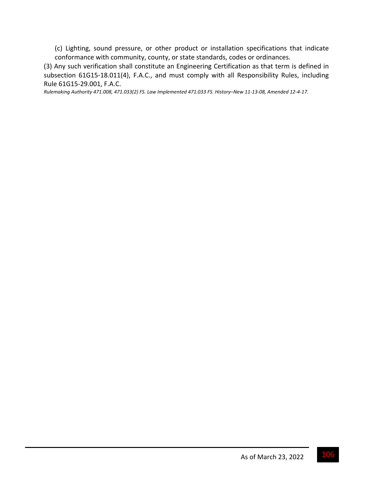(c) Lighting, sound pressure, or other product or installation specifications that indicate conformance with community, county, or state standards, codes or ordinances.

(3) Any such verification shall constitute an Engineering Certification as that term is defined in subsection 61G15-18.011(4), F.A.C., and must comply with all Responsibility Rules, including Rule 61G15‐29.001, F.A.C.

Rulemaking Authority 471.008, 471.033(2) FS. Law Implemented 471.033 FS. History-New 11-13-08, Amended 12-4-17.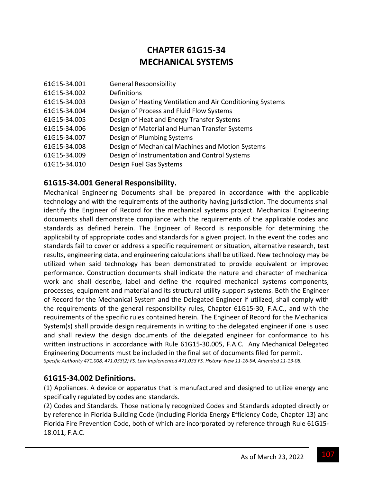# **CHAPTER 61G15‐34 MECHANICAL SYSTEMS**

| Design of Heating Ventilation and Air Conditioning Systems |
|------------------------------------------------------------|
|                                                            |
|                                                            |
| Design of Material and Human Transfer Systems              |
|                                                            |
| Design of Mechanical Machines and Motion Systems           |
| Design of Instrumentation and Control Systems              |
|                                                            |
|                                                            |

### **61G15‐34.001 General Responsibility.**

Mechanical Engineering Documents shall be prepared in accordance with the applicable technology and with the requirements of the authority having jurisdiction. The documents shall identify the Engineer of Record for the mechanical systems project. Mechanical Engineering documents shall demonstrate compliance with the requirements of the applicable codes and standards as defined herein. The Engineer of Record is responsible for determining the applicability of appropriate codes and standards for a given project. In the event the codes and standards fail to cover or address a specific requirement or situation, alternative research, test results, engineering data, and engineering calculations shall be utilized. New technology may be utilized when said technology has been demonstrated to provide equivalent or improved performance. Construction documents shall indicate the nature and character of mechanical work and shall describe, label and define the required mechanical systems components, processes, equipment and material and its structural utility support systems. Both the Engineer of Record for the Mechanical System and the Delegated Engineer if utilized, shall comply with the requirements of the general responsibility rules, Chapter 61G15‐30, F.A.C., and with the requirements of the specific rules contained herein. The Engineer of Record for the Mechanical System(s) shall provide design requirements in writing to the delegated engineer if one is used and shall review the design documents of the delegated engineer for conformance to his written instructions in accordance with Rule 61G15‐30.005, F.A.C. Any Mechanical Delegated Engineering Documents must be included in the final set of documents filed for permit. Specific Authority 471.008, 471.033(2) FS. Law Implemented 471.033 FS. History-New 11-16-94, Amended 11-13-08.

### **61G15‐34.002 Definitions.**

(1) Appliances. A device or apparatus that is manufactured and designed to utilize energy and specifically regulated by codes and standards.

(2) Codes and Standards. Those nationally recognized Codes and Standards adopted directly or by reference in Florida Building Code (including Florida Energy Efficiency Code, Chapter 13) and Florida Fire Prevention Code, both of which are incorporated by reference through Rule 61G15‐ 18.011, F.A.C.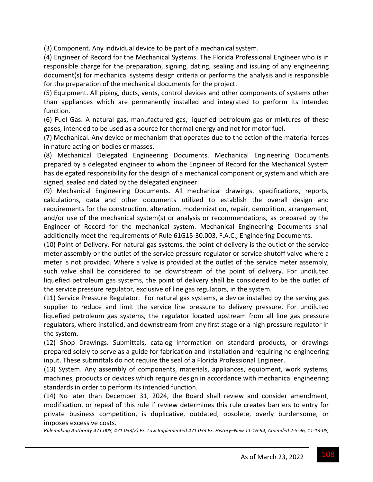(3) Component. Any individual device to be part of a mechanical system.

(4) Engineer of Record for the Mechanical Systems. The Florida Professional Engineer who is in responsible charge for the preparation, signing, dating, sealing and issuing of any engineering document(s) for mechanical systems design criteria or performs the analysis and is responsible for the preparation of the mechanical documents for the project.

(5) Equipment. All piping, ducts, vents, control devices and other components of systems other than appliances which are permanently installed and integrated to perform its intended function.

(6) Fuel Gas. A natural gas, manufactured gas, liquefied petroleum gas or mixtures of these gases, intended to be used as a source for thermal energy and not for motor fuel.

(7) Mechanical. Any device or mechanism that operates due to the action of the material forces in nature acting on bodies or masses.

(8) Mechanical Delegated Engineering Documents. Mechanical Engineering Documents prepared by a delegated engineer to whom the Engineer of Record for the Mechanical System has delegated responsibility for the design of a mechanical component or system and which are signed, sealed and dated by the delegated engineer.

(9) Mechanical Engineering Documents. All mechanical drawings, specifications, reports, calculations, data and other documents utilized to establish the overall design and requirements for the construction, alteration, modernization, repair, demolition, arrangement, and/or use of the mechanical system(s) or analysis or recommendations, as prepared by the Engineer of Record for the mechanical system. Mechanical Engineering Documents shall additionally meet the requirements of Rule 61G15‐30.003, F.A.C., Engineering Documents.

(10) Point of Delivery. For natural gas systems, the point of delivery is the outlet of the service meter assembly or the outlet of the service pressure regulator or service shutoff valve where a meter is not provided. Where a valve is provided at the outlet of the service meter assembly, such valve shall be considered to be downstream of the point of delivery. For undiluted liquefied petroleum gas systems, the point of delivery shall be considered to be the outlet of the service pressure regulator, exclusive of line gas regulators, in the system.

(11) Service Pressure Regulator. For natural gas systems, a device installed by the serving gas supplier to reduce and limit the service line pressure to delivery pressure. For undiluted liquefied petroleum gas systems, the regulator located upstream from all line gas pressure regulators, where installed, and downstream from any first stage or a high pressure regulator in the system.

(12) Shop Drawings. Submittals, catalog information on standard products, or drawings prepared solely to serve as a guide for fabrication and installation and requiring no engineering input. These submittals do not require the seal of a Florida Professional Engineer.

(13) System. Any assembly of components, materials, appliances, equipment, work systems, machines, products or devices which require design in accordance with mechanical engineering standards in order to perform its intended function.

(14) No later than December 31, 2024, the Board shall review and consider amendment, modification, or repeal of this rule if review determines this rule creates barriers to entry for private business competition, is duplicative, outdated, obsolete, overly burdensome, or imposes excessive costs.

Rulemaking Authority 471.008, 471.033(2) FS. Law Implemented 471.033 FS. History-New 11-16-94, Amended 2-5-96, 11-13-08,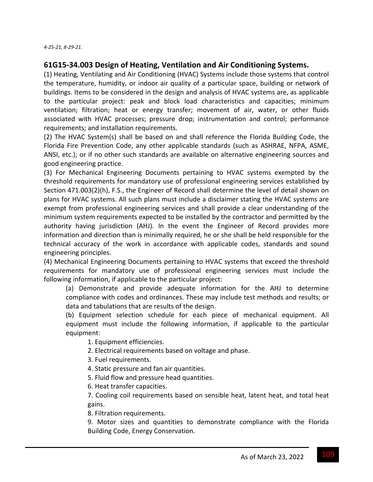#### **61G15‐34.003 Design of Heating, Ventilation and Air Conditioning Systems.**

(1) Heating, Ventilating and Air Conditioning (HVAC) Systems include those systems that control the temperature, humidity, or indoor air quality of a particular space, building or network of buildings. Items to be considered in the design and analysis of HVAC systems are, as applicable to the particular project: peak and block load characteristics and capacities; minimum ventilation; filtration; heat or energy transfer; movement of air, water, or other fluids associated with HVAC processes; pressure drop; instrumentation and control; performance requirements; and installation requirements.

(2) The HVAC System(s) shall be based on and shall reference the Florida Building Code, the Florida Fire Prevention Code, any other applicable standards (such as ASHRAE, NFPA, ASME, ANSI, etc.); or if no other such standards are available on alternative engineering sources and good engineering practice.

(3) For Mechanical Engineering Documents pertaining to HVAC systems exempted by the threshold requirements for mandatory use of professional engineering services established by Section 471.003(2)(h), F.S., the Engineer of Record shall determine the level of detail shown on plans for HVAC systems. All such plans must include a disclaimer stating the HVAC systems are exempt from professional engineering services and shall provide a clear understanding of the minimum system requirements expected to be installed by the contractor and permitted by the authority having jurisdiction (AHJ). In the event the Engineer of Record provides more information and direction than is minimally required, he or she shall be held responsible for the technical accuracy of the work in accordance with applicable codes, standards and sound engineering principles.

(4) Mechanical Engineering Documents pertaining to HVAC systems that exceed the threshold requirements for mandatory use of professional engineering services must include the following information, if applicable to the particular project:

(a) Demonstrate and provide adequate information for the AHJ to determine compliance with codes and ordinances. These may include test methods and results; or data and tabulations that are results of the design.

(b) Equipment selection schedule for each piece of mechanical equipment. All equipment must include the following information, if applicable to the particular equipment:

1. Equipment efficiencies.

2. Electrical requirements based on voltage and phase.

3. Fuel requirements.

4. Static pressure and fan air quantities.

5. Fluid flow and pressure head quantities.

6. Heat transfer capacities.

7. Cooling coil requirements based on sensible heat, latent heat, and total heat gains.

8. Filtration requirements.

9. Motor sizes and quantities to demonstrate compliance with the Florida Building Code, Energy Conservation.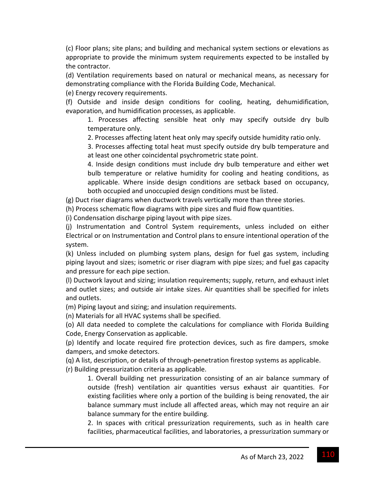(c) Floor plans; site plans; and building and mechanical system sections or elevations as appropriate to provide the minimum system requirements expected to be installed by the contractor.

(d) Ventilation requirements based on natural or mechanical means, as necessary for demonstrating compliance with the Florida Building Code, Mechanical.

(e) Energy recovery requirements.

(f) Outside and inside design conditions for cooling, heating, dehumidification, evaporation, and humidification processes, as applicable.

1. Processes affecting sensible heat only may specify outside dry bulb temperature only.

2. Processes affecting latent heat only may specify outside humidity ratio only.

3. Processes affecting total heat must specify outside dry bulb temperature and at least one other coincidental psychrometric state point.

4. Inside design conditions must include dry bulb temperature and either wet bulb temperature or relative humidity for cooling and heating conditions, as applicable. Where inside design conditions are setback based on occupancy, both occupied and unoccupied design conditions must be listed.

(g) Duct riser diagrams when ductwork travels vertically more than three stories.

(h) Process schematic flow diagrams with pipe sizes and fluid flow quantities.

(i) Condensation discharge piping layout with pipe sizes.

(j) Instrumentation and Control System requirements, unless included on either Electrical or on Instrumentation and Control plans to ensure intentional operation of the system.

(k) Unless included on plumbing system plans, design for fuel gas system, including piping layout and sizes; isometric or riser diagram with pipe sizes; and fuel gas capacity and pressure for each pipe section.

(l) Ductwork layout and sizing; insulation requirements; supply, return, and exhaust inlet and outlet sizes; and outside air intake sizes. Air quantities shall be specified for inlets and outlets.

(m) Piping layout and sizing; and insulation requirements.

(n) Materials for all HVAC systems shall be specified.

(o) All data needed to complete the calculations for compliance with Florida Building Code, Energy Conservation as applicable.

(p) Identify and locate required fire protection devices, such as fire dampers, smoke dampers, and smoke detectors.

(q) A list, description, or details of through‐penetration firestop systems as applicable.

(r) Building pressurization criteria as applicable.

1. Overall building net pressurization consisting of an air balance summary of outside (fresh) ventilation air quantities versus exhaust air quantities. For existing facilities where only a portion of the building is being renovated, the air balance summary must include all affected areas, which may not require an air balance summary for the entire building.

2. In spaces with critical pressurization requirements, such as in health care facilities, pharmaceutical facilities, and laboratories, a pressurization summary or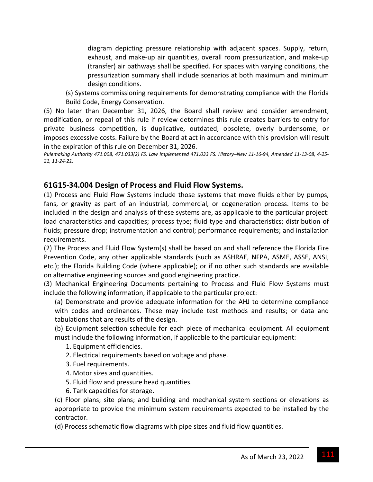diagram depicting pressure relationship with adjacent spaces. Supply, return, exhaust, and make-up air quantities, overall room pressurization, and make-up (transfer) air pathways shall be specified. For spaces with varying conditions, the pressurization summary shall include scenarios at both maximum and minimum design conditions.

(s) Systems commissioning requirements for demonstrating compliance with the Florida Build Code, Energy Conservation.

(5) No later than December 31, 2026, the Board shall review and consider amendment, modification, or repeal of this rule if review determines this rule creates barriers to entry for private business competition, is duplicative, outdated, obsolete, overly burdensome, or imposes excessive costs. Failure by the Board at act in accordance with this provision will result in the expiration of this rule on December 31, 2026.

Rulemaking Authority 471.008, 471.033(2) FS. Law Implemented 471.033 FS. History-New 11-16-94, Amended 11-13-08, 4-25-*21, 11‐24‐21.*

## **61G15‐34.004 Design of Process and Fluid Flow Systems.**

(1) Process and Fluid Flow Systems include those systems that move fluids either by pumps, fans, or gravity as part of an industrial, commercial, or cogeneration process. Items to be included in the design and analysis of these systems are, as applicable to the particular project: load characteristics and capacities; process type; fluid type and characteristics; distribution of fluids; pressure drop; instrumentation and control; performance requirements; and installation requirements.

(2) The Process and Fluid Flow System(s) shall be based on and shall reference the Florida Fire Prevention Code, any other applicable standards (such as ASHRAE, NFPA, ASME, ASSE, ANSI, etc.); the Florida Building Code (where applicable); or if no other such standards are available on alternative engineering sources and good engineering practice.

(3) Mechanical Engineering Documents pertaining to Process and Fluid Flow Systems must include the following information, if applicable to the particular project:

(a) Demonstrate and provide adequate information for the AHJ to determine compliance with codes and ordinances. These may include test methods and results; or data and tabulations that are results of the design.

(b) Equipment selection schedule for each piece of mechanical equipment. All equipment must include the following information, if applicable to the particular equipment:

- 1. Equipment efficiencies.
- 2. Electrical requirements based on voltage and phase.
- 3. Fuel requirements.
- 4. Motor sizes and quantities.
- 5. Fluid flow and pressure head quantities.
- 6. Tank capacities for storage.

(c) Floor plans; site plans; and building and mechanical system sections or elevations as appropriate to provide the minimum system requirements expected to be installed by the contractor.

(d) Process schematic flow diagrams with pipe sizes and fluid flow quantities.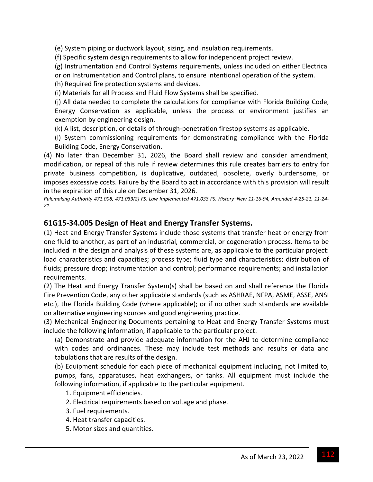(e) System piping or ductwork layout, sizing, and insulation requirements.

(f) Specific system design requirements to allow for independent project review.

(g) Instrumentation and Control Systems requirements, unless included on either Electrical or on Instrumentation and Control plans, to ensure intentional operation of the system.

(h) Required fire protection systems and devices.

(i) Materials for all Process and Fluid Flow Systems shall be specified.

(j) All data needed to complete the calculations for compliance with Florida Building Code, Energy Conservation as applicable, unless the process or environment justifies an exemption by engineering design.

(k) A list, description, or details of through‐penetration firestop systems as applicable.

(l) System commissioning requirements for demonstrating compliance with the Florida Building Code, Energy Conservation.

(4) No later than December 31, 2026, the Board shall review and consider amendment, modification, or repeal of this rule if review determines this rule creates barriers to entry for private business competition, is duplicative, outdated, obsolete, overly burdensome, or imposes excessive costs. Failure by the Board to act in accordance with this provision will result in the expiration of this rule on December 31, 2026.

Rulemaking Authority 471.008, 471.033(2) FS. Law Implemented 471.033 FS. History-New 11-16-94, Amended 4-25-21, 11-24-*21.*

## **61G15‐34.005 Design of Heat and Energy Transfer Systems.**

(1) Heat and Energy Transfer Systems include those systems that transfer heat or energy from one fluid to another, as part of an industrial, commercial, or cogeneration process. Items to be included in the design and analysis of these systems are, as applicable to the particular project: load characteristics and capacities; process type; fluid type and characteristics; distribution of fluids; pressure drop; instrumentation and control; performance requirements; and installation requirements.

(2) The Heat and Energy Transfer System(s) shall be based on and shall reference the Florida Fire Prevention Code, any other applicable standards (such as ASHRAE, NFPA, ASME, ASSE, ANSI etc.), the Florida Building Code (where applicable); or if no other such standards are available on alternative engineering sources and good engineering practice.

(3) Mechanical Engineering Documents pertaining to Heat and Energy Transfer Systems must include the following information, if applicable to the particular project:

(a) Demonstrate and provide adequate information for the AHJ to determine compliance with codes and ordinances. These may include test methods and results or data and tabulations that are results of the design.

(b) Equipment schedule for each piece of mechanical equipment including, not limited to, pumps, fans, apparatuses, heat exchangers, or tanks. All equipment must include the following information, if applicable to the particular equipment.

- 1. Equipment efficiencies.
- 2. Electrical requirements based on voltage and phase.
- 3. Fuel requirements.
- 4. Heat transfer capacities.
- 5. Motor sizes and quantities.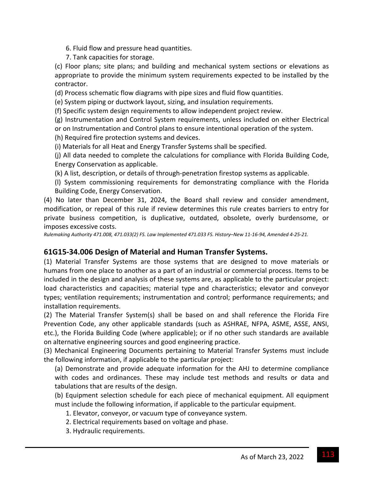- 6. Fluid flow and pressure head quantities.
- 7. Tank capacities for storage.

(c) Floor plans; site plans; and building and mechanical system sections or elevations as appropriate to provide the minimum system requirements expected to be installed by the contractor.

(d) Process schematic flow diagrams with pipe sizes and fluid flow quantities.

(e) System piping or ductwork layout, sizing, and insulation requirements.

(f) Specific system design requirements to allow independent project review.

(g) Instrumentation and Control System requirements, unless included on either Electrical or on Instrumentation and Control plans to ensure intentional operation of the system.

(h) Required fire protection systems and devices.

(i) Materials for all Heat and Energy Transfer Systems shall be specified.

(j) All data needed to complete the calculations for compliance with Florida Building Code, Energy Conservation as applicable.

(k) A list, description, or details of through‐penetration firestop systems as applicable.

(l) System commissioning requirements for demonstrating compliance with the Florida Building Code, Energy Conservation.

(4) No later than December 31, 2024, the Board shall review and consider amendment, modification, or repeal of this rule if review determines this rule creates barriers to entry for private business competition, is duplicative, outdated, obsolete, overly burdensome, or imposes excessive costs.

Rulemaking Authority 471.008, 471.033(2) FS. Law Implemented 471.033 FS. History-New 11-16-94, Amended 4-25-21.

## **61G15‐34.006 Design of Material and Human Transfer Systems.**

(1) Material Transfer Systems are those systems that are designed to move materials or humans from one place to another as a part of an industrial or commercial process. Items to be included in the design and analysis of these systems are, as applicable to the particular project: load characteristics and capacities; material type and characteristics; elevator and conveyor types; ventilation requirements; instrumentation and control; performance requirements; and installation requirements.

(2) The Material Transfer System(s) shall be based on and shall reference the Florida Fire Prevention Code, any other applicable standards (such as ASHRAE, NFPA, ASME, ASSE, ANSI, etc.), the Florida Building Code (where applicable); or if no other such standards are available on alternative engineering sources and good engineering practice.

(3) Mechanical Engineering Documents pertaining to Material Transfer Systems must include the following information, if applicable to the particular project:

(a) Demonstrate and provide adequate information for the AHJ to determine compliance with codes and ordinances. These may include test methods and results or data and tabulations that are results of the design.

(b) Equipment selection schedule for each piece of mechanical equipment. All equipment must include the following information, if applicable to the particular equipment.

- 1. Elevator, conveyor, or vacuum type of conveyance system.
- 2. Electrical requirements based on voltage and phase.
- 3. Hydraulic requirements.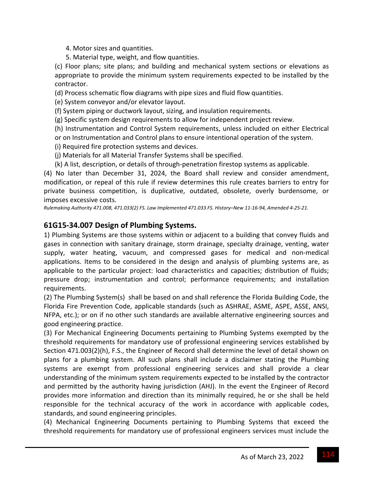- 4. Motor sizes and quantities.
- 5. Material type, weight, and flow quantities.

(c) Floor plans; site plans; and building and mechanical system sections or elevations as appropriate to provide the minimum system requirements expected to be installed by the contractor.

(d) Process schematic flow diagrams with pipe sizes and fluid flow quantities.

(e) System conveyor and/or elevator layout.

(f) System piping or ductwork layout, sizing, and insulation requirements.

(g) Specific system design requirements to allow for independent project review.

(h) Instrumentation and Control System requirements, unless included on either Electrical or on Instrumentation and Control plans to ensure intentional operation of the system.

(i) Required fire protection systems and devices.

(j) Materials for all Material Transfer Systems shall be specified.

(k) A list, description, or details of through‐penetration firestop systems as applicable.

(4) No later than December 31, 2024, the Board shall review and consider amendment, modification, or repeal of this rule if review determines this rule creates barriers to entry for private business competition, is duplicative, outdated, obsolete, overly burdensome, or imposes excessive costs.

Rulemaking Authority 471.008, 471.033(2) FS. Law Implemented 471.033 FS. History-New 11-16-94, Amended 4-25-21.

## **61G15‐34.007 Design of Plumbing Systems.**

1) Plumbing Systems are those systems within or adjacent to a building that convey fluids and gases in connection with sanitary drainage, storm drainage, specialty drainage, venting, water supply, water heating, vacuum, and compressed gases for medical and non-medical applications. Items to be considered in the design and analysis of plumbing systems are, as applicable to the particular project: load characteristics and capacities; distribution of fluids; pressure drop; instrumentation and control; performance requirements; and installation requirements.

(2) The Plumbing System(s) shall be based on and shall reference the Florida Building Code, the Florida Fire Prevention Code, applicable standards (such as ASHRAE, ASME, ASPE, ASSE, ANSI, NFPA, etc.); or on if no other such standards are available alternative engineering sources and good engineering practice.

(3) For Mechanical Engineering Documents pertaining to Plumbing Systems exempted by the threshold requirements for mandatory use of professional engineering services established by Section 471.003(2)(h), F.S., the Engineer of Record shall determine the level of detail shown on plans for a plumbing system. All such plans shall include a disclaimer stating the Plumbing systems are exempt from professional engineering services and shall provide a clear understanding of the minimum system requirements expected to be installed by the contractor and permitted by the authority having jurisdiction (AHJ). In the event the Engineer of Record provides more information and direction than its minimally required, he or she shall be held responsible for the technical accuracy of the work in accordance with applicable codes, standards, and sound engineering principles.

(4) Mechanical Engineering Documents pertaining to Plumbing Systems that exceed the threshold requirements for mandatory use of professional engineers services must include the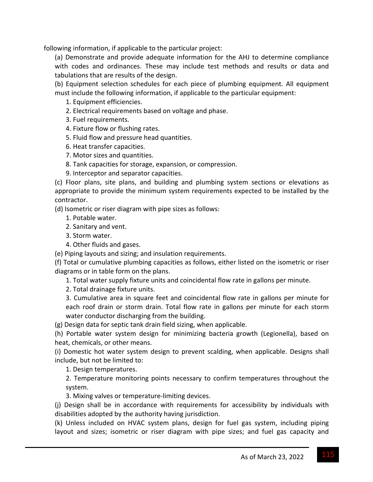following information, if applicable to the particular project:

(a) Demonstrate and provide adequate information for the AHJ to determine compliance with codes and ordinances. These may include test methods and results or data and tabulations that are results of the design.

(b) Equipment selection schedules for each piece of plumbing equipment. All equipment must include the following information, if applicable to the particular equipment:

1. Equipment efficiencies.

- 2. Electrical requirements based on voltage and phase.
- 3. Fuel requirements.
- 4. Fixture flow or flushing rates.
- 5. Fluid flow and pressure head quantities.
- 6. Heat transfer capacities.
- 7. Motor sizes and quantities.
- 8. Tank capacities for storage, expansion, or compression.
- 9. Interceptor and separator capacities.

(c) Floor plans, site plans, and building and plumbing system sections or elevations as appropriate to provide the minimum system requirements expected to be installed by the contractor.

(d) Isometric or riser diagram with pipe sizes as follows:

- 1. Potable water.
- 2. Sanitary and vent.
- 3. Storm water.
- 4. Other fluids and gases.
- (e) Piping layouts and sizing; and insulation requirements.

(f) Total or cumulative plumbing capacities as follows, either listed on the isometric or riser diagrams or in table form on the plans.

- 1. Total water supply fixture units and coincidental flow rate in gallons per minute.
- 2. Total drainage fixture units.

3. Cumulative area in square feet and coincidental flow rate in gallons per minute for each roof drain or storm drain. Total flow rate in gallons per minute for each storm water conductor discharging from the building.

(g) Design data for septic tank drain field sizing, when applicable.

(h) Portable water system design for minimizing bacteria growth (Legionella), based on heat, chemicals, or other means.

(i) Domestic hot water system design to prevent scalding, when applicable. Designs shall include, but not be limited to:

1. Design temperatures.

2. Temperature monitoring points necessary to confirm temperatures throughout the system.

3. Mixing valves or temperature‐limiting devices.

(j) Design shall be in accordance with requirements for accessibility by individuals with disabilities adopted by the authority having jurisdiction.

(k) Unless included on HVAC system plans, design for fuel gas system, including piping layout and sizes; isometric or riser diagram with pipe sizes; and fuel gas capacity and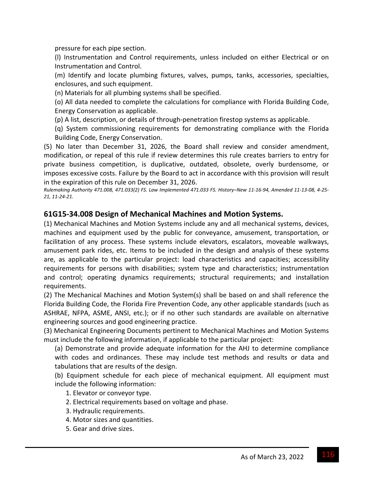pressure for each pipe section.

(l) Instrumentation and Control requirements, unless included on either Electrical or on Instrumentation and Control.

(m) Identify and locate plumbing fixtures, valves, pumps, tanks, accessories, specialties, enclosures, and such equipment.

(n) Materials for all plumbing systems shall be specified.

(o) All data needed to complete the calculations for compliance with Florida Building Code, Energy Conservation as applicable.

(p) A list, description, or details of through‐penetration firestop systems as applicable.

(q) System commissioning requirements for demonstrating compliance with the Florida Building Code, Energy Conservation.

(5) No later than December 31, 2026, the Board shall review and consider amendment, modification, or repeal of this rule if review determines this rule creates barriers to entry for private business competition, is duplicative, outdated, obsolete, overly burdensome, or imposes excessive costs. Failure by the Board to act in accordance with this provision will result in the expiration of this rule on December 31, 2026.

Rulemaking Authority 471.008, 471.033(2) FS. Law Implemented 471.033 FS. History-New 11-16-94, Amended 11-13-08, 4-25-*21, 11‐24‐21.*

#### **61G15‐34.008 Design of Mechanical Machines and Motion Systems.**

(1) Mechanical Machines and Motion Systems include any and all mechanical systems, devices, machines and equipment used by the public for conveyance, amusement, transportation, or facilitation of any process. These systems include elevators, escalators, moveable walkways, amusement park rides, etc. Items to be included in the design and analysis of these systems are, as applicable to the particular project: load characteristics and capacities; accessibility requirements for persons with disabilities; system type and characteristics; instrumentation and control; operating dynamics requirements; structural requirements; and installation requirements.

(2) The Mechanical Machines and Motion System(s) shall be based on and shall reference the Florida Building Code, the Florida Fire Prevention Code, any other applicable standards (such as ASHRAE, NFPA, ASME, ANSI, etc.); or if no other such standards are available on alternative engineering sources and good engineering practice.

(3) Mechanical Engineering Documents pertinent to Mechanical Machines and Motion Systems must include the following information, if applicable to the particular project:

(a) Demonstrate and provide adequate information for the AHJ to determine compliance with codes and ordinances. These may include test methods and results or data and tabulations that are results of the design.

(b) Equipment schedule for each piece of mechanical equipment. All equipment must include the following information:

1. Elevator or conveyor type.

- 2. Electrical requirements based on voltage and phase.
- 3. Hydraulic requirements.
- 4. Motor sizes and quantities.
- 5. Gear and drive sizes.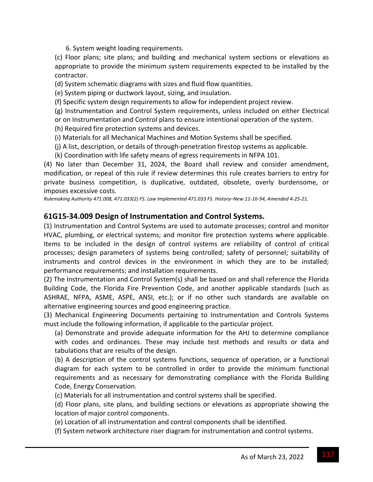6. System weight loading requirements.

(c) Floor plans; site plans; and building and mechanical system sections or elevations as appropriate to provide the minimum system requirements expected to be installed by the contractor.

(d) System schematic diagrams with sizes and fluid flow quantities.

(e) System piping or ductwork layout, sizing, and insulation.

(f) Specific system design requirements to allow for independent project review.

(g) Instrumentation and Control System requirements, unless included on either Electrical or on Instrumentation and Control plans to ensure intentional operation of the system.

(h) Required fire protection systems and devices.

(i) Materials for all Mechanical Machines and Motion Systems shall be specified.

(j) A list, description, or details of through‐penetration firestop systems as applicable.

(k) Coordination with life safety means of egress requirements in NFPA 101.

(4) No later than December 31, 2024, the Board shall review and consider amendment, modification, or repeal of this rule if review determines this rule creates barriers to entry for private business competition, is duplicative, outdated, obsolete, overly burdensome, or imposes excessive costs.

Rulemaking Authority 471.008, 471.033(2) FS. Law Implemented 471.033 FS. History-New 11-16-94, Amended 4-25-21.

## **61G15‐34.009 Design of Instrumentation and Control Systems.**

(1) Instrumentation and Control Systems are used to automate processes; control and monitor HVAC, plumbing, or electrical systems; and monitor fire protection systems where applicable. Items to be included in the design of control systems are reliability of control of critical processes; design parameters of systems being controlled; safety of personnel; suitability of instruments and control devices in the environment in which they are to be installed; performance requirements; and installation requirements.

(2) The Instrumentation and Control System(s) shall be based on and shall reference the Florida Building Code, the Florida Fire Prevention Code, and another applicable standards (such as ASHRAE, NFPA, ASME, ASPE, ANSI, etc.); or if no other such standards are available on alternative engineering sources and good engineering practice.

(3) Mechanical Engineering Documents pertaining to Instrumentation and Controls Systems must include the following information, if applicable to the particular project.

(a) Demonstrate and provide adequate information for the AHJ to determine compliance with codes and ordinances. These may include test methods and results or data and tabulations that are results of the design.

(b) A description of the control systems functions, sequence of operation, or a functional diagram for each system to be controlled in order to provide the minimum functional requirements and as necessary for demonstrating compliance with the Florida Building Code, Energy Conservation.

(c) Materials for all instrumentation and control systems shall be specified.

(d) Floor plans, site plans, and building sections or elevations as appropriate showing the location of major control components.

(e) Location of all instrumentation and control components shall be identified.

(f) System network architecture riser diagram for instrumentation and control systems.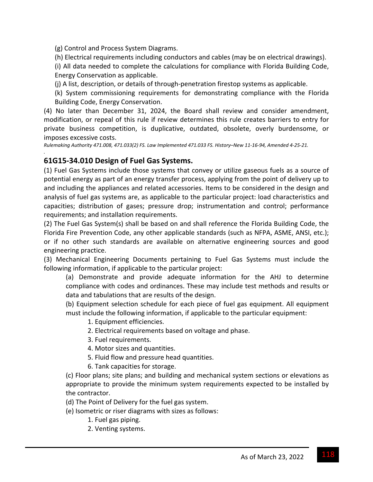(g) Control and Process System Diagrams.

(h) Electrical requirements including conductors and cables (may be on electrical drawings).

(i) All data needed to complete the calculations for compliance with Florida Building Code, Energy Conservation as applicable.

(j) A list, description, or details of through‐penetration firestop systems as applicable.

(k) System commissioning requirements for demonstrating compliance with the Florida Building Code, Energy Conservation.

(4) No later than December 31, 2024, the Board shall review and consider amendment, modification, or repeal of this rule if review determines this rule creates barriers to entry for private business competition, is duplicative, outdated, obsolete, overly burdensome, or imposes excessive costs.

Rulemaking Authority 471.008, 471.033(2) FS. Law Implemented 471.033 FS. History-New 11-16-94, Amended 4-25-21.

## **61G15‐34.010 Design of Fuel Gas Systems.**

*.*

(1) Fuel Gas Systems include those systems that convey or utilize gaseous fuels as a source of potential energy as part of an energy transfer process, applying from the point of delivery up to and including the appliances and related accessories. Items to be considered in the design and analysis of fuel gas systems are, as applicable to the particular project: load characteristics and capacities; distribution of gases; pressure drop; instrumentation and control; performance requirements; and installation requirements.

(2) The Fuel Gas System(s) shall be based on and shall reference the Florida Building Code, the Florida Fire Prevention Code, any other applicable standards (such as NFPA, ASME, ANSI, etc.); or if no other such standards are available on alternative engineering sources and good engineering practice.

(3) Mechanical Engineering Documents pertaining to Fuel Gas Systems must include the following information, if applicable to the particular project:

(a) Demonstrate and provide adequate information for the AHJ to determine compliance with codes and ordinances. These may include test methods and results or data and tabulations that are results of the design.

(b) Equipment selection schedule for each piece of fuel gas equipment. All equipment must include the following information, if applicable to the particular equipment:

1. Equipment efficiencies.

- 2. Electrical requirements based on voltage and phase.
- 3. Fuel requirements.
- 4. Motor sizes and quantities.
- 5. Fluid flow and pressure head quantities.
- 6. Tank capacities for storage.

(c) Floor plans; site plans; and building and mechanical system sections or elevations as appropriate to provide the minimum system requirements expected to be installed by the contractor.

- (d) The Point of Delivery for the fuel gas system.
- (e) Isometric or riser diagrams with sizes as follows:
	- 1. Fuel gas piping.
	- 2. Venting systems.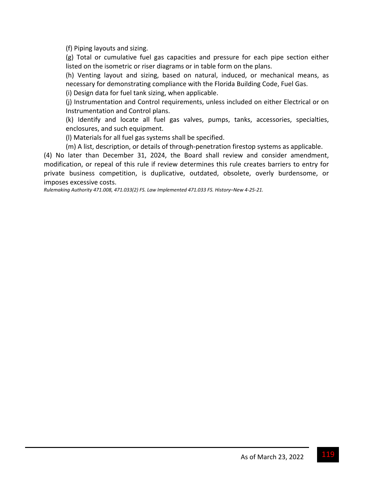(f) Piping layouts and sizing.

(g) Total or cumulative fuel gas capacities and pressure for each pipe section either listed on the isometric or riser diagrams or in table form on the plans.

(h) Venting layout and sizing, based on natural, induced, or mechanical means, as necessary for demonstrating compliance with the Florida Building Code, Fuel Gas.

(i) Design data for fuel tank sizing, when applicable.

(j) Instrumentation and Control requirements, unless included on either Electrical or on Instrumentation and Control plans.

(k) Identify and locate all fuel gas valves, pumps, tanks, accessories, specialties, enclosures, and such equipment.

(l) Materials for all fuel gas systems shall be specified.

(m) A list, description, or details of through‐penetration firestop systems as applicable.

(4) No later than December 31, 2024, the Board shall review and consider amendment, modification, or repeal of this rule if review determines this rule creates barriers to entry for private business competition, is duplicative, outdated, obsolete, overly burdensome, or imposes excessive costs.

*Rulemaking Authority 471.008, 471.033(2) FS. Law Implemented 471.033 FS. History–New 4‐25‐21.*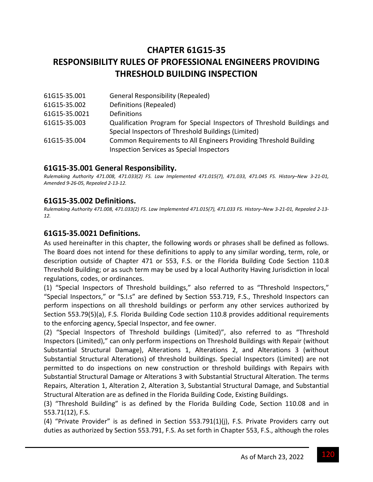# **CHAPTER 61G15‐35 RESPONSIBILITY RULES OF PROFESSIONAL ENGINEERS PROVIDING THRESHOLD BUILDING INSPECTION**

| <b>General Responsibility (Repealed)</b>                                                                              |
|-----------------------------------------------------------------------------------------------------------------------|
| Definitions (Repealed)                                                                                                |
| <b>Definitions</b>                                                                                                    |
| Qualification Program for Special Inspectors of Threshold Buildings and                                               |
| Special Inspectors of Threshold Buildings (Limited)                                                                   |
| Common Requirements to All Engineers Providing Threshold Building<br><b>Inspection Services as Special Inspectors</b> |
|                                                                                                                       |

## **61G15‐35.001 General Responsibility.**

Rulemaking Authority 471.008, 471.033(2) FS. Law Implemented 471.015(7), 471.033, 471.045 FS. History-New 3-21-01, *Amended 9‐26‐05, Repealed 2‐13‐12.*

#### **61G15‐35.002 Definitions.**

Rulemaking Authority 471.008, 471.033(2) FS. Law Implemented 471.015(7), 471.033 FS. History-New 3-21-01, Repealed 2-13-*12.*

#### **61G15‐35.0021 Definitions.**

As used hereinafter in this chapter, the following words or phrases shall be defined as follows. The Board does not intend for these definitions to apply to any similar wording, term, role, or description outside of Chapter 471 or 553, F.S. or the Florida Building Code Section 110.8 Threshold Building; or as such term may be used by a local Authority Having Jurisdiction in local regulations, codes, or ordinances.

(1) "Special Inspectors of Threshold buildings," also referred to as "Threshold Inspectors," "Special Inspectors," or "S.I.s" are defined by Section 553.719, F.S., Threshold Inspectors can perform inspections on all threshold buildings or perform any other services authorized by Section 553.79(5)(a), F.S. Florida Building Code section 110.8 provides additional requirements to the enforcing agency, Special Inspector, and fee owner.

(2) "Special Inspectors of Threshold buildings (Limited)", also referred to as "Threshold Inspectors (Limited)," can only perform inspections on Threshold Buildings with Repair (without Substantial Structural Damage), Alterations 1, Alterations 2, and Alterations 3 (without Substantial Structural Alterations) of threshold buildings. Special Inspectors (Limited) are not permitted to do inspections on new construction or threshold buildings with Repairs with Substantial Structural Damage or Alterations 3 with Substantial Structural Alteration. The terms Repairs, Alteration 1, Alteration 2, Alteration 3, Substantial Structural Damage, and Substantial Structural Alteration are as defined in the Florida Building Code, Existing Buildings.

(3) "Threshold Building" is as defined by the Florida Building Code, Section 110.08 and in 553.71(12), F.S.

(4) "Private Provider" is as defined in Section 553.791(1)(j), F.S. Private Providers carry out duties as authorized by Section 553.791, F.S. As set forth in Chapter 553, F.S., although the roles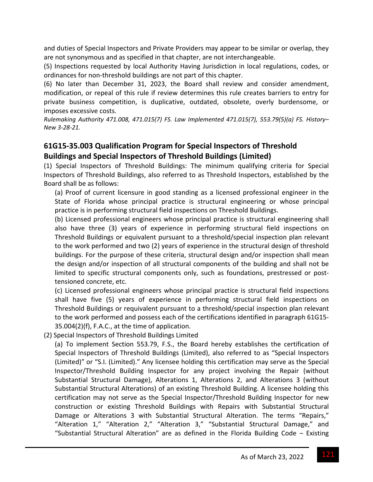and duties of Special Inspectors and Private Providers may appear to be similar or overlap, they are not synonymous and as specified in that chapter, are not interchangeable.

(5) Inspections requested by local Authority Having Jurisdiction in local regulations, codes, or ordinances for non‐threshold buildings are not part of this chapter.

(6) No later than December 31, 2023, the Board shall review and consider amendment, modification, or repeal of this rule if review determines this rule creates barriers to entry for private business competition, is duplicative, outdated, obsolete, overly burdensome, or imposes excessive costs.

*Rulemaking Authority 471.008, 471.015(7) FS. Law Implemented 471.015(7), 553.79(5)(a) FS. History– New 3‐28‐21.*

## **61G15‐35.003 Qualification Program for Special Inspectors of Threshold Buildings and Special Inspectors of Threshold Buildings (Limited)**

(1) Special Inspectors of Threshold Buildings: The minimum qualifying criteria for Special Inspectors of Threshold Buildings, also referred to as Threshold Inspectors, established by the Board shall be as follows:

(a) Proof of current licensure in good standing as a licensed professional engineer in the State of Florida whose principal practice is structural engineering or whose principal practice is in performing structural field inspections on Threshold Buildings.

(b) Licensed professional engineers whose principal practice is structural engineering shall also have three (3) years of experience in performing structural field inspections on Threshold Buildings or equivalent pursuant to a threshold/special inspection plan relevant to the work performed and two (2) years of experience in the structural design of threshold buildings. For the purpose of these criteria, structural design and/or inspection shall mean the design and/or inspection of all structural components of the building and shall not be limited to specific structural components only, such as foundations, prestressed or posttensioned concrete, etc.

(c) Licensed professional engineers whose principal practice is structural field inspections shall have five (5) years of experience in performing structural field inspections on Threshold Buildings or requivalent pursuant to a threshold/special inspection plan relevant to the work performed and possess each of the certifications identified in paragraph 61G15‐ 35.004(2)(f), F.A.C., at the time of application.

(2) Special Inspectors of Threshold Buildings Limited

(a) To implement Section 553.79, F.S., the Board hereby establishes the certification of Special Inspectors of Threshold Buildings (Limited), also referred to as "Special Inspectors (Limited)" or "S.I. (Limited)." Any licensee holding this certification may serve as the Special Inspector/Threshold Building Inspector for any project involving the Repair (without Substantial Structural Damage), Alterations 1, Alterations 2, and Alterations 3 (without Substantial Structural Alterations) of an existing Threshold Building. A licensee holding this certification may not serve as the Special Inspector/Threshold Building Inspector for new construction or existing Threshold Buildings with Repairs with Substantial Structural Damage or Alterations 3 with Substantial Structural Alteration. The terms "Repairs," "Alteration 1," "Alteration 2," "Alteration 3," "Substantial Structural Damage," and "Substantial Structural Alteration" are as defined in the Florida Building Code ‒ Existing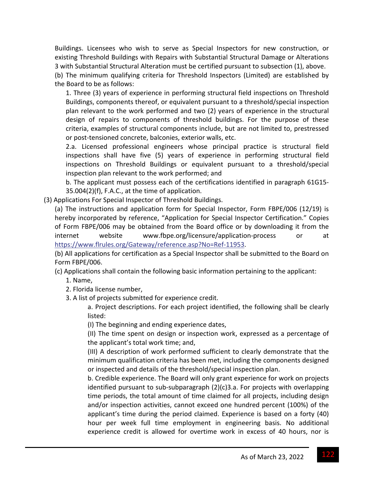Buildings. Licensees who wish to serve as Special Inspectors for new construction, or existing Threshold Buildings with Repairs with Substantial Structural Damage or Alterations 3 with Substantial Structural Alteration must be certified pursuant to subsection (1), above.

(b) The minimum qualifying criteria for Threshold Inspectors (Limited) are established by the Board to be as follows:

1. Three (3) years of experience in performing structural field inspections on Threshold Buildings, components thereof, or equivalent pursuant to a threshold/special inspection plan relevant to the work performed and two (2) years of experience in the structural design of repairs to components of threshold buildings. For the purpose of these criteria, examples of structural components include, but are not limited to, prestressed or post‐tensioned concrete, balconies, exterior walls, etc.

2.a. Licensed professional engineers whose principal practice is structural field inspections shall have five (5) years of experience in performing structural field inspections on Threshold Buildings or equivalent pursuant to a threshold/special inspection plan relevant to the work performed; and

b. The applicant must possess each of the certifications identified in paragraph 61G15‐ 35.004(2)(f), F.A.C., at the time of application.

(3) Applications For Special Inspector of Threshold Buildings.

(a) The instructions and application form for Special Inspector, Form FBPE/006 (12/19) is hereby incorporated by reference, "Application for Special Inspector Certification." Copies of Form FBPE/006 may be obtained from the Board office or by downloading it from the internet website www.fbpe.org/licensure/application‐process or at https://www.flrules.org/Gateway/reference.asp?No=Ref‐11953.

(b) All applications for certification as a Special Inspector shall be submitted to the Board on Form FBPE/006.

(c) Applications shall contain the following basic information pertaining to the applicant:

- 1. Name,
- 2. Florida license number,
- 3. A list of projects submitted for experience credit.

a. Project descriptions. For each project identified, the following shall be clearly listed:

(I) The beginning and ending experience dates,

(II) The time spent on design or inspection work, expressed as a percentage of the applicant's total work time; and,

(III) A description of work performed sufficient to clearly demonstrate that the minimum qualification criteria has been met, including the components designed or inspected and details of the threshold/special inspection plan.

b. Credible experience. The Board will only grant experience for work on projects identified pursuant to sub‐subparagraph (2)(c)3.a. For projects with overlapping time periods, the total amount of time claimed for all projects, including design and/or inspection activities, cannot exceed one hundred percent (100%) of the applicant's time during the period claimed. Experience is based on a forty (40) hour per week full time employment in engineering basis. No additional experience credit is allowed for overtime work in excess of 40 hours, nor is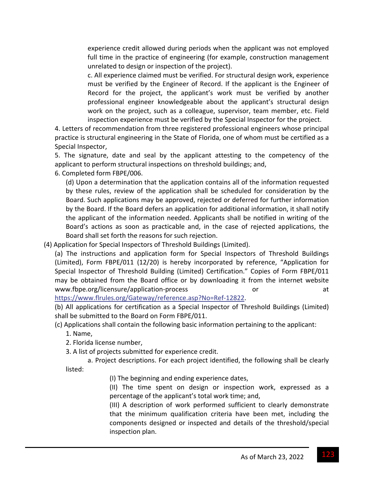experience credit allowed during periods when the applicant was not employed full time in the practice of engineering (for example, construction management unrelated to design or inspection of the project).

c. All experience claimed must be verified. For structural design work, experience must be verified by the Engineer of Record. If the applicant is the Engineer of Record for the project, the applicant's work must be verified by another professional engineer knowledgeable about the applicant's structural design work on the project, such as a colleague, supervisor, team member, etc. Field inspection experience must be verified by the Special Inspector for the project.

4. Letters of recommendation from three registered professional engineers whose principal practice is structural engineering in the State of Florida, one of whom must be certified as a Special Inspector,

5. The signature, date and seal by the applicant attesting to the competency of the applicant to perform structural inspections on threshold buildings; and,

6. Completed form FBPE/006.

(d) Upon a determination that the application contains all of the information requested by these rules, review of the application shall be scheduled for consideration by the Board. Such applications may be approved, rejected or deferred for further information by the Board. If the Board defers an application for additional information, it shall notify the applicant of the information needed. Applicants shall be notified in writing of the Board's actions as soon as practicable and, in the case of rejected applications, the Board shall set forth the reasons for such rejection.

(4) Application for Special Inspectors of Threshold Buildings (Limited).

(a) The instructions and application form for Special Inspectors of Threshold Buildings (Limited), Form FBPE/011 (12/20) is hereby incorporated by reference, "Application for Special Inspector of Threshold Building (Limited) Certification." Copies of Form FBPE/011 may be obtained from the Board office or by downloading it from the internet website www.fbpe.org/licensure/application-process or or at

https://www.flrules.org/Gateway/reference.asp?No=Ref‐12822.

(b) All applications for certification as a Special Inspector of Threshold Buildings (Limited) shall be submitted to the Board on Form FBPE/011.

(c) Applications shall contain the following basic information pertaining to the applicant:

1. Name,

2. Florida license number,

3. A list of projects submitted for experience credit.

a. Project descriptions. For each project identified, the following shall be clearly listed:

(I) The beginning and ending experience dates,

(II) The time spent on design or inspection work, expressed as a percentage of the applicant's total work time; and,

(III) A description of work performed sufficient to clearly demonstrate that the minimum qualification criteria have been met, including the components designed or inspected and details of the threshold/special inspection plan.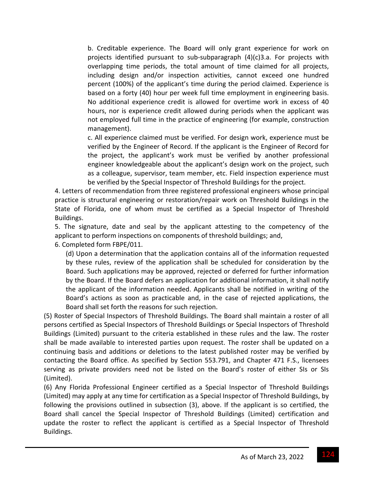b. Creditable experience. The Board will only grant experience for work on projects identified pursuant to sub‐subparagraph (4)(c)3.a. For projects with overlapping time periods, the total amount of time claimed for all projects, including design and/or inspection activities, cannot exceed one hundred percent (100%) of the applicant's time during the period claimed. Experience is based on a forty (40) hour per week full time employment in engineering basis. No additional experience credit is allowed for overtime work in excess of 40 hours, nor is experience credit allowed during periods when the applicant was not employed full time in the practice of engineering (for example, construction management).

c. All experience claimed must be verified. For design work, experience must be verified by the Engineer of Record. If the applicant is the Engineer of Record for the project, the applicant's work must be verified by another professional engineer knowledgeable about the applicant's design work on the project, such as a colleague, supervisor, team member, etc. Field inspection experience must be verified by the Special Inspector of Threshold Buildings for the project.

4. Letters of recommendation from three registered professional engineers whose principal practice is structural engineering or restoration/repair work on Threshold Buildings in the State of Florida, one of whom must be certified as a Special Inspector of Threshold Buildings.

5. The signature, date and seal by the applicant attesting to the competency of the applicant to perform inspections on components of threshold buildings; and,

6. Completed form FBPE/011.

(d) Upon a determination that the application contains all of the information requested by these rules, review of the application shall be scheduled for consideration by the Board. Such applications may be approved, rejected or deferred for further information by the Board. If the Board defers an application for additional information, it shall notify the applicant of the information needed. Applicants shall be notified in writing of the Board's actions as soon as practicable and, in the case of rejected applications, the Board shall set forth the reasons for such rejection.

(5) Roster of Special Inspectors of Threshold Buildings. The Board shall maintain a roster of all persons certified as Special Inspectors of Threshold Buildings or Special Inspectors of Threshold Buildings (Limited) pursuant to the criteria established in these rules and the law. The roster shall be made available to interested parties upon request. The roster shall be updated on a continuing basis and additions or deletions to the latest published roster may be verified by contacting the Board office. As specified by Section 553.791, and Chapter 471 F.S., licensees serving as private providers need not be listed on the Board's roster of either SIs or SIs (Limited).

(6) Any Florida Professional Engineer certified as a Special Inspector of Threshold Buildings (Limited) may apply at any time for certification as a Special Inspector of Threshold Buildings, by following the provisions outlined in subsection (3), above. If the applicant is so certified, the Board shall cancel the Special Inspector of Threshold Buildings (Limited) certification and update the roster to reflect the applicant is certified as a Special Inspector of Threshold Buildings.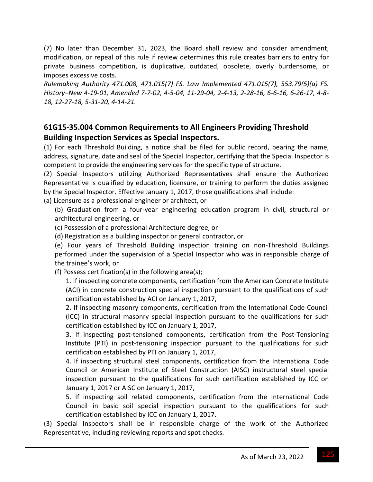(7) No later than December 31, 2023, the Board shall review and consider amendment, modification, or repeal of this rule if review determines this rule creates barriers to entry for private business competition, is duplicative, outdated, obsolete, overly burdensome, or imposes excessive costs.

*Rulemaking Authority 471.008, 471.015(7) FS. Law Implemented 471.015(7), 553.79(5)(a) FS.* History-New 4-19-01, Amended 7-7-02, 4-5-04, 11-29-04, 2-4-13, 2-28-16, 6-6-16, 6-26-17, 4-8-*18, 12‐27‐18, 5‐31‐20, 4‐14‐21.*

## **61G15‐35.004 Common Requirements to All Engineers Providing Threshold Building Inspection Services as Special Inspectors.**

(1) For each Threshold Building, a notice shall be filed for public record, bearing the name, address, signature, date and seal of the Special Inspector, certifying that the Special Inspector is competent to provide the engineering services for the specific type of structure.

(2) Special Inspectors utilizing Authorized Representatives shall ensure the Authorized Representative is qualified by education, licensure, or training to perform the duties assigned by the Special Inspector. Effective January 1, 2017, those qualifications shall include:

(a) Licensure as a professional engineer or architect, or

- (b) Graduation from a four‐year engineering education program in civil, structural or architectural engineering, or
- (c) Possession of a professional Architecture degree, or
- (d) Registration as a building inspector or general contractor, or

(e) Four years of Threshold Building inspection training on non‐Threshold Buildings performed under the supervision of a Special Inspector who was in responsible charge of the trainee's work, or

(f) Possess certification(s) in the following area(s);

1. If inspecting concrete components, certification from the American Concrete Institute (ACI) in concrete construction special inspection pursuant to the qualifications of such certification established by ACI on January 1, 2017,

2. If inspecting masonry components, certification from the International Code Council (ICC) in structural masonry special inspection pursuant to the qualifications for such certification established by ICC on January 1, 2017,

3. If inspecting post-tensioned components, certification from the Post-Tensioning Institute (PTI) in post-tensioning inspection pursuant to the qualifications for such certification established by PTI on January 1, 2017,

4. If inspecting structural steel components, certification from the International Code Council or American Institute of Steel Construction (AISC) instructural steel special inspection pursuant to the qualifications for such certification established by ICC on January 1, 2017 or AISC on January 1, 2017,

5. If inspecting soil related components, certification from the International Code Council in basic soil special inspection pursuant to the qualifications for such certification established by ICC on January 1, 2017.

(3) Special Inspectors shall be in responsible charge of the work of the Authorized Representative, including reviewing reports and spot checks.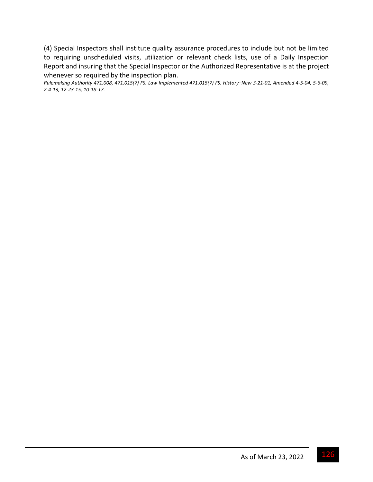(4) Special Inspectors shall institute quality assurance procedures to include but not be limited to requiring unscheduled visits, utilization or relevant check lists, use of a Daily Inspection Report and insuring that the Special Inspector or the Authorized Representative is at the project whenever so required by the inspection plan.

Rulemaking Authority 471.008, 471.015(7) FS. Law Implemented 471.015(7) FS. History-New 3-21-01, Amended 4-5-04, 5-6-09, *2‐4‐13, 12‐23‐15, 10‐18‐17.*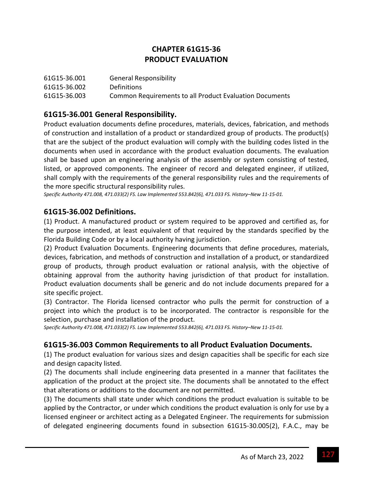## **CHAPTER 61G15‐36 PRODUCT EVALUATION**

| 61G15-36.001 | <b>General Responsibility</b>                           |
|--------------|---------------------------------------------------------|
| 61G15-36.002 | <b>Definitions</b>                                      |
| 61G15-36.003 | Common Requirements to all Product Evaluation Documents |

## **61G15‐36.001 General Responsibility.**

Product evaluation documents define procedures, materials, devices, fabrication, and methods of construction and installation of a product or standardized group of products. The product(s) that are the subject of the product evaluation will comply with the building codes listed in the documents when used in accordance with the product evaluation documents. The evaluation shall be based upon an engineering analysis of the assembly or system consisting of tested, listed, or approved components. The engineer of record and delegated engineer, if utilized, shall comply with the requirements of the general responsibility rules and the requirements of the more specific structural responsibility rules.

*Specific Authority 471.008, 471.033(2) FS. Law Implemented 553.842(6), 471.033 FS. History–New 11‐15‐01.*

#### **61G15‐36.002 Definitions.**

(1) Product. A manufactured product or system required to be approved and certified as, for the purpose intended, at least equivalent of that required by the standards specified by the Florida Building Code or by a local authority having jurisdiction.

(2) Product Evaluation Documents. Engineering documents that define procedures, materials, devices, fabrication, and methods of construction and installation of a product, or standardized group of products, through product evaluation or rational analysis, with the objective of obtaining approval from the authority having jurisdiction of that product for installation. Product evaluation documents shall be generic and do not include documents prepared for a site specific project.

(3) Contractor. The Florida licensed contractor who pulls the permit for construction of a project into which the product is to be incorporated. The contractor is responsible for the selection, purchase and installation of the product.

*Specific Authority 471.008, 471.033(2) FS. Law Implemented 553.842(6), 471.033 FS. History–New 11‐15‐01.*

#### **61G15‐36.003 Common Requirements to all Product Evaluation Documents.**

(1) The product evaluation for various sizes and design capacities shall be specific for each size and design capacity listed.

(2) The documents shall include engineering data presented in a manner that facilitates the application of the product at the project site. The documents shall be annotated to the effect that alterations or additions to the document are not permitted.

(3) The documents shall state under which conditions the product evaluation is suitable to be applied by the Contractor, or under which conditions the product evaluation is only for use by a licensed engineer or architect acting as a Delegated Engineer. The requirements for submission of delegated engineering documents found in subsection 61G15‐30.005(2), F.A.C., may be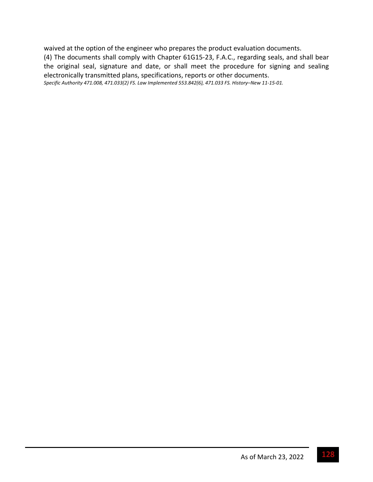waived at the option of the engineer who prepares the product evaluation documents.

(4) The documents shall comply with Chapter 61G15‐23, F.A.C., regarding seals, and shall bear the original seal, signature and date, or shall meet the procedure for signing and sealing electronically transmitted plans, specifications, reports or other documents.

*Specific Authority 471.008, 471.033(2) FS. Law Implemented 553.842(6), 471.033 FS. History–New 11‐15‐01.*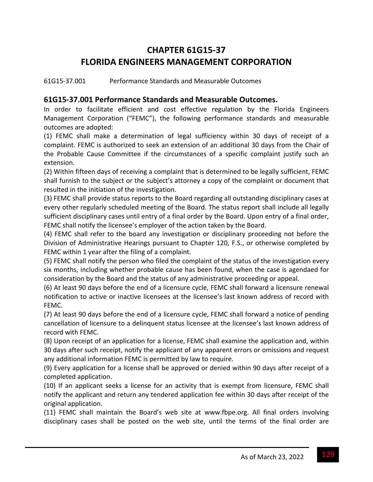# **CHAPTER 61G15‐37 FLORIDA ENGINEERS MANAGEMENT CORPORATION**

61G15‐37.001 Performance Standards and Measurable Outcomes

#### **61G15‐37.001 Performance Standards and Measurable Outcomes.**

In order to facilitate efficient and cost effective regulation by the Florida Engineers Management Corporation ("FEMC"), the following performance standards and measurable outcomes are adopted:

(1) FEMC shall make a determination of legal sufficiency within 30 days of receipt of a complaint. FEMC is authorized to seek an extension of an additional 30 days from the Chair of the Probable Cause Committee if the circumstances of a specific complaint justify such an extension.

(2) Within fifteen days of receiving a complaint that is determined to be legally sufficient, FEMC shall furnish to the subject or the subject's attorney a copy of the complaint or document that resulted in the initiation of the investigation.

(3) FEMC shall provide status reports to the Board regarding all outstanding disciplinary cases at every other regularly scheduled meeting of the Board. The status report shall include all legally sufficient disciplinary cases until entry of a final order by the Board. Upon entry of a final order, FEMC shall notify the licensee's employer of the action taken by the Board.

(4) FEMC shall refer to the board any investigation or disciplinary proceeding not before the Division of Administrative Hearings pursuant to Chapter 120, F.S., or otherwise completed by FEMC within 1 year after the filing of a complaint.

(5) FEMC shall notify the person who filed the complaint of the status of the investigation every six months, including whether probable cause has been found, when the case is agendaed for consideration by the Board and the status of any administrative proceeding or appeal.

(6) At least 90 days before the end of a licensure cycle, FEMC shall forward a licensure renewal notification to active or inactive licensees at the licensee's last known address of record with FEMC.

(7) At least 90 days before the end of a licensure cycle, FEMC shall forward a notice of pending cancellation of licensure to a delinquent status licensee at the licensee's last known address of record with FEMC.

(8) Upon receipt of an application for a license, FEMC shall examine the application and, within 30 days after such receipt, notify the applicant of any apparent errors or omissions and request any additional information FEMC is permitted by law to require.

(9) Every application for a license shall be approved or denied within 90 days after receipt of a completed application.

(10) If an applicant seeks a license for an activity that is exempt from licensure, FEMC shall notify the applicant and return any tendered application fee within 30 days after receipt of the original application.

(11) FEMC shall maintain the Board's web site at www.fbpe.org. All final orders involving disciplinary cases shall be posted on the web site, until the terms of the final order are